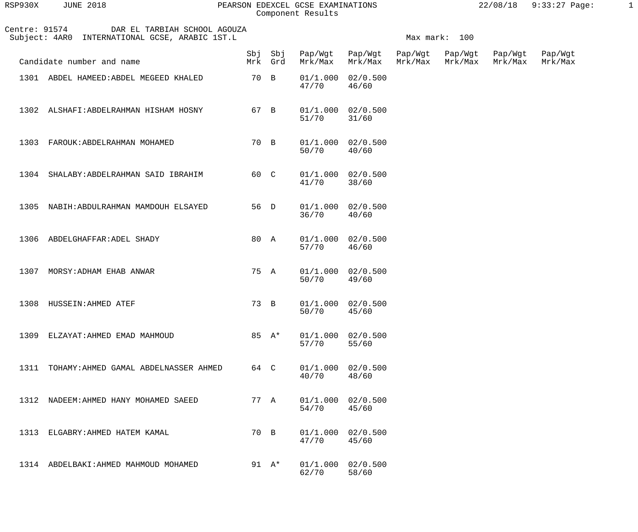## RSP930X JUNE 2018 PEARSON EDEXCEL GCSE EXAMINATIONS 22/08/18 9:33:27 Page: 1 Component Results

| Centre: 91574<br>DAR EL TARBIAH SCHOOL AGOUZA<br>Subject: 4AR0 INTERNATIONAL GCSE, ARABIC 1ST.L |                                            |      |                    |                     | Max mark: 100                  |                    |                    |                    |                    |
|-------------------------------------------------------------------------------------------------|--------------------------------------------|------|--------------------|---------------------|--------------------------------|--------------------|--------------------|--------------------|--------------------|
|                                                                                                 | Candidate number and name                  |      | Sbj Sbj<br>Mrk Grd | Pap/Wgt<br>Mrk/Max  | Pap/Wgt<br>Mrk/Max             | Pap/Wgt<br>Mrk/Max | Pap/Wgt<br>Mrk/Max | Pap/Wgt<br>Mrk/Max | Pap/Wgt<br>Mrk/Max |
|                                                                                                 | 1301 ABDEL HAMEED: ABDEL MEGEED KHALED     | 70 B |                    | 01/1.000<br>47/70   | 02/0.500<br>46/60              |                    |                    |                    |                    |
| 1302                                                                                            | ALSHAFI:ABDELRAHMAN HISHAM HOSNY           | 67 B |                    | 01/1.000<br>$51/70$ | 02/0.500<br>31/60              |                    |                    |                    |                    |
| 1303                                                                                            | FAROUK: ABDELRAHMAN MOHAMED                | 70 B |                    | 50/70               | $01/1.000$ $02/0.500$<br>40/60 |                    |                    |                    |                    |
|                                                                                                 | 1304 SHALABY: ABDELRAHMAN SAID IBRAHIM     | 60 C |                    | 41/70               | $01/1.000$ $02/0.500$<br>38/60 |                    |                    |                    |                    |
| 1305                                                                                            | NABIH:ABDULRAHMAN MAMDOUH ELSAYED          | 56 D |                    | 36/70               | 01/1.000 02/0.500<br>40/60     |                    |                    |                    |                    |
| 1306                                                                                            | ABDELGHAFFAR: ADEL SHADY                   | 80 A |                    | 57/70               | $01/1.000$ $02/0.500$<br>46/60 |                    |                    |                    |                    |
| 1307                                                                                            | MORSY: ADHAM EHAB ANWAR                    | 75 A |                    | 50/70               | $01/1.000$ $02/0.500$<br>49/60 |                    |                    |                    |                    |
|                                                                                                 | 1308 HUSSEIN: AHMED ATEF                   | 73 B |                    | 50/70               | $01/1.000$ $02/0.500$<br>45/60 |                    |                    |                    |                    |
|                                                                                                 | 1309 ELZAYAT: AHMED EMAD MAHMOUD           |      | 85 A*              | 57/70               | 01/1.000 02/0.500<br>55/60     |                    |                    |                    |                    |
|                                                                                                 | 1311 TOHAMY: AHMED GAMAL ABDELNASSER AHMED | 64 C |                    | 40/70               | 01/1.000 02/0.500<br>48/60     |                    |                    |                    |                    |
|                                                                                                 | 1312 NADEEM: AHMED HANY MOHAMED SAEED      | 77 A |                    | 54/70               | 01/1.000 02/0.500<br>45/60     |                    |                    |                    |                    |
|                                                                                                 | 1313 ELGABRY: AHMED HATEM KAMAL            | 70 B |                    | 47/70               | 01/1.000 02/0.500<br>45/60     |                    |                    |                    |                    |
|                                                                                                 | 1314 ABDELBAKI: AHMED MAHMOUD MOHAMED      |      | 91 A*              | 62/70               | $01/1.000$ $02/0.500$<br>58/60 |                    |                    |                    |                    |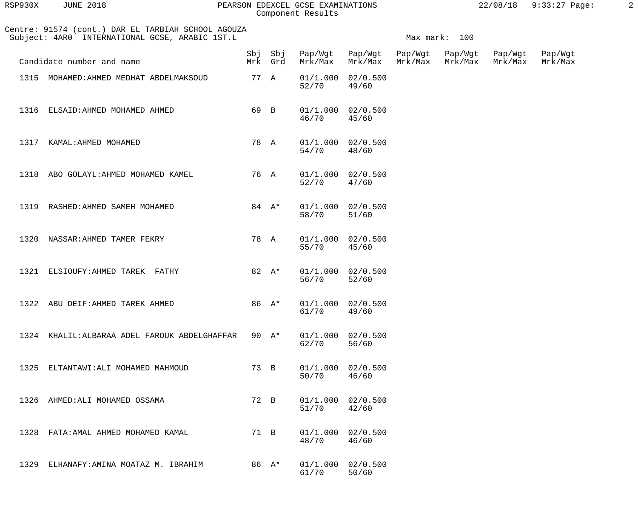| RSP930X | <b>JUNE 2018</b> |  |
|---------|------------------|--|
|         |                  |  |

## PEARSON EDEXCEL GCSE EXAMINATIONS 22/08/18 9:33:27 Page: 2 Component Results

| Centre: 91574 (cont.) DAR EL TARBIAH SCHOOL AGOUZA<br>Subject: 4AR0 INTERNATIONAL GCSE, ARABIC 1ST.L |      |          |                         |                                | Max mark: 100 |                            |                    |                    |  |
|------------------------------------------------------------------------------------------------------|------|----------|-------------------------|--------------------------------|---------------|----------------------------|--------------------|--------------------|--|
| Candidate number and name                                                                            |      | Mrk Grd  | Sbj Sbj Pap/Wgt Pap/Wgt | Mrk/Max Mrk/Max                | Mrk/Max       | Pap/Wgt Pap/Wgt<br>Mrk/Max | Pap/Wgt<br>Mrk/Max | Pap/Wgt<br>Mrk/Max |  |
| 1315 MOHAMED: AHMED MEDHAT ABDELMAKSOUD                                                              |      | 77 A     | 52/70                   | $01/1.000$ $02/0.500$<br>49/60 |               |                            |                    |                    |  |
| 1316 ELSAID: AHMED MOHAMED AHMED                                                                     |      | 69 B     | 46/70 45/60             | $01/1.000$ $02/0.500$          |               |                            |                    |                    |  |
| 1317 KAMAL: AHMED MOHAMED                                                                            |      | 78 A     | 54/70 48/60             | $01/1.000$ $02/0.500$          |               |                            |                    |                    |  |
| 1318 ABO GOLAYL: AHMED MOHAMED KAMEL                                                                 |      | 76 A     | 52/70 47/60             | $01/1.000$ $02/0.500$          |               |                            |                    |                    |  |
| 1319 RASHED: AHMED SAMEH MOHAMED                                                                     |      | 84 $A^*$ | 58/70                   | $01/1.000$ $02/0.500$<br>51/60 |               |                            |                    |                    |  |
| 1320 NASSAR: AHMED TAMER FEKRY                                                                       |      | 78 A     | 55/70                   | $01/1.000$ $02/0.500$<br>45/60 |               |                            |                    |                    |  |
| 1321 ELSIOUFY: AHMED TAREK FATHY                                                                     |      | 82 $A^*$ | 56/70                   | $01/1.000$ $02/0.500$<br>52/60 |               |                            |                    |                    |  |
| 1322 ABU DEIF: AHMED TAREK AHMED                                                                     |      | 86 A*    | 61/70                   | $01/1.000$ $02/0.500$<br>49/60 |               |                            |                    |                    |  |
| 1324 KHALIL: ALBARAA ADEL FAROUK ABDELGHAFFAR                                                        |      | 90 $A^*$ | 01/1.000<br>62/70       | 02/0.500<br>56/60              |               |                            |                    |                    |  |
| 1325<br>ELTANTAWI: ALI MOHAMED MAHMOUD                                                               | 73 B |          | 01/1.000<br>50/70       | 02/0.500<br>46/60              |               |                            |                    |                    |  |
| 1326<br>AHMED: ALI MOHAMED OSSAMA                                                                    | 72 B |          | 01/1.000<br>51/70       | 02/0.500<br>42/60              |               |                            |                    |                    |  |
| FATA: AMAL AHMED MOHAMED KAMAL<br>1328                                                               | 71 B |          | 01/1.000<br>48/70       | 02/0.500<br>46/60              |               |                            |                    |                    |  |
| ELHANAFY: AMINA MOATAZ M. IBRAHIM<br>1329                                                            |      | 86 A*    | 01/1.000<br>61/70       | 02/0.500<br>50/60              |               |                            |                    |                    |  |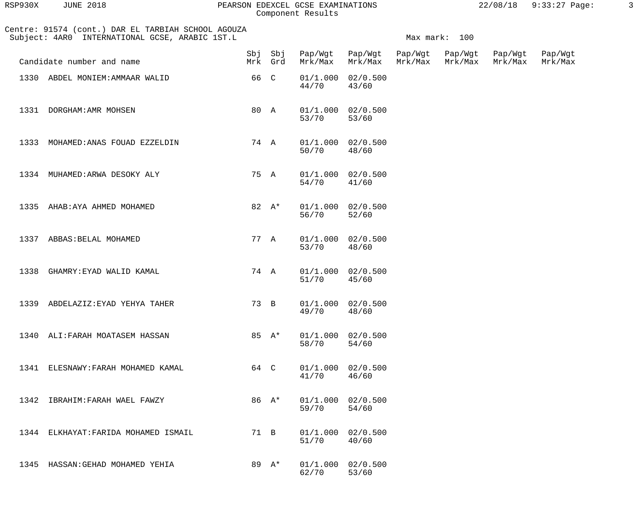| RSP930X | <b>JUNE 2018</b> |  |
|---------|------------------|--|
|         |                  |  |

## PEARSON EDEXCEL GCSE EXAMINATIONS 22/08/18 9:33:27 Page: 3 Component Results

|  | 22/08/18 | $9:33:27$ Page: |  |
|--|----------|-----------------|--|
|  |          |                 |  |

| Centre: 91574 (cont.) DAR EL TARBIAH SCHOOL AGOUZA<br>Subject: 4AR0 INTERNATIONAL GCSE, ARABIC 1ST.L |      |                    |                                |                                            |         | Max mark: 100 |                    |                    |
|------------------------------------------------------------------------------------------------------|------|--------------------|--------------------------------|--------------------------------------------|---------|---------------|--------------------|--------------------|
| Candidate number and name                                                                            |      | Sbj Sbj<br>Mrk Grd | Mrk/Max                        | Pap/Wgt Pap/Wgt Pap/Wgt Pap/Wgt<br>Mrk/Max | Mrk/Max | Mrk/Max       | Pap/Wgt<br>Mrk/Max | Pap/Wgt<br>Mrk/Max |
| 1330 ABDEL MONIEM: AMMAAR WALID                                                                      | 66 C |                    | 01/1.000<br>44/70              | 02/0.500<br>43/60                          |         |               |                    |                    |
| 1331 DORGHAM: AMR MOHSEN                                                                             |      | 80 A               | 01/1.000<br>53/70              | 02/0.500<br>53/60                          |         |               |                    |                    |
| 1333<br>MOHAMED: ANAS FOUAD EZZELDIN                                                                 |      | 74 A               | $01/1.000$ $02/0.500$<br>50/70 | 48/60                                      |         |               |                    |                    |
| 1334 MUHAMED: ARWA DESOKY ALY                                                                        |      | 75 A               | $01/1.000$ $02/0.500$<br>54/70 | 41/60                                      |         |               |                    |                    |
| 1335 AHAB: AYA AHMED MOHAMED                                                                         |      | 82 $A^*$           | 01/1.000<br>56/70              | 02/0.500<br>52/60                          |         |               |                    |                    |
| 1337 ABBAS: BELAL MOHAMED                                                                            |      | 77 A               | 53/70                          | $01/1.000$ $02/0.500$<br>48/60             |         |               |                    |                    |
| 1338<br>GHAMRY: EYAD WALID KAMAL                                                                     |      | 74 A               | 01/1.000<br>51/70              | 02/0.500<br>45/60                          |         |               |                    |                    |
| 1339 ABDELAZIZ: EYAD YEHYA TAHER                                                                     |      | 73 B               | 49/70                          | $01/1.000$ $02/0.500$<br>48/60             |         |               |                    |                    |
| 1340 ALI: FARAH MOATASEM HASSAN                                                                      |      | 85 A*              | 58/70                          | $01/1.000$ $02/0.500$<br>54/60             |         |               |                    |                    |
| 1341 ELESNAWY: FARAH MOHAMED KAMAL                                                                   |      | 64 C               | 41/70                          | $01/1.000$ $02/0.500$<br>46/60             |         |               |                    |                    |
| 1342 IBRAHIM: FARAH WAEL FAWZY                                                                       |      | 86 $A^*$           | 59/70                          | $01/1.000$ $02/0.500$<br>54/60             |         |               |                    |                    |
| 1344 ELKHAYAT: FARIDA MOHAMED ISMAIL                                                                 |      | 71 B               | 51/70                          | $01/1.000$ $02/0.500$<br>40/60             |         |               |                    |                    |
| 1345 HASSAN: GEHAD MOHAMED YEHIA                                                                     |      | 89 A*              | 62/70                          | $01/1.000$ $02/0.500$<br>53/60             |         |               |                    |                    |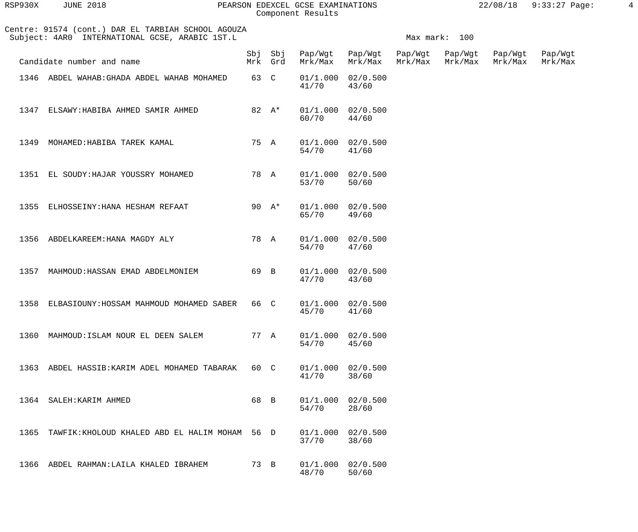| RSP930X | 2018<br>TUNE | PEARSON EDEXCEL GCSE EXAMINATI<br>INATIONS | '18<br>08'<br>24 Z | Page<br>9 : 3<br>. . |  |
|---------|--------------|--------------------------------------------|--------------------|----------------------|--|
|         |              | Component Results                          |                    |                      |  |

| Centre: 91574 (cont.) DAR EL TARBIAH SCHOOL AGOUZA<br>Subject: 4AR0 INTERNATIONAL GCSE, ARABIC 1ST.L |     |                |                                |                            |         | Max mark: 100      |                    |                    |
|------------------------------------------------------------------------------------------------------|-----|----------------|--------------------------------|----------------------------|---------|--------------------|--------------------|--------------------|
| Candidate number and name                                                                            | Sbi | Sbi<br>Mrk Grd | Pap/Wqt<br>Mrk/Max             | Pap/Wgt<br>Mrk/Max Mrk/Max | Pap/Wgt | Pap/Wgt<br>Mrk/Max | Pap/Wqt<br>Mrk/Max | Pap/Wgt<br>Mrk/Max |
| 1346 ABDEL WAHAB: GHADA ABDEL WAHAB MOHAMED                                                          |     | 63 C           | $01/1.000$ $02/0.500$<br>41/70 | 43/60                      |         |                    |                    |                    |

| 1347 ELSAWY: HABIBA AHMED SAMIR AHMED |  |  | 82 A* 01/1.000 02/0.500 |       |
|---------------------------------------|--|--|-------------------------|-------|
|                                       |  |  | 60/70                   | 44/60 |

41/70 43/60

- 1349 MOHAMED:HABIBA TAREK KAMAL 75 A 01/1.000 02/0.500<br>54/70 41/60 54/70 41/60 1351 EL SOUDY:HAJAR YOUSSRY MOHAMED 78 A 01/1.000 02/0.500 53/70 50/60
- 1355 ELHOSSEINY:HANA HESHAM REFAAT 90 A\* 01/1.000 02/0.500<br>65/70 49/60 65/70 49/60
- 1356 ABDELKAREEM:HANA MAGDY ALY 78 A 01/1.000 02/0.500<br>54/70 47/60 54/70 47/60
- 1357 MAHMOUD:HASSAN EMAD ABDELMONIEM 69 B 01/1.000 02/0.500<br>47/70 43/60 47/70 43/60
- 1358 ELBASIOUNY:HOSSAM MAHMOUD MOHAMED SABER 66 C 01/1.000 02/0.500 45/70 41/60
- 1360 MAHMOUD:ISLAM NOUR EL DEEN SALEM 77 A 01/1.000 02/0.500<br>54/70 45/60 54/70 45/60 1363 ABDEL HASSIB:KARIM ADEL MOHAMED TABARAK 60 C 01/1.000 02/0.500 41/70 38/60 1364 SALEH: KARIM AHMED 68 B 01/1.000 02/0.500<br>54/70 28/60 54/70 28/60
- 1365 TAWFIK:KHOLOUD KHALED ABD EL HALIM MOHAM 56 D 01/1.000 02/0.500 37/70 38/60 1366 ABDEL RAHMAN:LAILA KHALED IBRAHEM 73 B 01/1.000 02/0.500 48/70 50/60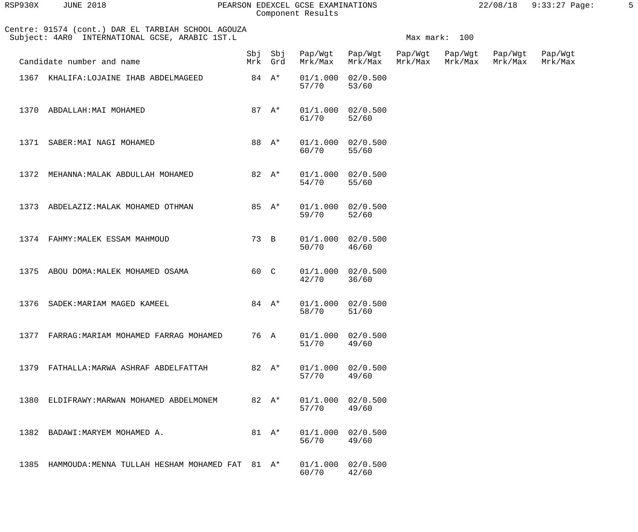| RSP930X | <b>JUNE 2018</b> |  |
|---------|------------------|--|
|         |                  |  |

#### PEARSON EDEXCEL GCSE EXAMINATIONS  $22/08/18$  9:33:27 Page: 5 Component Results

 Centre: 91574 (cont.) DAR EL TARBIAH SCHOOL AGOUZA Subject: 4AR0 INTERNATIONAL GCSE, ARABIC 1ST.L Max mark: 100 Sbj Sbj Pap/Wgt Pap/Wgt Pap/Wgt Pap/Wgt Pap/Wgt Pap/Wgt Candidate number and name Theory Mrk Grd Mrk/Max Mrk/Max Mrk/Max Mrk/Max Mrk/Max Mrk/Max 1367 KHALIFA:LOJAINE IHAB ABDELMAGEED 84 A\* 01/1.000 02/0.500<br>53/60 57/70 57/70 53/60 1370 ABDALLAH:MAI MOHAMED 87 A\* 01/1.000 02/0.500<br>61/70 52/60 61/70 52/60 1371 SABER:MAI NAGI MOHAMED 88 A\* 01/1.000 02/0.500<br>60/70 55/60 60/70 55/60 1372 MEHANNA:MALAK ABDULLAH MOHAMED 82 A\* 01/1.000 02/0.500 54/70 55/60 1373 ABDELAZIZ: MALAK MOHAMED OTHMAN 85 A\* 01/1.000 02/0.500<br>59/70 52/60 59/70 52/60 1374 FAHMY:MALEK ESSAM MAHMOUD 73 B 01/1.000 02/0.500<br>50/70 46/60 50/70 46/60 1375 ABOU DOMA: MALEK MOHAMED OSAMA 60 C 01/1.000 02/0.500<br>42/70 36/60 42/70 36/60 1376 SADEK: MARIAM MAGED KAMEEL 84 A\* 01/1.000 02/0.500<br>58/70 51/60 58/70 51/60 1377 FARRAG:MARIAM MOHAMED FARRAG MOHAMED 76 A 01/1.000 02/0.500 51/70 49/60 1379 FATHALLA:MARWA ASHRAF ABDELFATTAH 82 A\* 01/1.000 02/0.500 57/70 49/60 1380 ELDIFRAWY:MARWAN MOHAMED ABDELMONEM 82 A\* 01/1.000 02/0.500 57/70 49/60 1382 BADAWI:MARYEM MOHAMED A. 81 A\* 01/1.000 02/0.500 56/70 49/60 1385 HAMMOUDA:MENNA TULLAH HESHAM MOHAMED FAT 81 A\* 01/1.000 02/0.500 60/70 42/60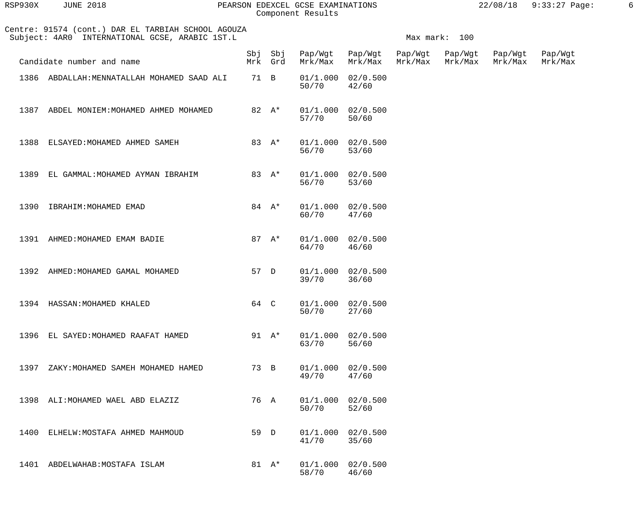| RSP930X | <b>JUNE 2018</b> |  |
|---------|------------------|--|
|         |                  |  |

## RSP930X JUNE 2018 PEARSON EDEXCEL GCSE EXAMINATIONS 22/08/18 9:33:27 Page: 6 Component Results

| Centre: 91574 (cont.) DAR EL TARBIAH SCHOOL AGOUZA<br>Subject: 4AR0 INTERNATIONAL GCSE, ARABIC 1ST.L |      |          |                         |                                | Max mark: 100      |                    |                    |                    |  |  |
|------------------------------------------------------------------------------------------------------|------|----------|-------------------------|--------------------------------|--------------------|--------------------|--------------------|--------------------|--|--|
| Candidate number and name                                                                            |      | Mrk Grd  | Sbj Sbj Pap/Wgt Pap/Wgt | Mrk/Max Mrk/Max                | Pap/Wgt<br>Mrk/Max | Pap/Wgt<br>Mrk/Max | Pap/Wgt<br>Mrk/Max | Pap/Wgt<br>Mrk/Max |  |  |
| 1386 ABDALLAH: MENNATALLAH MOHAMED SAAD ALI                                                          | 71 B |          | 50/70                   | $01/1.000$ $02/0.500$<br>42/60 |                    |                    |                    |                    |  |  |
| 1387 ABDEL MONIEM: MOHAMED AHMED MOHAMED                                                             |      | 82 A*    | 57/70                   | $01/1.000$ $02/0.500$<br>50/60 |                    |                    |                    |                    |  |  |
| 1388 ELSAYED: MOHAMED AHMED SAMEH                                                                    |      | 83 A*    | 56/70                   | $01/1.000$ $02/0.500$<br>53/60 |                    |                    |                    |                    |  |  |
| 1389 EL GAMMAL: MOHAMED AYMAN IBRAHIM                                                                |      | 83 $A^*$ | 56/70                   | $01/1.000$ $02/0.500$<br>53/60 |                    |                    |                    |                    |  |  |
| 1390 IBRAHIM: MOHAMED EMAD                                                                           |      | 84 $A^*$ | 60/70                   | $01/1.000$ $02/0.500$<br>47/60 |                    |                    |                    |                    |  |  |
| 1391 AHMED: MOHAMED EMAM BADIE                                                                       |      | 87 $A^*$ | 64/70                   | $01/1.000$ $02/0.500$<br>46/60 |                    |                    |                    |                    |  |  |
| 1392 AHMED: MOHAMED GAMAL MOHAMED                                                                    | 57 D |          | 39/70                   | $01/1.000$ $02/0.500$<br>36/60 |                    |                    |                    |                    |  |  |
| 1394 HASSAN: MOHAMED KHALED                                                                          | 64 C |          | 50/70                   | $01/1.000$ $02/0.500$<br>27/60 |                    |                    |                    |                    |  |  |
| 1396<br>EL SAYED: MOHAMED RAAFAT HAMED                                                               |      | 91 $A^*$ | 01/1.000<br>63/70       | 02/0.500<br>56/60              |                    |                    |                    |                    |  |  |
| 1397<br>ZAKY: MOHAMED SAMEH MOHAMED HAMED                                                            | 73 B |          | 01/1.000<br>49/70       | 02/0.500<br>47/60              |                    |                    |                    |                    |  |  |
| ALI: MOHAMED WAEL ABD ELAZIZ<br>1398                                                                 | 76 A |          | 01/1.000<br>50/70       | 02/0.500<br>52/60              |                    |                    |                    |                    |  |  |
| 1400<br>ELHELW: MOSTAFA AHMED MAHMOUD                                                                | 59 D |          | 01/1.000<br>41/70       | 02/0.500<br>35/60              |                    |                    |                    |                    |  |  |
| 1401<br>ABDELWAHAB: MOSTAFA ISLAM                                                                    |      | 81 $A^*$ | 01/1.000<br>58/70       | 02/0.500<br>46/60              |                    |                    |                    |                    |  |  |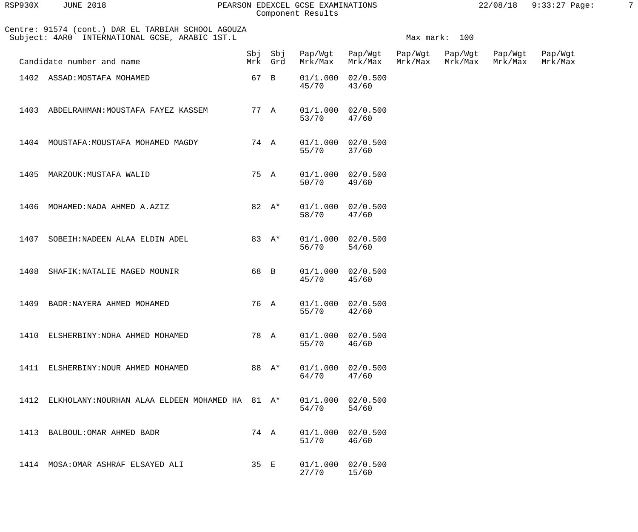| RSP930X | <b>JUNE 2018</b> |  |
|---------|------------------|--|
|         |                  |  |

## PEARSON EDEXCEL GCSE EXAMINATIONS 22/08/18 9:33:27 Page: 7 Component Results

| Centre: 91574 (cont.) DAR EL TARBIAH SCHOOL AGOUZA<br>Subject: 4AR0 INTERNATIONAL GCSE, ARABIC 1ST.L |                                                 |      |                    |                                 |                                 | Max mark: 100 |  |                    |                    |  |  |
|------------------------------------------------------------------------------------------------------|-------------------------------------------------|------|--------------------|---------------------------------|---------------------------------|---------------|--|--------------------|--------------------|--|--|
|                                                                                                      | Candidate number and name                       |      | Sbj Sbj<br>Mrk Grd | Pap/Wgt Pap/Wgt Pap/Wgt Pap/Wgt | Mrk/Max Mrk/Max Mrk/Max Mrk/Max |               |  | Pap/Wgt<br>Mrk/Max | Pap/Wgt<br>Mrk/Max |  |  |
|                                                                                                      | 1402 ASSAD: MOSTAFA MOHAMED                     | 67 B |                    | 01/1.000<br>45/70               | 02/0.500<br>43/60               |               |  |                    |                    |  |  |
|                                                                                                      | 1403 ABDELRAHMAN: MOUSTAFA FAYEZ KASSEM         | 77 A |                    | 53/70                           | $01/1.000$ $02/0.500$<br>47/60  |               |  |                    |                    |  |  |
|                                                                                                      | 1404 MOUSTAFA: MOUSTAFA MOHAMED MAGDY           |      | 74 A               | 55/70                           | $01/1.000$ $02/0.500$<br>37/60  |               |  |                    |                    |  |  |
| 1405                                                                                                 | MARZOUK:MUSTAFA WALID                           | 75 A |                    | 50/70                           | $01/1.000$ $02/0.500$<br>49/60  |               |  |                    |                    |  |  |
| 1406                                                                                                 | MOHAMED: NADA AHMED A.AZIZ                      |      | 82 $A^*$           | 58/70                           | $01/1.000$ $02/0.500$<br>47/60  |               |  |                    |                    |  |  |
| 1407                                                                                                 | SOBEIH: NADEEN ALAA ELDIN ADEL                  |      | 83 A*              | 56/70                           | $01/1.000$ $02/0.500$<br>54/60  |               |  |                    |                    |  |  |
| 1408                                                                                                 | SHAFIK: NATALIE MAGED MOUNIR                    | 68 B |                    | 01/1.000<br>45/70               | 02/0.500<br>45/60               |               |  |                    |                    |  |  |
| 1409                                                                                                 | BADR: NAYERA AHMED MOHAMED                      | 76 A |                    | 55/70                           | $01/1.000$ $02/0.500$<br>42/60  |               |  |                    |                    |  |  |
|                                                                                                      | 1410 ELSHERBINY: NOHA AHMED MOHAMED             |      | 78 A               | 01/1.000<br>55/70               | 02/0.500<br>46/60               |               |  |                    |                    |  |  |
| 1411                                                                                                 | ELSHERBINY: NOUR AHMED MOHAMED                  |      | 88 A*              | 01/1.000<br>64/70               | 02/0.500<br>47/60               |               |  |                    |                    |  |  |
| 1412                                                                                                 | ELKHOLANY: NOURHAN ALAA ELDEEN MOHAMED HA 81 A* |      |                    | 01/1.000<br>54/70               | 02/0.500<br>54/60               |               |  |                    |                    |  |  |
| 1413                                                                                                 | BALBOUL: OMAR AHMED BADR                        | 74 A |                    | 01/1.000<br>$51/70$             | 02/0.500<br>46/60               |               |  |                    |                    |  |  |
|                                                                                                      | 1414 MOSA: OMAR ASHRAF ELSAYED ALI              | 35 E |                    | 01/1.000<br>27/70               | 02/0.500<br>15/60               |               |  |                    |                    |  |  |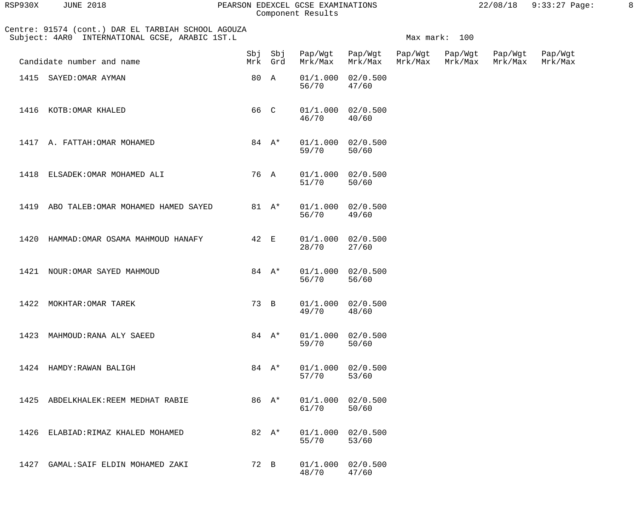| RSP930X | <b>JUNE 2018</b> |  |
|---------|------------------|--|
|         |                  |  |

#### RSP930X JUNE 2018 PEARSON EDEXCEL GCSE EXAMINATIONS 22/08/18 9:33:27 Page: 8 Component Results

| Centre: 91574 (cont.) DAR EL TARBIAH SCHOOL AGOUZA<br>Subject: 4AR0 INTERNATIONAL GCSE, ARABIC 1ST.L |                                     |      |                    |                                 |                                | Max mark: 100 |         |                    |                    |  |
|------------------------------------------------------------------------------------------------------|-------------------------------------|------|--------------------|---------------------------------|--------------------------------|---------------|---------|--------------------|--------------------|--|
|                                                                                                      | Candidate number and name           |      | Sbj Sbj<br>Mrk Grd | Pap/Wgt Pap/Wgt Pap/Wgt Pap/Wgt | Mrk/Max Mrk/Max                | Mrk/Max       | Mrk/Max | Pap/Wgt<br>Mrk/Max | Pap/Wgt<br>Mrk/Max |  |
|                                                                                                      | 1415 SAYED: OMAR AYMAN              | 80 A |                    | 01/1.000<br>56/70               | 02/0.500<br>47/60              |               |         |                    |                    |  |
|                                                                                                      | 1416 KOTB: OMAR KHALED              | 66 C |                    | 01/1.000<br>46/70               | 02/0.500<br>40/60              |               |         |                    |                    |  |
|                                                                                                      | 1417 A. FATTAH: OMAR MOHAMED        |      | 84 $A^*$           | 01/1.000<br>59/70               | 02/0.500<br>50/60              |               |         |                    |                    |  |
|                                                                                                      | 1418 ELSADEK: OMAR MOHAMED ALI      | 76 A |                    | 01/1.000<br>$51/70$             | 02/0.500<br>50/60              |               |         |                    |                    |  |
| 1419                                                                                                 | ABO TALEB: OMAR MOHAMED HAMED SAYED |      | 81 A*              | 01/1.000<br>56/70               | 02/0.500<br>49/60              |               |         |                    |                    |  |
| 1420                                                                                                 | HAMMAD: OMAR OSAMA MAHMOUD HANAFY   | 42 E |                    | 01/1.000<br>28/70               | 02/0.500<br>27/60              |               |         |                    |                    |  |
|                                                                                                      | 1421 NOUR: OMAR SAYED MAHMOUD       |      | 84 $A^*$           | 01/1.000<br>56/70               | 02/0.500<br>56/60              |               |         |                    |                    |  |
| 1422                                                                                                 | MOKHTAR: OMAR TAREK                 | 73 B |                    | 49/70                           | $01/1.000$ $02/0.500$<br>48/60 |               |         |                    |                    |  |
| 1423                                                                                                 | MAHMOUD: RANA ALY SAEED             |      | 84 $A^*$           | 01/1.000<br>59/70               | 02/0.500<br>50/60              |               |         |                    |                    |  |
| 1424                                                                                                 | HAMDY:RAWAN BALIGH                  |      | 84 $A^*$           | 01/1.000<br>57/70               | 02/0.500<br>53/60              |               |         |                    |                    |  |
| 1425                                                                                                 | ABDELKHALEK: REEM MEDHAT RABIE      |      | 86 A*              | 01/1.000<br>61/70               | 02/0.500<br>50/60              |               |         |                    |                    |  |
| 1426                                                                                                 | ELABIAD: RIMAZ KHALED MOHAMED       |      | 82 $A^*$           | 01/1.000<br>55/70               | 02/0.500<br>53/60              |               |         |                    |                    |  |
| 1427                                                                                                 | GAMAL: SAIF ELDIN MOHAMED ZAKI      | 72 B |                    | 01/1.000<br>48/70               | 02/0.500<br>47/60              |               |         |                    |                    |  |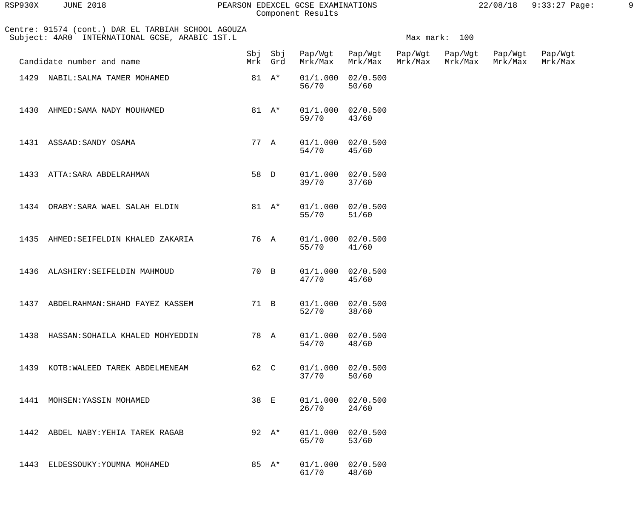| RSP930X | <b>JUNE 2018</b> |  |
|---------|------------------|--|
|         |                  |  |

## PEARSON EDEXCEL GCSE EXAMINATIONS 22/08/18 9:33:27 Page: 9 Component Results

| 22/08/18 | $9:33:27$ Page: |  |
|----------|-----------------|--|
|          |                 |  |

| Centre: 91574 (cont.) DAR EL TARBIAH SCHOOL AGOUZA<br>Subject: 4AR0 INTERNATIONAL GCSE, ARABIC 1ST.L | Max mark: 100 |                    |                                 |                                |  |         |                    |                    |
|------------------------------------------------------------------------------------------------------|---------------|--------------------|---------------------------------|--------------------------------|--|---------|--------------------|--------------------|
| Candidate number and name                                                                            |               | Sbj Sbj<br>Mrk Grd | Pap/Wgt Pap/Wgt Pap/Wgt Pap/Wgt | Mrk/Max Mrk/Max Mrk/Max        |  | Mrk/Max | Pap/Wgt<br>Mrk/Max | Pap/Wgt<br>Mrk/Max |
| 1429 NABIL: SALMA TAMER MOHAMED                                                                      |               | 81 $A^*$           | 01/1.000<br>56/70               | 02/0.500<br>50/60              |  |         |                    |                    |
| 1430<br>AHMED: SAMA NADY MOUHAMED                                                                    |               | 81 $A^*$           | 59/70                           | $01/1.000$ $02/0.500$<br>43/60 |  |         |                    |                    |
| 1431 ASSAAD: SANDY OSAMA                                                                             | 77 A          |                    | $01/1.000$ $02/0.500$<br>54/70  | 45/60                          |  |         |                    |                    |
| 1433 ATTA: SARA ABDELRAHMAN                                                                          | 58 D          |                    | $01/1.000$ $02/0.500$<br>39/70  | 37/60                          |  |         |                    |                    |
| 1434 ORABY: SARA WAEL SALAH ELDIN                                                                    |               | 81 $A^*$           | 55/70                           | $01/1.000$ $02/0.500$<br>51/60 |  |         |                    |                    |
| 1435 AHMED: SEIFELDIN KHALED ZAKARIA                                                                 | 76 A          |                    | 55/70                           | $01/1.000$ $02/0.500$<br>41/60 |  |         |                    |                    |
| 1436 ALASHIRY: SEIFELDIN MAHMOUD                                                                     | 70 B          |                    | 47/70                           | $01/1.000$ $02/0.500$<br>45/60 |  |         |                    |                    |
| 1437 ABDELRAHMAN: SHAHD FAYEZ KASSEM                                                                 | 71 B          |                    | $01/1.000$ $02/0.500$<br>52/70  | 38/60                          |  |         |                    |                    |
| 1438 HASSAN: SOHAILA KHALED MOHYEDDIN                                                                | 78 A          |                    | 01/1.000<br>54/70               | 02/0.500<br>48/60              |  |         |                    |                    |
| 1439<br>KOTB: WALEED TAREK ABDELMENEAM                                                               | 62 C          |                    | 01/1.000<br>37/70               | 02/0.500<br>50/60              |  |         |                    |                    |
| MOHSEN: YASSIN MOHAMED<br>1441                                                                       | 38 E          |                    | 01/1.000<br>26/70               | 02/0.500<br>24/60              |  |         |                    |                    |
| 1442<br>ABDEL NABY: YEHIA TAREK RAGAB                                                                |               | 92 $A^*$           | 01/1.000<br>65/70               | 02/0.500<br>53/60              |  |         |                    |                    |
| 1443<br>ELDESSOUKY: YOUMNA MOHAMED                                                                   |               | 85 A*              | 01/1.000<br>61/70               | 02/0.500<br>48/60              |  |         |                    |                    |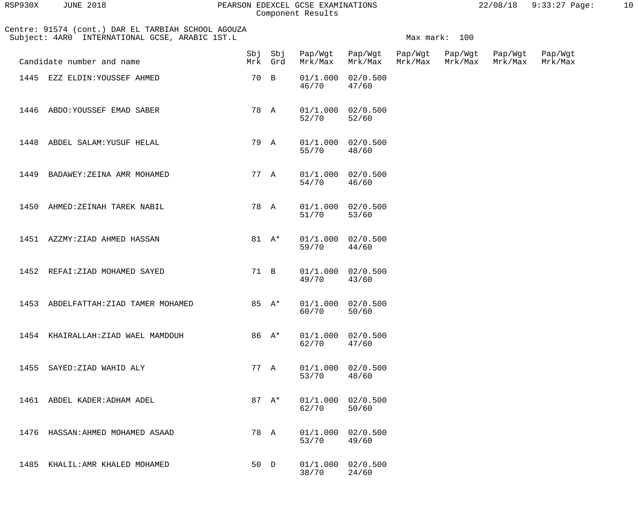| RSP930X | <b>JUNE 2018</b> |  |
|---------|------------------|--|
|         |                  |  |

#### RSP930X JUNE 2018 PEARSON EDEXCEL GCSE EXAMINATIONS 22/08/18 9:33:27 Page: 10 Component Results

| Centre: 91574 (cont.) DAR EL TARBIAH SCHOOL AGOUZA<br>Subject: 4AR0 INTERNATIONAL GCSE, ARABIC 1ST.L |                                      |      |          |                         | Max mark: 100                  |         |                            |                    |                    |  |
|------------------------------------------------------------------------------------------------------|--------------------------------------|------|----------|-------------------------|--------------------------------|---------|----------------------------|--------------------|--------------------|--|
|                                                                                                      | Candidate number and name            |      | Mrk Grd  | Sbj Sbj Pap/Wgt Pap/Wgt | Mrk/Max Mrk/Max                | Mrk/Max | Pap/Wgt Pap/Wgt<br>Mrk/Max | Pap/Wgt<br>Mrk/Max | Pap/Wgt<br>Mrk/Max |  |
|                                                                                                      | 1445 EZZ ELDIN: YOUSSEF AHMED        |      | 70 B     | 46/70                   | $01/1.000$ $02/0.500$<br>47/60 |         |                            |                    |                    |  |
|                                                                                                      | 1446 ABDO: YOUSSEF EMAD SABER        |      | 78 A     | 52/70                   | $01/1.000$ $02/0.500$<br>52/60 |         |                            |                    |                    |  |
|                                                                                                      | 1448 ABDEL SALAM: YUSUF HELAL        |      | 79 A     | 55/70                   | $01/1.000$ $02/0.500$<br>48/60 |         |                            |                    |                    |  |
|                                                                                                      | 1449 BADAWEY: ZEINA AMR MOHAMED      |      | 77 A     | 54/70                   | $01/1.000$ $02/0.500$<br>46/60 |         |                            |                    |                    |  |
| 1450                                                                                                 | AHMED:ZEINAH TAREK NABIL             |      | 78 A     | 51/70                   | $01/1.000$ $02/0.500$<br>53/60 |         |                            |                    |                    |  |
|                                                                                                      | 1451 AZZMY: ZIAD AHMED HASSAN        |      | 81 $A^*$ | 59/70                   | $01/1.000$ $02/0.500$<br>44/60 |         |                            |                    |                    |  |
|                                                                                                      | 1452 REFAI: ZIAD MOHAMED SAYED       | 71 B |          | 49/70                   | $01/1.000$ $02/0.500$<br>43/60 |         |                            |                    |                    |  |
|                                                                                                      | 1453 ABDELFATTAH: ZIAD TAMER MOHAMED |      | 85 $A^*$ | 60/70                   | $01/1.000$ $02/0.500$<br>50/60 |         |                            |                    |                    |  |
|                                                                                                      | 1454 KHAIRALLAH: ZIAD WAEL MAMDOUH   |      | 86 A*    | 62/70                   | $01/1.000$ $02/0.500$<br>47/60 |         |                            |                    |                    |  |
|                                                                                                      | 1455 SAYED: ZIAD WAHID ALY           |      | 77 A     | 53/70                   | $01/1.000$ $02/0.500$<br>48/60 |         |                            |                    |                    |  |
|                                                                                                      | 1461 ABDEL KADER: ADHAM ADEL         |      | 87 $A^*$ | 62/70                   | $01/1.000$ $02/0.500$<br>50/60 |         |                            |                    |                    |  |
|                                                                                                      | 1476 HASSAN: AHMED MOHAMED ASAAD     |      | 78 A     | 53/70                   | $01/1.000$ $02/0.500$<br>49/60 |         |                            |                    |                    |  |
|                                                                                                      | 1485 KHALIL: AMR KHALED MOHAMED      |      | 50 D     | 38/70                   | $01/1.000$ $02/0.500$<br>24/60 |         |                            |                    |                    |  |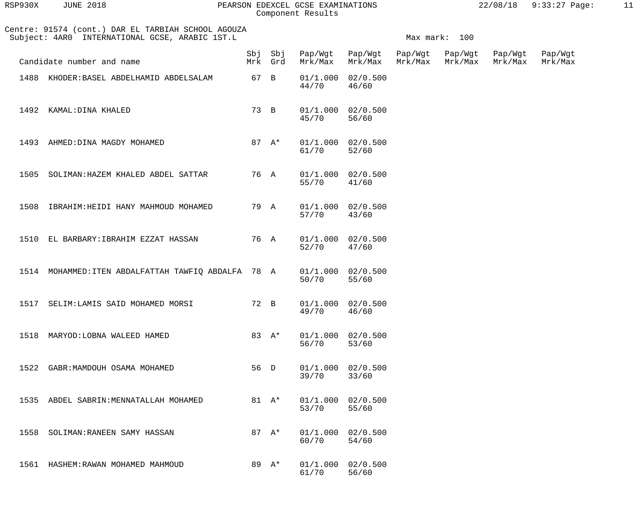| RSP930X | <b>JUNE 2018</b> |  |
|---------|------------------|--|
|         |                  |  |

#### RSP930X JUNE 2018 PEARSON EDEXCEL GCSE EXAMINATIONS 22/08/18 9:33:27 Page: 11 Component Results

| Centre: 91574 (cont.) DAR EL TARBIAH SCHOOL AGOUZA<br>Subject: 4AR0 INTERNATIONAL GCSE, ARABIC 1ST.L |                                                     |      |                    |         | Max mark: 100                  |                    |                    |                    |                    |  |
|------------------------------------------------------------------------------------------------------|-----------------------------------------------------|------|--------------------|---------|--------------------------------|--------------------|--------------------|--------------------|--------------------|--|
|                                                                                                      | Candidate number and name                           |      | Sbj Sbj<br>Mrk Grd | Mrk/Max | Pap/Wgt Pap/Wgt<br>Mrk/Max     | Pap/Wgt<br>Mrk/Max | Pap/Wgt<br>Mrk/Max | Pap/Wgt<br>Mrk/Max | Pap/Wgt<br>Mrk/Max |  |
| 1488                                                                                                 | KHODER:BASEL ABDELHAMID ABDELSALAM                  | 67 B |                    | 44/70   | $01/1.000$ $02/0.500$<br>46/60 |                    |                    |                    |                    |  |
| 1492                                                                                                 | KAMAL: DINA KHALED                                  | 73 B |                    | 45/70   | $01/1.000$ $02/0.500$<br>56/60 |                    |                    |                    |                    |  |
| 1493                                                                                                 | AHMED: DINA MAGDY MOHAMED                           |      | 87 $A^*$           | 61/70   | $01/1.000$ $02/0.500$<br>52/60 |                    |                    |                    |                    |  |
|                                                                                                      | 1505 SOLIMAN: HAZEM KHALED ABDEL SATTAR             | 76 A |                    | 55/70   | 01/1.000 02/0.500<br>41/60     |                    |                    |                    |                    |  |
| 1508                                                                                                 | IBRAHIM: HEIDI HANY MAHMOUD MOHAMED                 | 79 A |                    | 57/70   | $01/1.000$ $02/0.500$<br>43/60 |                    |                    |                    |                    |  |
| 1510                                                                                                 | EL BARBARY: IBRAHIM EZZAT HASSAN                    | 76 A |                    | 52/70   | $01/1.000$ $02/0.500$<br>47/60 |                    |                    |                    |                    |  |
|                                                                                                      | 1514 MOHAMMED: ITEN ABDALFATTAH TAWFIQ ABDALFA 78 A |      |                    | 50/70   | $01/1.000$ $02/0.500$<br>55/60 |                    |                    |                    |                    |  |
|                                                                                                      | 1517 SELIM: LAMIS SAID MOHAMED MORSI                | 72 B |                    | 49/70   | $01/1.000$ $02/0.500$<br>46/60 |                    |                    |                    |                    |  |
|                                                                                                      | 1518 MARYOD: LOBNA WALEED HAMED                     |      | 83 A*              | 56/70   | 01/1.000 02/0.500<br>53/60     |                    |                    |                    |                    |  |
|                                                                                                      | 1522 GABR: MAMDOUH OSAMA MOHAMED                    | 56 D |                    | 39/70   | $01/1.000$ $02/0.500$<br>33/60 |                    |                    |                    |                    |  |
|                                                                                                      | 1535 ABDEL SABRIN: MENNATALLAH MOHAMED              |      | 81 $A^*$           | 53/70   | $01/1.000$ $02/0.500$<br>55/60 |                    |                    |                    |                    |  |
|                                                                                                      | 1558 SOLIMAN: RANEEN SAMY HASSAN                    |      | 87 $A^*$           | 60/70   | $01/1.000$ $02/0.500$<br>54/60 |                    |                    |                    |                    |  |
|                                                                                                      | 1561 HASHEM: RAWAN MOHAMED MAHMOUD                  |      | 89 A*              | 61/70   | 01/1.000 02/0.500<br>56/60     |                    |                    |                    |                    |  |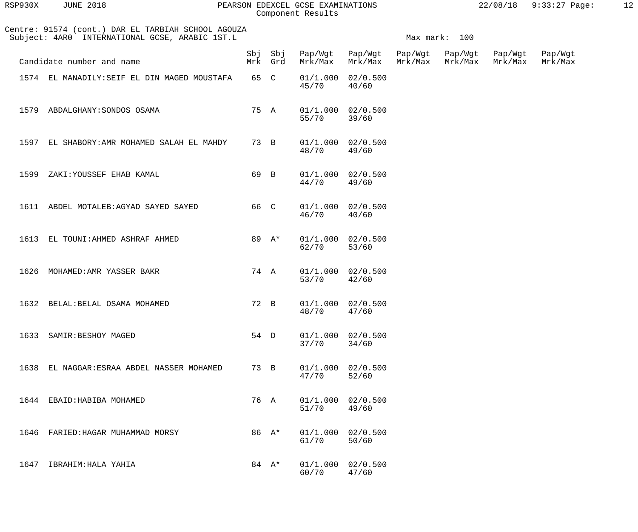| RSP930X | <b>JUNE 2018</b>                                                                                     | PEARSON EDEXCEL GCSE EXAMINATIONS<br>Component Results |               | $22/08/18$ 9:33:27 Page: | 12 |
|---------|------------------------------------------------------------------------------------------------------|--------------------------------------------------------|---------------|--------------------------|----|
|         | Centre: 91574 (cont.) DAR EL TARBIAH SCHOOL AGOUZA<br>Subject: 4AR0 INTERNATIONAL GCSE, ARABIC 1ST.L |                                                        | Max mark: 100 |                          |    |

|      | Candidate number and name                    |      | Sbj Sbj<br>Mrk Grd | Pap/Wgt<br>Mrk/Max  | Pap/Wgt<br>Mrk/Max             | Pap/Wgt<br>Mrk/Max | Pap/Wgt<br>Mrk/Max | Pap/Wgt<br>Mrk/Max | Pap/Wgt<br>Mrk/Max |
|------|----------------------------------------------|------|--------------------|---------------------|--------------------------------|--------------------|--------------------|--------------------|--------------------|
|      | 1574 EL MANADILY: SEIF EL DIN MAGED MOUSTAFA | 65 C |                    | 45/70               | $01/1.000$ $02/0.500$<br>40/60 |                    |                    |                    |                    |
| 1579 | ABDALGHANY: SONDOS OSAMA                     | 75 A |                    | 55/70               | $01/1.000$ $02/0.500$<br>39/60 |                    |                    |                    |                    |
| 1597 | EL SHABORY: AMR MOHAMED SALAH EL MAHDY       | 73 B |                    | 48/70               | $01/1.000$ $02/0.500$<br>49/60 |                    |                    |                    |                    |
| 1599 | ZAKI: YOUSSEF EHAB KAMAL                     | 69 B |                    | 44/70               | $01/1.000$ $02/0.500$<br>49/60 |                    |                    |                    |                    |
| 1611 | ABDEL MOTALEB:AGYAD SAYED SAYED              | 66 C |                    | 46/70               | $01/1.000$ $02/0.500$<br>40/60 |                    |                    |                    |                    |
| 1613 | EL TOUNI: AHMED ASHRAF AHMED                 |      | 89 A*              | 62/70               | $01/1.000$ $02/0.500$<br>53/60 |                    |                    |                    |                    |
| 1626 | MOHAMED: AMR YASSER BAKR                     | 74 A |                    | $53/70$             | $01/1.000$ $02/0.500$<br>42/60 |                    |                    |                    |                    |
| 1632 | BELAL: BELAL OSAMA MOHAMED                   | 72 B |                    | 48/70               | $01/1.000$ $02/0.500$<br>47/60 |                    |                    |                    |                    |
| 1633 | SAMIR: BESHOY MAGED                          | 54 D |                    | 37/70               | $01/1.000$ $02/0.500$<br>34/60 |                    |                    |                    |                    |
|      | 1638 EL NAGGAR: ESRAA ABDEL NASSER MOHAMED   | 73 B |                    | 47/70               | $01/1.000$ $02/0.500$<br>52/60 |                    |                    |                    |                    |
|      | 1644 EBAID: HABIBA MOHAMED                   | 76 A |                    | 01/1.000<br>$51/70$ | 02/0.500<br>49/60              |                    |                    |                    |                    |
| 1646 | FARIED: HAGAR MUHAMMAD MORSY                 |      | 86 A*              | 01/1.000<br>61/70   | 02/0.500<br>50/60              |                    |                    |                    |                    |
| 1647 | IBRAHIM: HALA YAHIA                          |      | 84 $A^*$           | 01/1.000<br>60/70   | 02/0.500<br>47/60              |                    |                    |                    |                    |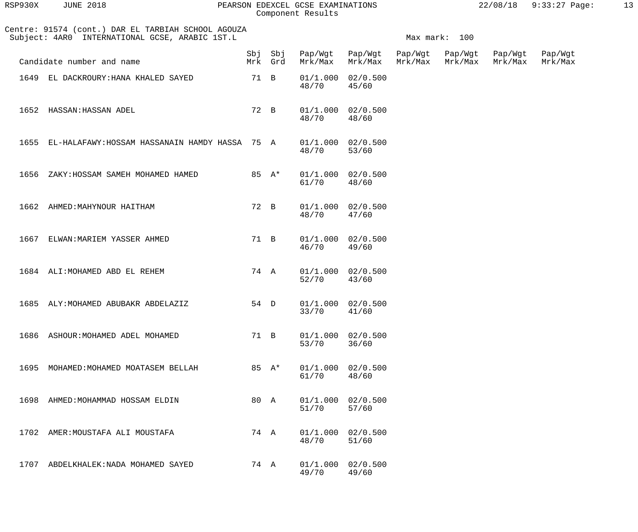| RSP930X | <b>JUNE 2018</b> |  |
|---------|------------------|--|
|         |                  |  |

### RSP930X JUNE 2018 PEARSON EDEXCEL GCSE EXAMINATIONS 22/08/18 9:33:27 Page: 13 Component Results

|      | Centre: 91574 (cont.) DAR EL TARBIAH SCHOOL AGOUZA<br>Subject: 4AR0 INTERNATIONAL GCSE, ARABIC 1ST.L | Max mark: 100 |          |                                |                                |                    |                    |                    |                    |  |
|------|------------------------------------------------------------------------------------------------------|---------------|----------|--------------------------------|--------------------------------|--------------------|--------------------|--------------------|--------------------|--|
|      | Candidate number and name                                                                            |               | Mrk Grd  | Sbj Sbj Pap/Wgt Pap/Wgt        | Mrk/Max Mrk/Max                | Pap/Wgt<br>Mrk/Max | Pap/Wgt<br>Mrk/Max | Pap/Wgt<br>Mrk/Max | Pap/Wgt<br>Mrk/Max |  |
|      | 1649 EL DACKROURY: HANA KHALED SAYED                                                                 | 71 B          |          | 48/70                          | $01/1.000$ $02/0.500$<br>45/60 |                    |                    |                    |                    |  |
|      | 1652 HASSAN: HASSAN ADEL                                                                             | 72 B          |          | 48/70                          | $01/1.000$ $02/0.500$<br>48/60 |                    |                    |                    |                    |  |
|      | 1655 EL-HALAFAWY:HOSSAM HASSANAIN HAMDY HASSA 75 A                                                   |               |          | $01/1.000$ $02/0.500$<br>48/70 | 53/60                          |                    |                    |                    |                    |  |
| 1656 | ZAKY: HOSSAM SAMEH MOHAMED HAMED                                                                     |               | 85 $A^*$ | 61/70                          | $01/1.000$ $02/0.500$<br>48/60 |                    |                    |                    |                    |  |
| 1662 | AHMED: MAHYNOUR HAITHAM                                                                              | 72 B          |          | 48/70                          | $01/1.000$ $02/0.500$<br>47/60 |                    |                    |                    |                    |  |
| 1667 | ELWAN: MARIEM YASSER AHMED                                                                           | 71 B          |          | 46/70                          | $01/1.000$ $02/0.500$<br>49/60 |                    |                    |                    |                    |  |
|      | 1684 ALI: MOHAMED ABD EL REHEM                                                                       | 74 A          |          | $52/70$                        | $01/1.000$ $02/0.500$<br>43/60 |                    |                    |                    |                    |  |
|      | 1685 ALY: MOHAMED ABUBAKR ABDELAZIZ                                                                  | 54 D          |          | 33/70                          | $01/1.000$ $02/0.500$<br>41/60 |                    |                    |                    |                    |  |
|      | 1686 ASHOUR: MOHAMED ADEL MOHAMED                                                                    | 71 B          |          | 53/70                          | 01/1.000 02/0.500<br>36/60     |                    |                    |                    |                    |  |
|      | 1695 MOHAMED: MOHAMED MOATASEM BELLAH                                                                |               | 85 A*    | 61/70                          | $01/1.000$ $02/0.500$<br>48/60 |                    |                    |                    |                    |  |
|      | 1698 AHMED: MOHAMMAD HOSSAM ELDIN                                                                    | 80 A          |          | 51/70                          | $01/1.000$ $02/0.500$<br>57/60 |                    |                    |                    |                    |  |
|      | 1702 AMER: MOUSTAFA ALI MOUSTAFA                                                                     |               | 74 A     | 48/70                          | $01/1.000$ $02/0.500$<br>51/60 |                    |                    |                    |                    |  |
|      | 1707 ABDELKHALEK: NADA MOHAMED SAYED                                                                 |               | 74 A     | 49/70                          | $01/1.000$ $02/0.500$<br>49/60 |                    |                    |                    |                    |  |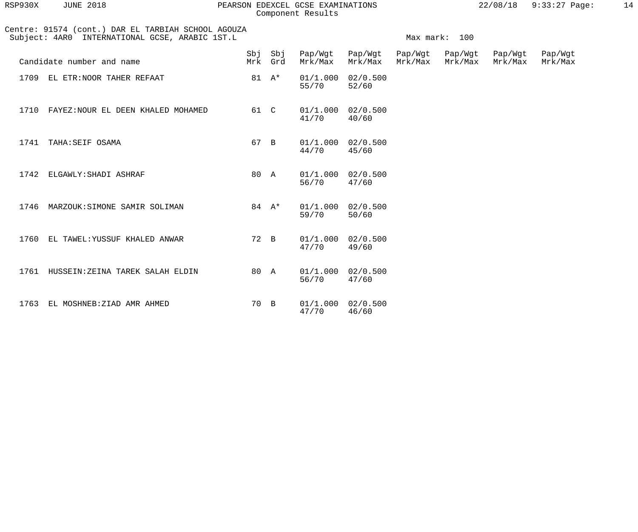| RSP930X | <b>JUNE 2018</b> |  |
|---------|------------------|--|
|         |                  |  |

#### RSP930X JUNE 2018 PEARSON EDEXCEL GCSE EXAMINATIONS 22/08/18 9:33:27 Page: 14 Component Results

| 22/08/18 | $9:33:27$ Page: |  |
|----------|-----------------|--|
|          |                 |  |

|      | Centre: 91574 (cont.) DAR EL TARBIAH SCHOOL AGOUZA<br>Subject: 4AR0 INTERNATIONAL GCSE, ARABIC 1ST.L | Max mark: 100 |                    |         |                                |                    |                    |                    |                    |
|------|------------------------------------------------------------------------------------------------------|---------------|--------------------|---------|--------------------------------|--------------------|--------------------|--------------------|--------------------|
|      | Candidate number and name                                                                            |               | Sbj Sbj<br>Mrk Grd | Mrk/Max | Pap/Wgt Pap/Wgt<br>Mrk/Max     | Pap/Wgt<br>Mrk/Max | Pap/Wgt<br>Mrk/Max | Pap/Wgt<br>Mrk/Max | Pap/Wgt<br>Mrk/Max |
|      | 1709 EL ETR: NOOR TAHER REFAAT                                                                       |               | 81 $A^*$           | 55/70   | 01/1.000 02/0.500<br>52/60     |                    |                    |                    |                    |
|      | 1710 FAYEZ: NOUR EL DEEN KHALED MOHAMED                                                              | 61 C          |                    | 41/70   | 01/1.000 02/0.500<br>40/60     |                    |                    |                    |                    |
|      | 1741 TAHA: SEIF OSAMA                                                                                | 67 B          |                    | 44/70   | $01/1.000$ $02/0.500$<br>45/60 |                    |                    |                    |                    |
| 1742 | ELGAWLY: SHADI ASHRAF                                                                                | 80 A          |                    | 56/70   | $01/1.000$ $02/0.500$<br>47/60 |                    |                    |                    |                    |
| 1746 | MARZOUK: SIMONE SAMIR SOLIMAN                                                                        |               | 84 $A^*$           | 59/70   | $01/1.000$ $02/0.500$<br>50/60 |                    |                    |                    |                    |
| 1760 | EL TAWEL: YUSSUF KHALED ANWAR                                                                        | 72 B          |                    | 47/70   | $01/1.000$ $02/0.500$<br>49/60 |                    |                    |                    |                    |
|      | 1761 HUSSEIN: ZEINA TAREK SALAH ELDIN                                                                | 80 A          |                    | 56/70   | 01/1.000 02/0.500<br>47/60     |                    |                    |                    |                    |
| 1763 | EL MOSHNEB: ZIAD AMR AHMED                                                                           | 70 B          |                    | 47/70   | $01/1.000$ $02/0.500$<br>46/60 |                    |                    |                    |                    |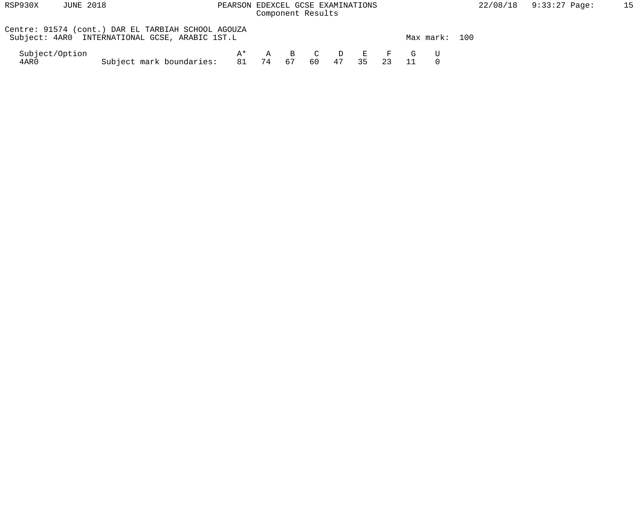| RSP930X                | JUNE 2018                                                                                            | PEARSON EDEXCEL GCSE EXAMINATIONS    | Component Results |                    |    |    |    |    |             |               | 22/08/ |
|------------------------|------------------------------------------------------------------------------------------------------|--------------------------------------|-------------------|--------------------|----|----|----|----|-------------|---------------|--------|
|                        | Centre: 91574 (cont.) DAR EL TARBIAH SCHOOL AGOUZA<br>Subject: 4AR0 INTERNATIONAL GCSE, ARABIC 1ST.L |                                      |                   |                    |    |    |    |    |             | Max mark: 100 |        |
| Subject/Option<br>4AR0 |                                                                                                      | A*<br>Subject mark boundaries: 81 74 | $\mathbf{A}$      | $\mathbf{B}$<br>67 | 60 | 47 | 35 | 23 | C D E F G U |               |        |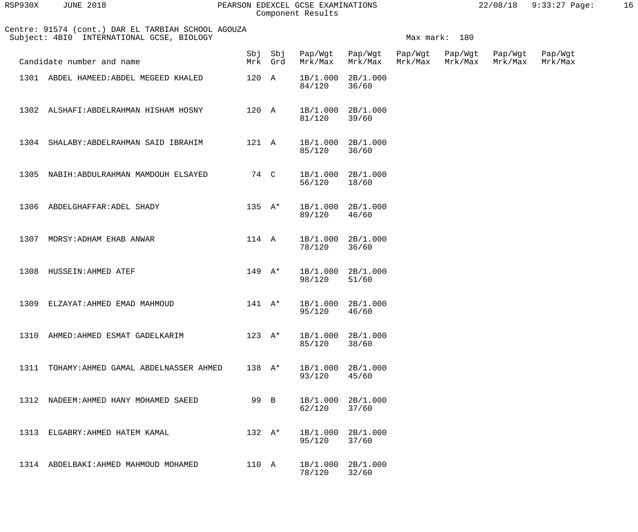| RSP930X | <b>JUNE 2018</b> |  |
|---------|------------------|--|
|         |                  |  |

### RSP930X JUNE 2018 PEARSON EDEXCEL GCSE EXAMINATIONS 22/08/18 9:33:27 Page: 16 Component Results

| Centre: 91574 (cont.) DAR EL TARBIAH SCHOOL AGOUZA<br>Subject: 4BI0 INTERNATIONAL GCSE, BIOLOGY |                                            |                  |                    |                    |                            |                    | Max mark: 180      |                    |                    |  |  |
|-------------------------------------------------------------------------------------------------|--------------------------------------------|------------------|--------------------|--------------------|----------------------------|--------------------|--------------------|--------------------|--------------------|--|--|
|                                                                                                 | Candidate number and name                  |                  | Sbj Sbj<br>Mrk Grd | Mrk/Max            | Pap/Wgt Pap/Wgt<br>Mrk/Max | Pap/Wgt<br>Mrk/Max | Pap/Wgt<br>Mrk/Max | Pap/Wgt<br>Mrk/Max | Pap/Wgt<br>Mrk/Max |  |  |
|                                                                                                 | 1301 ABDEL HAMEED: ABDEL MEGEED KHALED     | 120 A            |                    | 84/120             | 1B/1.000 2B/1.000<br>36/60 |                    |                    |                    |                    |  |  |
| 1302                                                                                            | ALSHAFI:ABDELRAHMAN HISHAM HOSNY           | 120 A            |                    | 81/120             | 1B/1.000 2B/1.000<br>39/60 |                    |                    |                    |                    |  |  |
| 1304                                                                                            | SHALABY:ABDELRAHMAN SAID IBRAHIM           | 121 A            |                    | 85/120             | 1B/1.000 2B/1.000<br>36/60 |                    |                    |                    |                    |  |  |
| 1305                                                                                            | NABIH:ABDULRAHMAN MAMDOUH ELSAYED          | 74 C             |                    | 56/120             | 1B/1.000 2B/1.000<br>18/60 |                    |                    |                    |                    |  |  |
| 1306                                                                                            | ABDELGHAFFAR: ADEL SHADY                   | $135 \text{ A*}$ |                    | 89/120             | 1B/1.000 2B/1.000<br>46/60 |                    |                    |                    |                    |  |  |
| 1307                                                                                            | MORSY: ADHAM EHAB ANWAR                    | 114 A            |                    | 78/120             | 1B/1.000 2B/1.000<br>36/60 |                    |                    |                    |                    |  |  |
| 1308                                                                                            | HUSSEIN: AHMED ATEF                        | $149 \text{ A*}$ |                    | 1B/1.000<br>98/120 | 2B/1.000<br>51/60          |                    |                    |                    |                    |  |  |
| 1309                                                                                            | ELZAYAT:AHMED EMAD MAHMOUD                 | $141$ $A^*$      |                    | 95/120             | 1B/1.000 2B/1.000<br>46/60 |                    |                    |                    |                    |  |  |
|                                                                                                 | 1310 AHMED: AHMED ESMAT GADELKARIM         | $123 \text{ A*}$ |                    | 85/120             | 1B/1.000 2B/1.000<br>38/60 |                    |                    |                    |                    |  |  |
|                                                                                                 | 1311 TOHAMY: AHMED GAMAL ABDELNASSER AHMED | 138 $A^*$        |                    | 93/120             | 1B/1.000 2B/1.000<br>45/60 |                    |                    |                    |                    |  |  |
|                                                                                                 | 1312 NADEEM: AHMED HANY MOHAMED SAEED      | 99 B             |                    | 62/120             | 1B/1.000 2B/1.000<br>37/60 |                    |                    |                    |                    |  |  |
|                                                                                                 | 1313 ELGABRY: AHMED HATEM KAMAL            | 132 $A^*$        |                    | 95/120             | 1B/1.000 2B/1.000<br>37/60 |                    |                    |                    |                    |  |  |
|                                                                                                 | 1314 ABDELBAKI: AHMED MAHMOUD MOHAMED      | 110 A            |                    | 78/120             | 1B/1.000 2B/1.000<br>32/60 |                    |                    |                    |                    |  |  |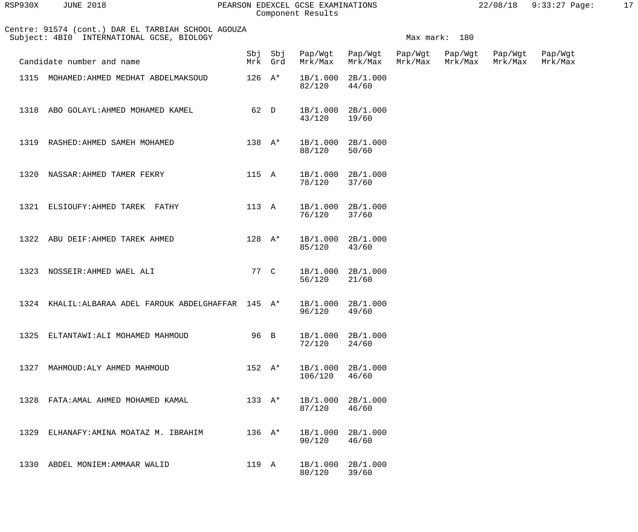| RSP930X | <b>JUNE 2018</b> | PEARSON EDEXCEL GCSE EXAMINATIONS | 22/08/18 9:33:27 Page: |  |
|---------|------------------|-----------------------------------|------------------------|--|
|         |                  | Component Results                 |                        |  |

|      | Centre: 91574 (cont.) DAR EL TARBIAH SCHOOL AGOUZA<br>Subject: 4BI0 INTERNATIONAL GCSE, BIOLOGY | Max mark: 180              |          |                                         |                            |         |         |                            |         |
|------|-------------------------------------------------------------------------------------------------|----------------------------|----------|-----------------------------------------|----------------------------|---------|---------|----------------------------|---------|
|      | Candidate number and name                                                                       |                            | Mrk Grd  | Sbj Sbj Pap/Wgt Pap/Wgt Pap/Wgt Pap/Wgt | Mrk/Max Mrk/Max            | Mrk/Max | Mrk/Max | Pap/Wgt<br>Mrk/Max Mrk/Max | Pap/Wgt |
|      | 1315 MOHAMED: AHMED MEDHAT ABDELMAKSOUD                                                         | $126$ $\mathrm{A}^{\star}$ |          | 82/120                                  | 1B/1.000 2B/1.000<br>44/60 |         |         |                            |         |
|      | 1318 ABO GOLAYL: AHMED MOHAMED KAMEL 62 D                                                       |                            |          | 1B/1.000 2B/1.000<br>43/120 19/60       |                            |         |         |                            |         |
|      | 1319 RASHED: AHMED SAMEH MOHAMED                                                                |                            | 138 A*   | 1B/1.000 2B/1.000<br>88/120             | 50/60                      |         |         |                            |         |
|      | 1320 NASSAR: AHMED TAMER FEKRY                                                                  |                            |          | 115 A 1B/1.000 2B/1.000<br>78/120       | 37/60                      |         |         |                            |         |
|      | 1321 ELSIOUFY: AHMED TAREK FATHY                                                                |                            |          | 113 A 1B/1.000 2B/1.000<br>76/120       | 37/60                      |         |         |                            |         |
|      | 1322 ABU DEIF: AHMED TAREK AHMED                                                                |                            | $128$ A* | 85/120 43/60                            | 1B/1.000 2B/1.000          |         |         |                            |         |
|      | 1323 NOSSEIR: AHMED WAEL ALI                                                                    | 77 C                       |          | 56/120                                  | 1B/1.000 2B/1.000<br>21/60 |         |         |                            |         |
|      | 1324 KHALIL: ALBARAA ADEL FAROUK ABDELGHAFFAR 145 A*                                            |                            |          | 1B/1.000 2B/1.000<br>96/120             | 49/60                      |         |         |                            |         |
| 1325 | ELTANTAWI: ALI MOHAMED MAHMOUD                                                                  | 96 B                       |          | 1B/1.000<br>72/120                      | 2B/1.000<br>24/60          |         |         |                            |         |
| 1327 | MAHMOUD: ALY AHMED MAHMOUD                                                                      | $152 \text{ A*}$           |          | 1B/1.000<br>106/120                     | 2B/1.000<br>46/60          |         |         |                            |         |
| 1328 | FATA: AMAL AHMED MOHAMED KAMAL                                                                  | 133 $A^*$                  |          | 1B/1.000<br>87/120                      | 2B/1.000<br>46/60          |         |         |                            |         |
| 1329 | ELHANAFY:AMINA MOATAZ M. IBRAHIM                                                                | $136 \text{ A*}$           |          | 1B/1.000<br>90/120                      | 2B/1.000<br>46/60          |         |         |                            |         |
| 1330 | ABDEL MONIEM: AMMAAR WALID                                                                      | 119 A                      |          | 1B/1.000<br>80/120                      | 2B/1.000<br>39/60          |         |         |                            |         |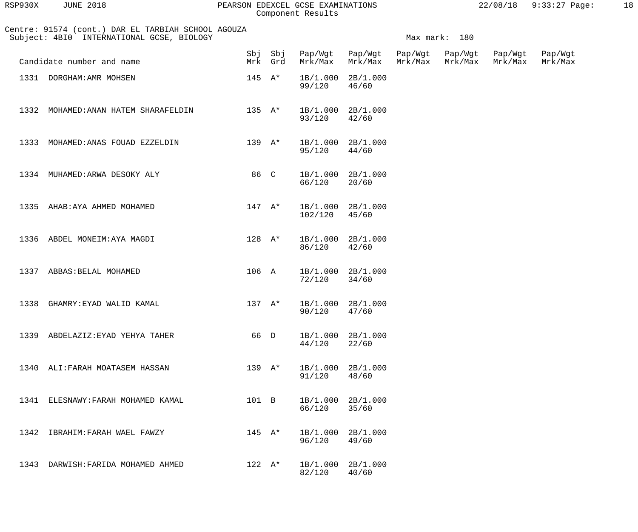| RSP930X | <b>JUNE 2018</b>                                                                                |                  |                    | PEARSON EDEXCEL GCSE EXAMINATIONS<br>Component Results |                    |                    |                    |                    | 22/08/18 9:33:27 Page: | 18 |
|---------|-------------------------------------------------------------------------------------------------|------------------|--------------------|--------------------------------------------------------|--------------------|--------------------|--------------------|--------------------|------------------------|----|
|         | Centre: 91574 (cont.) DAR EL TARBIAH SCHOOL AGOUZA<br>Subject: 4BI0 INTERNATIONAL GCSE, BIOLOGY |                  |                    |                                                        |                    |                    | Max mark: 180      |                    |                        |    |
|         | Candidate number and name                                                                       |                  | Sbj Sbj<br>Mrk Grd | Pap/Wgt<br>Mrk/Max                                     | Pap/Wgt<br>Mrk/Max | Pap/Wgt<br>Mrk/Max | Pap/Wgt<br>Mrk/Max | Pap/Wgt<br>Mrk/Max | Pap/Wgt<br>Mrk/Max     |    |
|         | 1331 DORGHAM: AMR MOHSEN                                                                        | $145$ A*         |                    | 1B/1.000<br>99/120                                     | 2B/1.000<br>46/60  |                    |                    |                    |                        |    |
| 1332    | MOHAMED: ANAN HATEM SHARAFELDIN                                                                 | 135 $A*$         |                    | 1B/1.000<br>93/120                                     | 2B/1.000<br>42/60  |                    |                    |                    |                        |    |
| 1333    | MOHAMED: ANAS FOUAD EZZELDIN                                                                    | $139 \text{ A*}$ |                    | 1B/1.000<br>95/120                                     | 2B/1.000<br>44/60  |                    |                    |                    |                        |    |
| 1334    | MUHAMED: ARWA DESOKY ALY                                                                        | 86 C             |                    | 1B/1.000<br>66/120                                     | 2B/1.000<br>20/60  |                    |                    |                    |                        |    |
| 1335    | AHAB: AYA AHMED MOHAMED                                                                         | $147 \quad A^*$  |                    | 1B/1.000<br>102/120                                    | 2B/1.000<br>45/60  |                    |                    |                    |                        |    |
| 1336    | ABDEL MONEIM: AYA MAGDI                                                                         | $128$ A*         |                    | 1B/1.000<br>86/120                                     | 2B/1.000<br>42/60  |                    |                    |                    |                        |    |
| 1337    | ABBAS: BELAL MOHAMED                                                                            | 106 A            |                    | 1B/1.000<br>72/120                                     | 2B/1.000<br>34/60  |                    |                    |                    |                        |    |
|         | 1338 GHAMRY: EYAD WALID KAMAL                                                                   | $137 A*$         |                    | 1B/1.000 2B/1.000<br>90/120                            | 47/60              |                    |                    |                    |                        |    |
|         | 1339 ABDELAZIZ: EYAD YEHYA TAHER                                                                | 66 D             |                    | 1B/1.000 2B/1.000<br>44/120                            | 22/60              |                    |                    |                    |                        |    |
|         | 1340 ALI: FARAH MOATASEM HASSAN                                                                 | $139 \text{ A*}$ |                    | 1B/1.000 2B/1.000<br>91/120                            | 48/60              |                    |                    |                    |                        |    |
|         | 1341 ELESNAWY: FARAH MOHAMED KAMAL                                                              | 101 B            |                    | 1B/1.000 2B/1.000<br>66/120                            | 35/60              |                    |                    |                    |                        |    |
|         | 1342 IBRAHIM: FARAH WAEL FAWZY                                                                  | $145$ A*         |                    | 1B/1.000 2B/1.000<br>96/120                            | 49/60              |                    |                    |                    |                        |    |

 1343 DARWISH:FARIDA MOHAMED AHMED 122 A\* 1B/1.000 2B/1.000 82/120 40/60

96/120 49/60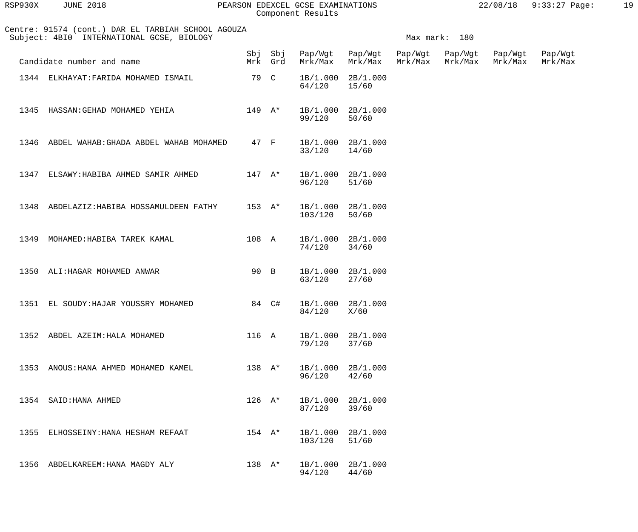| RSP930X | <b>JUNE 2018</b> | PEARSON EDEXCEL GCSE EXAMINATIONS | 22/08/18 | $9:33:27$ Page: |  |
|---------|------------------|-----------------------------------|----------|-----------------|--|
|         |                  | Component Results                 |          |                 |  |

| lSP930X | <b>JUNE 2018</b> |  |
|---------|------------------|--|
|         |                  |  |

Centre: 91574 (cont.) DAR EL TARBIAH SCHOOL AGOUZA

|      | 1344 ELKHAYAT: FARIDA MOHAMED ISMAIL        | 79 C             |             | 1B/1.000<br>64/120           | 2B/1.000<br>15/60 |
|------|---------------------------------------------|------------------|-------------|------------------------------|-------------------|
|      | 1345 HASSAN: GEHAD MOHAMED YEHIA            |                  | 149 A*      | 1B/1.000<br>99/120           | 2B/1.000<br>50/60 |
|      | 1346 ABDEL WAHAB: GHADA ABDEL WAHAB MOHAMED | 47 F             |             | 1B/1.000<br>33/120           | 2B/1.000<br>14/60 |
|      | 1347 ELSAWY: HABIBA AHMED SAMIR AHMED       | $147$ A*         |             | 1B/1.000<br>96/120           | 2B/1.000<br>51/60 |
|      | 1348 ABDELAZIZ: HABIBA HOSSAMULDEEN FATHY   |                  | $153$ $A^*$ | 1B/1.000 2B/1.000<br>103/120 | 50/60             |
|      | 1349 MOHAMED: HABIBA TAREK KAMAL            | 108 A            |             | 1B/1.000 2B/1.000<br>74/120  | 34/60             |
|      | 1350 ALI: HAGAR MOHAMED ANWAR               | 90 B             |             | 1B/1.000 2B/1.000<br>63/120  | 27/60             |
|      | 1351 EL SOUDY: HAJAR YOUSSRY MOHAMED        |                  | 84 C#       | 1B/1.000<br>84/120           | 2B/1.000<br>X/60  |
|      | 1352 ABDEL AZEIM: HALA MOHAMED              | 116 A            |             | 1B/1.000<br>79/120           | 2B/1.000<br>37/60 |
|      | 1353 ANOUS: HANA AHMED MOHAMED KAMEL        | $138 A*$         |             | 1B/1.000<br>96/120           | 2B/1.000<br>42/60 |
|      | 1354 SAID: HANA AHMED                       | $126 \text{ A*}$ |             | 1B/1.000<br>87/120           | 2B/1.000<br>39/60 |
| 1355 | ELHOSSEINY: HANA HESHAM REFAAT              | $154 \text{ A*}$ |             | 1B/1.000<br>103/120          | 2B/1.000<br>51/60 |
| 1356 | ABDELKAREEM: HANA MAGDY ALY                 | 138 $A^*$        |             | 1B/1.000<br>94/120           | 2B/1.000<br>44/60 |

Subject: 4BI0 INTERNATIONAL GCSE, BIOLOGY **Max mark: 180** 

 Sbj Sbj Pap/Wgt Pap/Wgt Pap/Wgt Pap/Wgt Pap/Wgt Pap/Wgt Candidate number and name Mrk Grd Mrk/Max Mrk/Max Mrk/Max Mrk/Max Mrk/Max Mrk/Max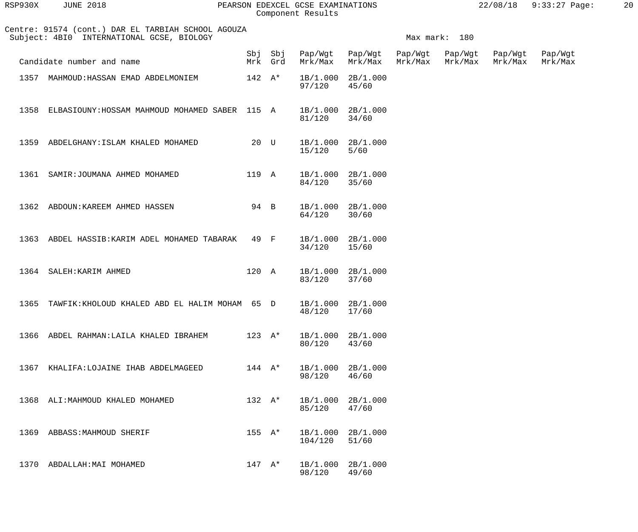| RSP930X | <b>JUNE 2018</b>                                                                                |                    | PEARSON EDEXCEL GCSE EXAMINATIONS<br>Component Results |                            |                    |                    | 22/08/18           | $9:33:27$ Page:    | 20 |
|---------|-------------------------------------------------------------------------------------------------|--------------------|--------------------------------------------------------|----------------------------|--------------------|--------------------|--------------------|--------------------|----|
|         | Centre: 91574 (cont.) DAR EL TARBIAH SCHOOL AGOUZA<br>Subject: 4BI0 INTERNATIONAL GCSE, BIOLOGY |                    |                                                        |                            |                    | Max mark: 180      |                    |                    |    |
|         | Candidate number and name                                                                       | Sbj Sbj<br>Mrk Grd | Pap/Wgt<br>Mrk/Max                                     | Pap/Wgt<br>Mrk/Max         | Pap/Wgt<br>Mrk/Max | Pap/Wgt<br>Mrk/Max | Pap/Wgt<br>Mrk/Max | Pap/Wgt<br>Mrk/Max |    |
| 1357    | MAHMOUD: HASSAN EMAD ABDELMONIEM                                                                | $142 \quad A^*$    | 1B/1.000<br>97/120                                     | 2B/1.000<br>45/60          |                    |                    |                    |                    |    |
| 1358    | ELBASIOUNY: HOSSAM MAHMOUD MOHAMED SABER 115 A                                                  |                    | 1B/1.000<br>81/120                                     | 2B/1.000<br>34/60          |                    |                    |                    |                    |    |
| 1359    | ABDELGHANY: ISLAM KHALED MOHAMED                                                                | 20 U               | 1B/1.000<br>15/120                                     | 2B/1.000<br>$5/60$         |                    |                    |                    |                    |    |
| 1361    | SAMIR: JOUMANA AHMED MOHAMED                                                                    | 119 A              | 84/120                                                 | 1B/1.000 2B/1.000<br>35/60 |                    |                    |                    |                    |    |
| 1362    | ABDOUN: KAREEM AHMED HASSEN                                                                     | 94 B               | 1B/1.000<br>64/120                                     | 2B/1.000<br>30/60          |                    |                    |                    |                    |    |
| 1363    | ABDEL HASSIB: KARIM ADEL MOHAMED TABARAK                                                        | 49 F               | 1B/1.000<br>34/120                                     | 2B/1.000<br>15/60          |                    |                    |                    |                    |    |
| 1364    | SALEH: KARIM AHMED                                                                              | 120 A              | 83/120                                                 | 1B/1.000 2B/1.000<br>37/60 |                    |                    |                    |                    |    |
| 1365    | TAWFIK: KHOLOUD KHALED ABD EL HALIM MOHAM 65 D                                                  |                    | 1B/1.000<br>48/120                                     | 2B/1.000<br>17/60          |                    |                    |                    |                    |    |
| 1366    | ABDEL RAHMAN: LAILA KHALED IBRAHEM                                                              | $123 \text{ A*}$   | 1B/1.000<br>80/120                                     | 2B/1.000<br>43/60          |                    |                    |                    |                    |    |
| 1367    | KHALIFA:LOJAINE IHAB ABDELMAGEED                                                                | $144 \quad A^*$    | 1B/1.000<br>98/120                                     | 2B/1.000<br>46/60          |                    |                    |                    |                    |    |
| 1368    | ALI: MAHMOUD KHALED MOHAMED                                                                     | $132 A*$           | 1B/1.000<br>85/120                                     | 2B/1.000<br>47/60          |                    |                    |                    |                    |    |
| 1369    | ABBASS: MAHMOUD SHERIF                                                                          | $155 \tA*$         | 1B/1.000<br>104/120                                    | 2B/1.000<br>51/60          |                    |                    |                    |                    |    |
| 1370    | ABDALLAH: MAI MOHAMED                                                                           | $147$ A*           | 1B/1.000<br>98/120                                     | 2B/1.000<br>49/60          |                    |                    |                    |                    |    |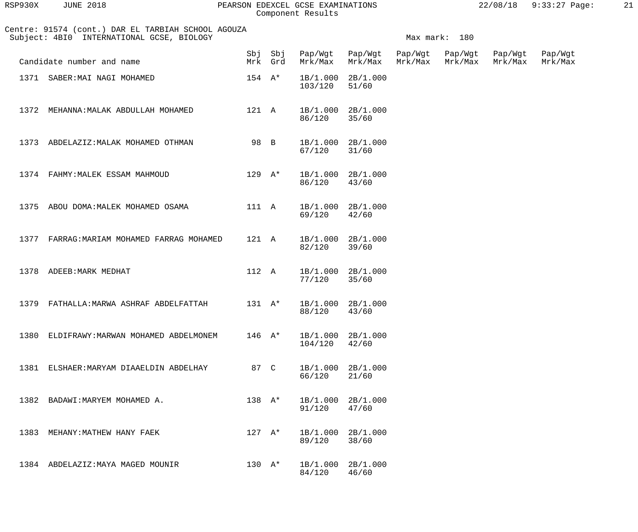| RSP930X | <b>JUNE 2018</b>                                                                                |                  |                    | PEARSON EDEXCEL GCSE EXAMINATIONS<br>Component Results |                    |                    |                    | 22/08/18           | $9:33:27$ Page:    | 21 |
|---------|-------------------------------------------------------------------------------------------------|------------------|--------------------|--------------------------------------------------------|--------------------|--------------------|--------------------|--------------------|--------------------|----|
|         | Centre: 91574 (cont.) DAR EL TARBIAH SCHOOL AGOUZA<br>Subject: 4BI0 INTERNATIONAL GCSE, BIOLOGY |                  |                    |                                                        |                    |                    | Max mark: 180      |                    |                    |    |
|         | Candidate number and name                                                                       |                  | Sbj Sbj<br>Mrk Grd | Pap/Wgt<br>Mrk/Max                                     | Pap/Wgt<br>Mrk/Max | Pap/Wgt<br>Mrk/Max | Pap/Wgt<br>Mrk/Max | Pap/Wgt<br>Mrk/Max | Pap/Wgt<br>Mrk/Max |    |
|         | 1371 SABER: MAI NAGI MOHAMED                                                                    | $154 \quad A^*$  |                    | 1B/1.000<br>103/120                                    | 2B/1.000<br>51/60  |                    |                    |                    |                    |    |
| 1372    | MEHANNA: MALAK ABDULLAH MOHAMED                                                                 | 121 A            |                    | 1B/1.000<br>86/120                                     | 2B/1.000<br>35/60  |                    |                    |                    |                    |    |
|         | 1373 ABDELAZIZ: MALAK MOHAMED OTHMAN                                                            | 98 B             |                    | 1B/1.000<br>67/120                                     | 2B/1.000<br>31/60  |                    |                    |                    |                    |    |
|         | 1374 FAHMY: MALEK ESSAM MAHMOUD                                                                 | $129 \text{ A*}$ |                    | 1B/1.000<br>86/120                                     | 2B/1.000<br>43/60  |                    |                    |                    |                    |    |
| 1375    | ABOU DOMA: MALEK MOHAMED OSAMA                                                                  | 111 A            |                    | 1B/1.000<br>69/120                                     | 2B/1.000<br>42/60  |                    |                    |                    |                    |    |
| 1377    | FARRAG: MARIAM MOHAMED FARRAG MOHAMED                                                           | 121 A            |                    | 1B/1.000<br>82/120                                     | 2B/1.000<br>39/60  |                    |                    |                    |                    |    |
| 1378    | ADEEB: MARK MEDHAT                                                                              | 112 A            |                    | 1B/1.000 2B/1.000<br>77/120                            | 35/60              |                    |                    |                    |                    |    |
| 1379    | FATHALLA: MARWA ASHRAF ABDELFATTAH                                                              | $131 \tA*$       |                    | 1B/1.000<br>88/120                                     | 2B/1.000<br>43/60  |                    |                    |                    |                    |    |
| 1380    | ELDIFRAWY: MARWAN MOHAMED ABDELMONEM                                                            | $146 \text{ A*}$ |                    | 1B/1.000<br>104/120                                    | 2B/1.000<br>42/60  |                    |                    |                    |                    |    |
| 1381    | ELSHAER: MARYAM DIAAELDIN ABDELHAY                                                              | 87 C             |                    | 1B/1.000<br>66/120                                     | 2B/1.000<br>21/60  |                    |                    |                    |                    |    |
| 1382    | BADAWI: MARYEM MOHAMED A.                                                                       | $138 A^*$        |                    | 1B/1.000<br>91/120                                     | 2B/1.000<br>47/60  |                    |                    |                    |                    |    |
| 1383    | MEHANY: MATHEW HANY FAEK                                                                        | $127 \text{ A*}$ |                    | 1B/1.000<br>89/120                                     | 2B/1.000<br>38/60  |                    |                    |                    |                    |    |

1384 ABDELAZIZ: MAYA MAGED MOUNIR 130 A\* 1B/1.000 2B/1.000<br>84/120 46/60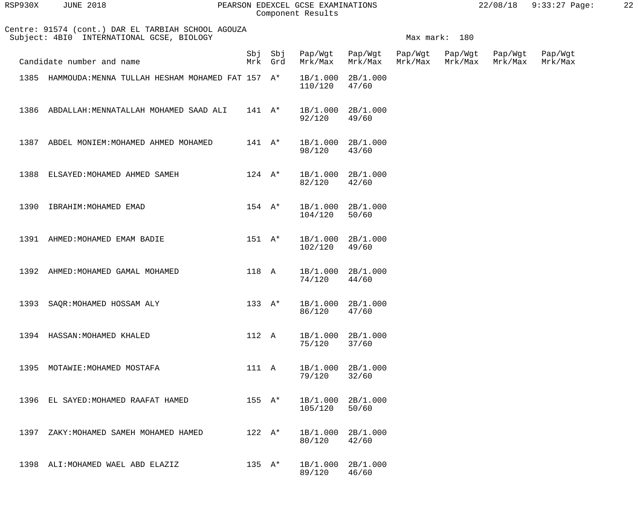| RSP930X | <b>JUNE 2018</b>                                                                                |                 |                    | PEARSON EDEXCEL GCSE EXAMINATIONS<br>Component Results |                    |                            |               | 22/08/18           | 9:33:27 Page:      | 22 |
|---------|-------------------------------------------------------------------------------------------------|-----------------|--------------------|--------------------------------------------------------|--------------------|----------------------------|---------------|--------------------|--------------------|----|
|         | Centre: 91574 (cont.) DAR EL TARBIAH SCHOOL AGOUZA<br>Subject: 4BI0 INTERNATIONAL GCSE, BIOLOGY |                 |                    |                                                        |                    |                            | Max mark: 180 |                    |                    |    |
|         | Candidate number and name                                                                       |                 | Sbj Sbj<br>Mrk Grd | Pap/Wgt<br>Mrk/Max                                     | Pap/Wgt<br>Mrk/Max | Pap/Wgt<br>Mrk/Max Mrk/Max | Pap/Wgt       | Pap/Wgt<br>Mrk/Max | Pap/Wgt<br>Mrk/Max |    |
|         | 1385 HAMMOUDA: MENNA TULLAH HESHAM MOHAMED FAT 157 A*                                           |                 |                    | 1B/1.000<br>110/120                                    | 2B/1.000<br>47/60  |                            |               |                    |                    |    |
|         | 1386 ABDALLAH: MENNATALLAH MOHAMED SAAD ALI                                                     | $141$ $A^*$     |                    | 1B/1.000<br>92/120                                     | 2B/1.000<br>49/60  |                            |               |                    |                    |    |
| 1387    | ABDEL MONIEM: MOHAMED AHMED MOHAMED                                                             | $141$ $A^*$     |                    | 1B/1.000 2B/1.000<br>98/120                            | 43/60              |                            |               |                    |                    |    |
| 1388    | ELSAYED: MOHAMED AHMED SAMEH                                                                    | $124 \quad A^*$ |                    | 1B/1.000 2B/1.000<br>82/120                            | 42/60              |                            |               |                    |                    |    |
|         | 1390 IBRAHIM: MOHAMED EMAD                                                                      | $154$ A*        |                    | 1B/1.000<br>104/120                                    | 2B/1.000<br>50/60  |                            |               |                    |                    |    |
|         | 1391 AHMED: MOHAMED EMAM BADIE                                                                  | $151$ $A^*$     |                    | 1B/1.000<br>102/120                                    | 2B/1.000<br>49/60  |                            |               |                    |                    |    |
|         | 1392 AHMED: MOHAMED GAMAL MOHAMED                                                               | 118 A           |                    | 1B/1.000 2B/1.000<br>74/120                            | 44/60              |                            |               |                    |                    |    |
|         | 1393 SAQR: MOHAMED HOSSAM ALY                                                                   |                 |                    | 133 A* 1B/1.000 2B/1.000<br>86/120                     | 47/60              |                            |               |                    |                    |    |
|         | 1394 HASSAN: MOHAMED KHALED                                                                     | 112 A           |                    | 1B/1.000 2B/1.000<br>75/120                            | 37/60              |                            |               |                    |                    |    |
|         | 1395 MOTAWIE: MOHAMED MOSTAFA                                                                   | 111 A           |                    | 1B/1.000 2B/1.000<br>79/120                            | 32/60              |                            |               |                    |                    |    |
|         | 1396 EL SAYED: MOHAMED RAAFAT HAMED                                                             |                 | $155 \tA*$         | 1B/1.000 2B/1.000<br>105/120                           | 50/60              |                            |               |                    |                    |    |
|         | 1397 ZAKY: MOHAMED SAMEH MOHAMED HAMED                                                          | $122 \quad A^*$ |                    | 1B/1.000 2B/1.000<br>80/120                            | 42/60              |                            |               |                    |                    |    |
|         | 1398 ALI: MOHAMED WAEL ABD ELAZIZ                                                               |                 | 135 $A^*$          | 1B/1.000 2B/1.000<br>89/120                            | 46/60              |                            |               |                    |                    |    |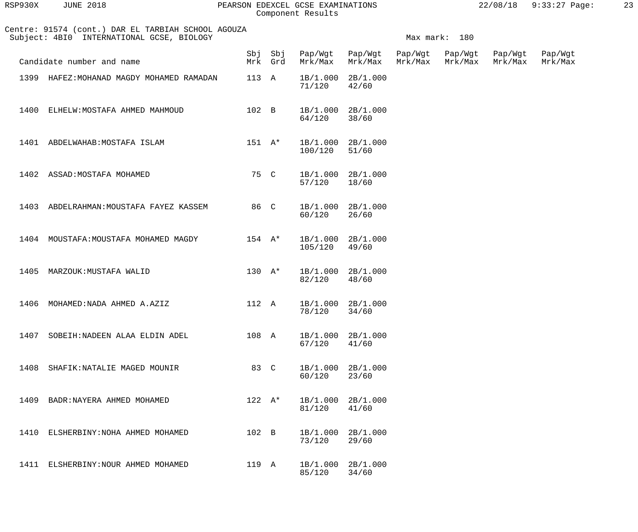| RSP930X | <b>JUNE 2018</b> |  |
|---------|------------------|--|
|         |                  |  |

## RSP930X JUNE 2018 PEARSON EDEXCEL GCSE EXAMINATIONS 22/08/18 9:33:27 Page: 23 Component Results

|      | Centre: 91574 (cont.) DAR EL TARBIAH SCHOOL AGOUZA<br>Subject: 4BI0 INTERNATIONAL GCSE, BIOLOGY |                  | Max mark: 180      |                    |                            |                    |                    |                    |                    |  |
|------|-------------------------------------------------------------------------------------------------|------------------|--------------------|--------------------|----------------------------|--------------------|--------------------|--------------------|--------------------|--|
|      | Candidate number and name                                                                       |                  | Sbj Sbj<br>Mrk Grd | Mrk/Max            | Pap/Wgt Pap/Wgt<br>Mrk/Max | Pap/Wgt<br>Mrk/Max | Pap/Wgt<br>Mrk/Max | Pap/Wgt<br>Mrk/Max | Pap/Wgt<br>Mrk/Max |  |
|      | 1399 HAFEZ: MOHANAD MAGDY MOHAMED RAMADAN                                                       | 113 A            |                    | 1B/1.000<br>71/120 | 2B/1.000<br>42/60          |                    |                    |                    |                    |  |
| 1400 | ELHELW: MOSTAFA AHMED MAHMOUD                                                                   | 102 B            |                    | 64/120             | 1B/1.000 2B/1.000<br>38/60 |                    |                    |                    |                    |  |
| 1401 | ABDELWAHAB: MOSTAFA ISLAM                                                                       | $151$ $A^*$      |                    | 100/120            | 1B/1.000 2B/1.000<br>51/60 |                    |                    |                    |                    |  |
|      | 1402 ASSAD: MOSTAFA MOHAMED                                                                     | 75 C             |                    | 57/120             | 1B/1.000 2B/1.000<br>18/60 |                    |                    |                    |                    |  |
|      | 1403 ABDELRAHMAN: MOUSTAFA FAYEZ KASSEM                                                         | 86 C             |                    | 60/120             | 1B/1.000 2B/1.000<br>26/60 |                    |                    |                    |                    |  |
|      | 1404 MOUSTAFA: MOUSTAFA MOHAMED MAGDY                                                           | $154$ A*         |                    | 105/120            | 1B/1.000 2B/1.000<br>49/60 |                    |                    |                    |                    |  |
| 1405 | MARZOUK:MUSTAFA WALID                                                                           | $130 \text{ A*}$ |                    | 82/120             | 1B/1.000 2B/1.000<br>48/60 |                    |                    |                    |                    |  |
| 1406 | MOHAMED: NADA AHMED A.AZIZ                                                                      | 112 A            |                    | 78/120             | 1B/1.000 2B/1.000<br>34/60 |                    |                    |                    |                    |  |
| 1407 | SOBEIH:NADEEN ALAA ELDIN ADEL                                                                   |                  | 108 A              | 67/120             | 1B/1.000 2B/1.000<br>41/60 |                    |                    |                    |                    |  |
|      | 1408 SHAFIK: NATALIE MAGED MOUNIR                                                               |                  | 83 C               | 60/120             | 1B/1.000 2B/1.000<br>23/60 |                    |                    |                    |                    |  |
|      | 1409 BADR: NAYERA AHMED MOHAMED                                                                 |                  | $122 \quad A^*$    | 81/120             | 1B/1.000 2B/1.000<br>41/60 |                    |                    |                    |                    |  |
|      | 1410 ELSHERBINY: NOHA AHMED MOHAMED                                                             | 102 B            |                    | 73/120             | 1B/1.000 2B/1.000<br>29/60 |                    |                    |                    |                    |  |
|      | 1411 ELSHERBINY: NOUR AHMED MOHAMED                                                             | 119 A            |                    | 85/120             | 1B/1.000 2B/1.000<br>34/60 |                    |                    |                    |                    |  |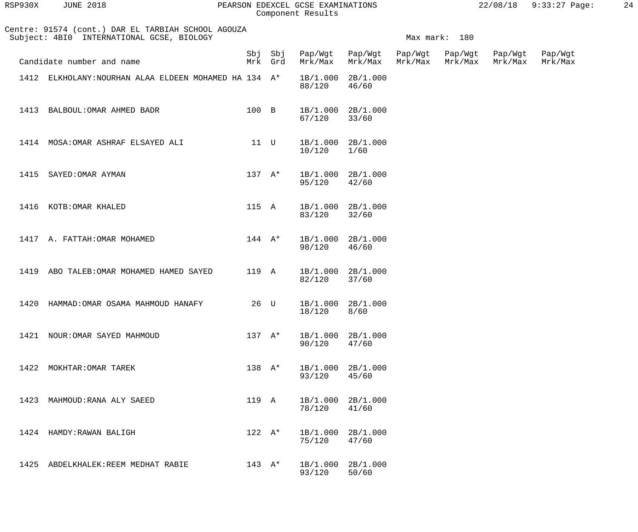| RSP930X | <b>JUNE 2018</b>                                                                                |                 |                    | PEARSON EDEXCEL GCSE EXAMINATIONS<br>Component Results |                            |         |                    |                    | 22/08/18 9:33:27 Page: | 24 |
|---------|-------------------------------------------------------------------------------------------------|-----------------|--------------------|--------------------------------------------------------|----------------------------|---------|--------------------|--------------------|------------------------|----|
|         | Centre: 91574 (cont.) DAR EL TARBIAH SCHOOL AGOUZA<br>Subject: 4BI0 INTERNATIONAL GCSE, BIOLOGY |                 |                    |                                                        |                            |         | Max mark: 180      |                    |                        |    |
|         | Candidate number and name                                                                       |                 | Sbj Sbj<br>Mrk Grd | Pap/Wgt<br>Mrk/Max                                     | Pap/Wgt Pap/Wgt<br>Mrk/Max | Mrk/Max | Pap/Wgt<br>Mrk/Max | Pap/Wgt<br>Mrk/Max | Pap/Wgt<br>Mrk/Max     |    |
|         | 1412 ELKHOLANY: NOURHAN ALAA ELDEEN MOHAMED HA 134 A*                                           |                 |                    | 1B/1.000<br>88/120                                     | 2B/1.000<br>46/60          |         |                    |                    |                        |    |
| 1413    | BALBOUL: OMAR AHMED BADR                                                                        | 100 B           |                    | 67/120                                                 | 1B/1.000 2B/1.000<br>33/60 |         |                    |                    |                        |    |
|         | 1414 MOSA: OMAR ASHRAF ELSAYED ALI                                                              | 11 U            |                    | 1B/1.000<br>10/120                                     | 2B/1.000<br>1/60           |         |                    |                    |                        |    |
| 1415    | SAYED: OMAR AYMAN                                                                               | $137 A*$        |                    | 95/120                                                 | 1B/1.000 2B/1.000<br>42/60 |         |                    |                    |                        |    |
|         | 1416 KOTB: OMAR KHALED                                                                          | 115 A           |                    | 83/120                                                 | 1B/1.000 2B/1.000<br>32/60 |         |                    |                    |                        |    |
|         | 1417 A. FATTAH: OMAR MOHAMED                                                                    | $144$ A*        |                    | 1B/1.000 2B/1.000<br>98/120                            | 46/60                      |         |                    |                    |                        |    |
| 1419    | ABO TALEB: OMAR MOHAMED HAMED SAYED                                                             | 119 A           |                    | 1B/1.000<br>82/120                                     | 2B/1.000<br>37/60          |         |                    |                    |                        |    |
| 1420    | HAMMAD: OMAR OSAMA MAHMOUD HANAFY                                                               | 26 U            |                    | 1B/1.000<br>18/120                                     | 2B/1.000<br>8/60           |         |                    |                    |                        |    |
| 1421    | NOUR: OMAR SAYED MAHMOUD                                                                        | $137 \quad A^*$ |                    | 1B/1.000<br>90/120                                     | 2B/1.000<br>47/60          |         |                    |                    |                        |    |
| 1422    | MOKHTAR: OMAR TAREK                                                                             | $138 A*$        |                    | 1B/1.000<br>93/120                                     | 2B/1.000<br>45/60          |         |                    |                    |                        |    |
| 1423    | MAHMOUD: RANA ALY SAEED                                                                         | 119 A           |                    | 1B/1.000<br>78/120                                     | 2B/1.000<br>41/60          |         |                    |                    |                        |    |
|         | 1424 HAMDY: RAWAN BALIGH                                                                        | $122 \quad A^*$ |                    | 1B/1.000<br>75/120                                     | 2B/1.000<br>47/60          |         |                    |                    |                        |    |
| 1425    | ABDELKHALEK: REEM MEDHAT RABIE                                                                  | 143 $A^*$       |                    | 1B/1.000 2B/1.000                                      |                            |         |                    |                    |                        |    |

93/120 50/60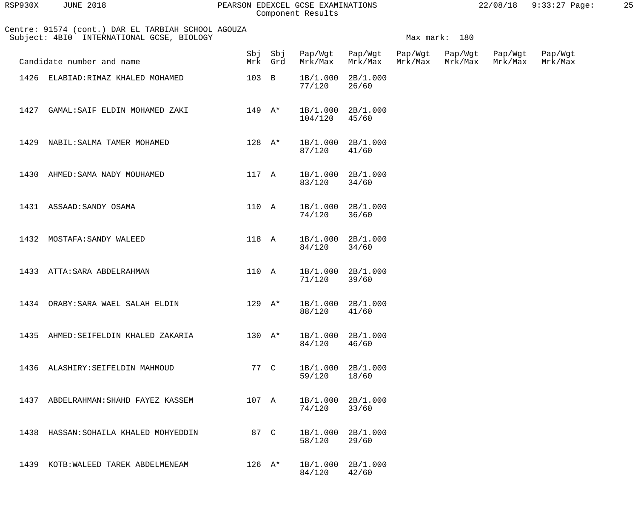| 3P930X | <b>JUNE 2018</b> |  |
|--------|------------------|--|
|        |                  |  |

## RSP930X JUNE 2018 PEARSON EDEXCEL GCSE EXAMINATIONS 22/08/18 9:33:27 Page: 25 Component Results

|      | Centre: 91574 (cont.) DAR EL TARBIAH SCHOOL AGOUZA<br>Subject: 4BI0 INTERNATIONAL GCSE, BIOLOGY | Max mark: 180              |                    |                    |                                    |                    |                    |                    |                    |
|------|-------------------------------------------------------------------------------------------------|----------------------------|--------------------|--------------------|------------------------------------|--------------------|--------------------|--------------------|--------------------|
|      | Candidate number and name                                                                       |                            | Sbj Sbj<br>Mrk Grd |                    | Pap/Wgt Pap/Wgt<br>Mrk/Max Mrk/Max | Pap/Wgt<br>Mrk/Max | Pap/Wgt<br>Mrk/Max | Pap/Wgt<br>Mrk/Max | Pap/Wgt<br>Mrk/Max |
|      | 1426 ELABIAD: RIMAZ KHALED MOHAMED                                                              | 103 B                      |                    | 77/120             | 1B/1.000 2B/1.000<br>26/60         |                    |                    |                    |                    |
|      | 1427 GAMAL: SAIF ELDIN MOHAMED ZAKI                                                             | $149$ $\mathsf{A}^{\star}$ |                    | 104/120            | 1B/1.000 2B/1.000<br>45/60         |                    |                    |                    |                    |
|      | 1429 NABIL: SALMA TAMER MOHAMED                                                                 |                            | $128$ A*           | 87/120             | 1B/1.000 2B/1.000<br>41/60         |                    |                    |                    |                    |
|      | 1430 AHMED: SAMA NADY MOUHAMED                                                                  |                            | 117 A              | 83/120             | 1B/1.000 2B/1.000<br>34/60         |                    |                    |                    |                    |
|      | 1431 ASSAAD: SANDY OSAMA                                                                        |                            | 110 A              | 74/120             | 1B/1.000 2B/1.000<br>36/60         |                    |                    |                    |                    |
|      | 1432 MOSTAFA: SANDY WALEED                                                                      |                            | 118 A              | 84/120             | 1B/1.000 2B/1.000<br>34/60         |                    |                    |                    |                    |
|      | 1433 ATTA: SARA ABDELRAHMAN                                                                     | 110 A                      |                    | 71/120             | 1B/1.000 2B/1.000<br>39/60         |                    |                    |                    |                    |
|      | 1434 ORABY: SARA WAEL SALAH ELDIN                                                               |                            | 129 A*             | 88/120             | 1B/1.000 2B/1.000<br>41/60         |                    |                    |                    |                    |
|      | 1435 AHMED: SEIFELDIN KHALED ZAKARIA                                                            |                            | $130 A*$           | 1B/1.000<br>84/120 | 2B/1.000<br>46/60                  |                    |                    |                    |                    |
|      | 1436 ALASHIRY: SEIFELDIN MAHMOUD                                                                |                            | 77 C               | 1B/1.000<br>59/120 | 2B/1.000<br>18/60                  |                    |                    |                    |                    |
| 1437 | ABDELRAHMAN: SHAHD FAYEZ KASSEM                                                                 | 107 A                      |                    | 1B/1.000<br>74/120 | 2B/1.000<br>33/60                  |                    |                    |                    |                    |
| 1438 | HASSAN: SOHAILA KHALED MOHYEDDIN                                                                | 87 C                       |                    | 1B/1.000<br>58/120 | 2B/1.000<br>29/60                  |                    |                    |                    |                    |
| 1439 | KOTB: WALEED TAREK ABDELMENEAM                                                                  | $126$ A*                   |                    | 1B/1.000<br>84/120 | 2B/1.000<br>42/60                  |                    |                    |                    |                    |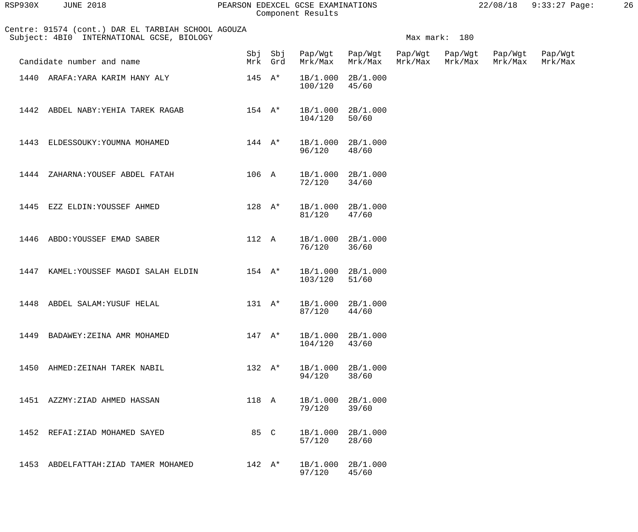| AMINATIONS | $22/08/18$ 9:33:27 Paq |  |
|------------|------------------------|--|
| ts         |                        |  |

| RSP930X | <b>JUNE 2018</b>                                                                                |                 |                | PEARSON EDEXCEL GCSE EXAMINATIONS<br>Component Results |                    |                    |                    | 22/08/18           | $9:33:27$ Page:    | 26 |
|---------|-------------------------------------------------------------------------------------------------|-----------------|----------------|--------------------------------------------------------|--------------------|--------------------|--------------------|--------------------|--------------------|----|
|         | Centre: 91574 (cont.) DAR EL TARBIAH SCHOOL AGOUZA<br>Subject: 4BI0 INTERNATIONAL GCSE, BIOLOGY |                 |                |                                                        |                    |                    | Max mark: 180      |                    |                    |    |
|         | Candidate number and name                                                                       | Mrk             | Sbj Sbj<br>Grd | Pap/Wgt<br>Mrk/Max                                     | Pap/Wgt<br>Mrk/Max | Pap/Wgt<br>Mrk/Max | Pap/Wgt<br>Mrk/Max | Pap/Wgt<br>Mrk/Max | Pap/Wgt<br>Mrk/Max |    |
|         | 1440 ARAFA: YARA KARIM HANY ALY                                                                 | $145$ A*        |                | 1B/1.000<br>100/120                                    | 2B/1.000<br>45/60  |                    |                    |                    |                    |    |
| 1442    | ABDEL NABY: YEHIA TAREK RAGAB                                                                   | $154 \quad A^*$ |                | 1B/1.000<br>104/120                                    | 2B/1.000<br>50/60  |                    |                    |                    |                    |    |
| 1443    | ELDESSOUKY: YOUMNA MOHAMED                                                                      | $144 \quad A^*$ |                | 1B/1.000<br>96/120                                     | 2B/1.000<br>48/60  |                    |                    |                    |                    |    |
| 1444    | ZAHARNA: YOUSEF ABDEL FATAH                                                                     | 106 A           |                | 1B/1.000<br>72/120                                     | 2B/1.000<br>34/60  |                    |                    |                    |                    |    |
| 1445    | EZZ ELDIN: YOUSSEF AHMED                                                                        | $128 A*$        |                | 1B/1.000<br>81/120                                     | 2B/1.000<br>47/60  |                    |                    |                    |                    |    |
| 1446    | ABDO: YOUSSEF EMAD SABER                                                                        | 112 A           |                | 1B/1.000<br>76/120                                     | 2B/1.000<br>36/60  |                    |                    |                    |                    |    |
| 1447    | KAMEL: YOUSSEF MAGDI SALAH ELDIN                                                                | $154 \quad A^*$ |                | 1B/1.000<br>103/120                                    | 2B/1.000<br>51/60  |                    |                    |                    |                    |    |

|  | 1448 ABDEL SALAM: YUSUF HELAL |  | 131 A* 1B/1.000 2B/1.000<br>87/120 44/60 |  |
|--|-------------------------------|--|------------------------------------------|--|
|  |                               |  |                                          |  |

| 1449 | BADAWEY: ZEINA AMR MOHAMED | 147              | $A^{\star}$ | 1B/1.000<br>104/120 | 2B/1.000<br>43/60 |
|------|----------------------------|------------------|-------------|---------------------|-------------------|
| 1450 | AHMED: ZEINAH TAREK NABIL  | $132 \text{ A*}$ |             | 1B/1.000<br>94/120  | 2B/1.000<br>38/60 |
| 1451 | AZZMY:ZIAD AHMED HASSAN    | 118 A            |             | 1B/1.000<br>79/120  | 2B/1.000<br>39/60 |

|      | 1452 REFAI:ZIAD MOHAMED SAYED  |  | 85 C    | 1B/1.000 2B/1.000<br>57/120 | 28/60 |
|------|--------------------------------|--|---------|-----------------------------|-------|
| 1453 | ABDELFATTAH:ZIAD TAMER MOHAMED |  | 142. A* | 1B/1.000 2B/1.000<br>97/120 | 45/60 |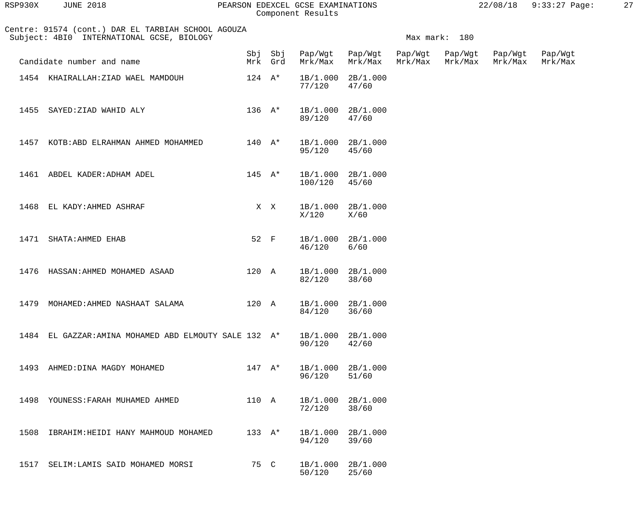| RSP930X | <b>JUNE 2018</b>                                                                                |                 |                    | PEARSON EDEXCEL GCSE EXAMINATIONS<br>Component Results |                            |         |                    |                    | 22/08/18 9:33:27 Page: | 27 |
|---------|-------------------------------------------------------------------------------------------------|-----------------|--------------------|--------------------------------------------------------|----------------------------|---------|--------------------|--------------------|------------------------|----|
|         | Centre: 91574 (cont.) DAR EL TARBIAH SCHOOL AGOUZA<br>Subject: 4BI0 INTERNATIONAL GCSE, BIOLOGY |                 |                    |                                                        |                            |         | Max mark: 180      |                    |                        |    |
|         | Candidate number and name                                                                       |                 | Sbj Sbj<br>Mrk Grd | Pap/Wgt<br>Mrk/Max                                     | Pap/Wgt Pap/Wgt<br>Mrk/Max | Mrk/Max | Pap/Wgt<br>Mrk/Max | Pap/Wgt<br>Mrk/Max | Pap/Wgt<br>Mrk/Max     |    |
|         | 1454 KHAIRALLAH: ZIAD WAEL MAMDOUH                                                              | $124$ A*        |                    | 1B/1.000<br>77/120                                     | 2B/1.000<br>47/60          |         |                    |                    |                        |    |
| 1455    | SAYED:ZIAD WAHID ALY                                                                            | $136$ $A^*$     |                    | 1B/1.000 2B/1.000<br>89/120                            | 47/60                      |         |                    |                    |                        |    |
|         | 1457 KOTB: ABD ELRAHMAN AHMED MOHAMMED                                                          | $140 \quad A^*$ |                    | 1B/1.000 2B/1.000<br>95/120                            | 45/60                      |         |                    |                    |                        |    |
|         | 1461 ABDEL KADER: ADHAM ADEL                                                                    | $145$ A*        |                    | 1B/1.000 2B/1.000<br>100/120                           | 45/60                      |         |                    |                    |                        |    |
|         | 1468 EL KADY: AHMED ASHRAF                                                                      |                 | X X                | 1B/1.000<br>X/120                                      | 2B/1.000<br>X/60           |         |                    |                    |                        |    |
|         | 1471 SHATA: AHMED EHAB                                                                          | 52 F            |                    | 1B/1.000<br>46/120                                     | 2B/1.000<br>6/60           |         |                    |                    |                        |    |
|         | 1476 HASSAN: AHMED MOHAMED ASAAD                                                                | 120 A           |                    | 1B/1.000 2B/1.000<br>82/120                            | 38/60                      |         |                    |                    |                        |    |
| 1479    | MOHAMED: AHMED NASHAAT SALAMA                                                                   | 120 A           |                    | 1B/1.000<br>84/120                                     | 2B/1.000<br>36/60          |         |                    |                    |                        |    |
| 1484    | EL GAZZAR: AMINA MOHAMED ABD ELMOUTY SALE 132 A*                                                |                 |                    | 1B/1.000<br>90/120                                     | 2B/1.000<br>42/60          |         |                    |                    |                        |    |
| 1493    | AHMED: DINA MAGDY MOHAMED                                                                       | $147 \quad A^*$ |                    | 1B/1.000<br>96/120                                     | 2B/1.000<br>51/60          |         |                    |                    |                        |    |
| 1498    | YOUNESS: FARAH MUHAMED AHMED                                                                    | 110 A           |                    | 1B/1.000<br>72/120                                     | 2B/1.000<br>38/60          |         |                    |                    |                        |    |
| 1508    | IBRAHIM: HEIDI HANY MAHMOUD MOHAMED                                                             | 133 $A^*$       |                    | 1B/1.000<br>94/120                                     | 2B/1.000<br>39/60          |         |                    |                    |                        |    |
| 1517    | SELIM: LAMIS SAID MOHAMED MORSI                                                                 | 75 C            |                    | 1B/1.000 2B/1.000                                      |                            |         |                    |                    |                        |    |

50/120 25/60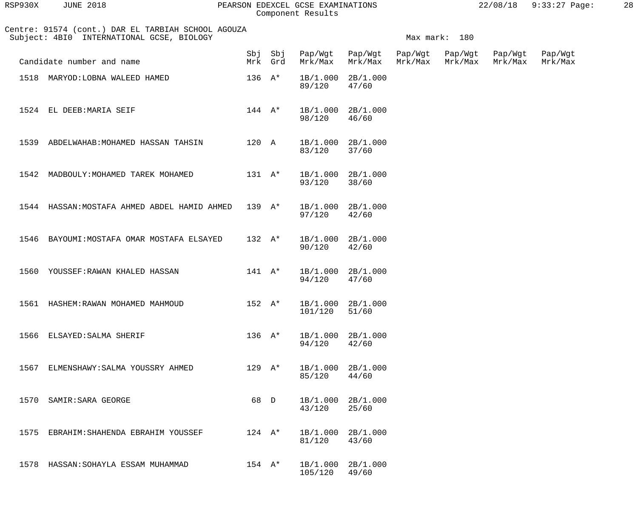| RSP930X | <b>JUNE 2018</b>                                                                                |                            |                    | PEARSON EDEXCEL GCSE EXAMINATIONS<br>Component Results |                                    |         |                    |                    | 22/08/18 9:33:27 Page: | 28 |
|---------|-------------------------------------------------------------------------------------------------|----------------------------|--------------------|--------------------------------------------------------|------------------------------------|---------|--------------------|--------------------|------------------------|----|
|         | Centre: 91574 (cont.) DAR EL TARBIAH SCHOOL AGOUZA<br>Subject: 4BI0 INTERNATIONAL GCSE, BIOLOGY |                            |                    |                                                        |                                    |         | Max mark: 180      |                    |                        |    |
|         | Candidate number and name                                                                       |                            | Sbj Sbj<br>Mrk Grd | Mrk/Max                                                | Pap/Wgt Pap/Wgt Pap/Wgt<br>Mrk/Max | Mrk/Max | Pap/Wgt<br>Mrk/Max | Pap/Wgt<br>Mrk/Max | Pap/Wgt<br>Mrk/Max     |    |
|         | 1518 MARYOD: LOBNA WALEED HAMED                                                                 | $136 \text{ A*}$           |                    | 1B/1.000 2B/1.000<br>89/120                            | 47/60                              |         |                    |                    |                        |    |
|         | 1524 EL DEEB: MARIA SEIF                                                                        | $144 \quad A^*$            |                    | 98/120                                                 | 1B/1.000 2B/1.000<br>46/60         |         |                    |                    |                        |    |
|         | 1539 ABDELWAHAB: MOHAMED HASSAN TAHSIN                                                          | 120 A                      |                    | 83/120                                                 | 1B/1.000 2B/1.000<br>37/60         |         |                    |                    |                        |    |
|         | 1542 MADBOULY: MOHAMED TAREK MOHAMED                                                            | $131 \quad A^*$            |                    | 93/120                                                 | 1B/1.000 2B/1.000<br>38/60         |         |                    |                    |                        |    |
|         | 1544 HASSAN: MOSTAFA AHMED ABDEL HAMID AHMED                                                    | $139 \text{ A*}$           |                    | 97/120                                                 | 1B/1.000 2B/1.000<br>42/60         |         |                    |                    |                        |    |
| 1546    | BAYOUMI: MOSTAFA OMAR MOSTAFA ELSAYED                                                           | $132 A*$                   |                    | 1B/1.000 2B/1.000<br>90/120                            | 42/60                              |         |                    |                    |                        |    |
|         | 1560 YOUSSEF: RAWAN KHALED HASSAN                                                               | $141$ $\mathsf{A}^{\star}$ |                    | 1B/1.000 2B/1.000<br>94/120                            | 47/60                              |         |                    |                    |                        |    |
|         | 1561 HASHEM: RAWAN MOHAMED MAHMOUD                                                              | $152 \quad A^*$            |                    | 1B/1.000<br>101/120                                    | 2B/1.000<br>51/60                  |         |                    |                    |                        |    |
|         | 1566 ELSAYED: SALMA SHERIF                                                                      | $136$ A*                   |                    | 1B/1.000<br>94/120                                     | 2B/1.000<br>42/60                  |         |                    |                    |                        |    |
| 1567    | ELMENSHAWY: SALMA YOUSSRY AHMED                                                                 | $129$ A*                   |                    | 1B/1.000 2B/1.000<br>85/120                            | 44/60                              |         |                    |                    |                        |    |
| 1570    | SAMIR: SARA GEORGE                                                                              | 68 D                       |                    | 1B/1.000 2B/1.000<br>43/120                            | 25/60                              |         |                    |                    |                        |    |
| 1575    | EBRAHIM: SHAHENDA EBRAHIM YOUSSEF                                                               | $124$ A*                   |                    | 1B/1.000<br>81/120                                     | 2B/1.000<br>43/60                  |         |                    |                    |                        |    |

1578 HASSAN: SOHAYLA ESSAM MUHAMMAD 154 A\* 1B/1.000 2B/1.000<br>105/120 49/60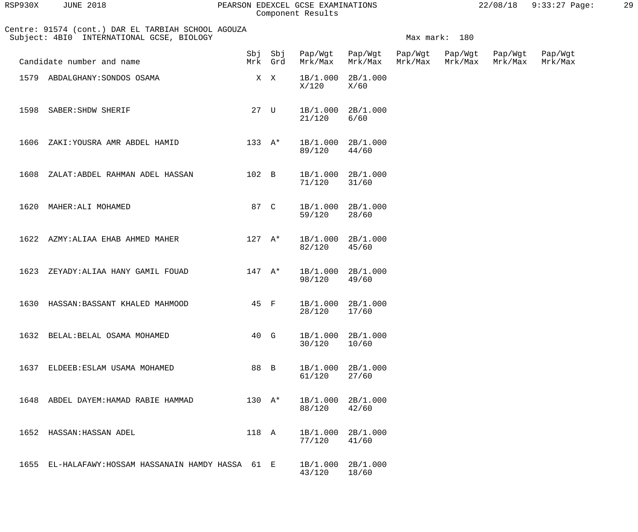| RSP930X | <b>JUNE 2018</b> |  |
|---------|------------------|--|
|         |                  |  |

#### PEARSON EDEXCEL GCSE EXAMINATIONS  $22/08/18$  9:33:27 Page: 29 Component Results

 Centre: 91574 (cont.) DAR EL TARBIAH SCHOOL AGOUZA Subject: 4BI0 INTERNATIONAL GCSE, BIOLOGY Nax mark: 180 Sbj Sbj Pap/Wgt Pap/Wgt Pap/Wgt Pap/Wgt Pap/Wgt Pap/Wgt Candidate number and name Musical Mrk Grd Mrk/Max Mrk/Max Mrk/Max Mrk/Max Mrk/Max Mrk/Max 1579 ABDALGHANY:SONDOS OSAMA<br>  $X$  X  $X$  1B/1.000 2B/1.000<br>  $X/120$   $X/60$  $X/120$   $X/60$ 1598 SABER:SHDW SHERIF 27 U 1B/1.000 2B/1.000<br>21/120 6/60 21/120 6/60 1606 ZAKI:YOUSRA AMR ABDEL HAMID 133 A\* 1B/1.000 2B/1.000 89/120 44/60 1608 ZALAT:ABDEL RAHMAN ADEL HASSAN 102 B 1B/1.000 2B/1.000 71/120 31/60 1620 MAHER:ALI MOHAMED 87 C 1B/1.000 2B/1.000<br>59/120 28/60 59/120 28/60 1622 AZMY: ALIAA EHAB AHMED MAHER 127 A\* 1B/1.000 2B/1.000<br>82/120 45/60 82/120 45/60 1623 ZEYADY:ALIAA HANY GAMIL FOUAD 147 A\* 1B/1.000 2B/1.000 98/120 49/60 1630 HASSAN:BASSANT KHALED MAHMOOD 45 F 1B/1.000 2B/1.000 28/120 17/60 1632 BELAL:BELAL OSAMA MOHAMED 40 G 1B/1.000 2B/1.000<br>30/120 10/60 30/120 10/60 1637 ELDEEB:ESLAM USAMA MOHAMED 88 B 1B/1.000 2B/1.000<br>61/120 27/60 61/120 27/60 1648 ABDEL DAYEM:HAMAD RABIE HAMMAD 130 A\* 1B/1.000 2B/1.000 88/120 42/60 1652 HASSAN:HASSAN ADEL 118 A 1B/1.000 2B/1.000<br>77/120 41/60 77/120 41/60 1655 EL-HALAFAWY:HOSSAM HASSANAIN HAMDY HASSA 61 E 1B/1.000 2B/1.000 43/120 18/60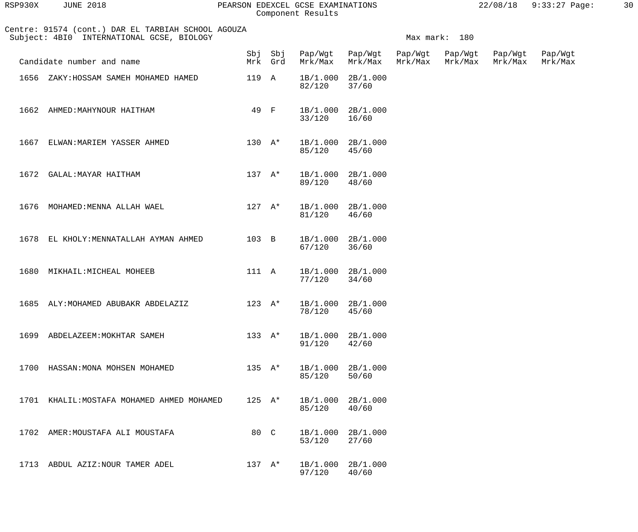| RSP930X | 2018<br>JUNE | PEARSON EDEXCEL GCSE EXAMINATIONS | 22/08/18 | $9:33:27$ Page. | 30 |
|---------|--------------|-----------------------------------|----------|-----------------|----|
|         |              | Component Results                 |          |                 |    |

| 2930X<br><b>JUNE 2018</b> |
|---------------------------|
|---------------------------|

## Component Results

| Centre: 91574 (cont.) DAR EL TARBIAH SCHOOL AGOUZA<br>Subject: 4BI0 INTERNATIONAL GCSE, BIOLOGY |                  |                    |         |                            |                    | Max mark: 180      |                    |                    |
|-------------------------------------------------------------------------------------------------|------------------|--------------------|---------|----------------------------|--------------------|--------------------|--------------------|--------------------|
| Candidate number and name                                                                       |                  | Sbj Sbj<br>Mrk Grd | Mrk/Max | Pap/Wgt Pap/Wgt<br>Mrk/Max | Pap/Wgt<br>Mrk/Max | Pap/Wgt<br>Mrk/Max | Pap/Wgt<br>Mrk/Max | Pap/Wgt<br>Mrk/Max |
| ZAKY: HOSSAM SAMEH MOHAMED HAMED<br>1656                                                        | 119 A            |                    | 82/120  | 1B/1.000 2B/1.000<br>37/60 |                    |                    |                    |                    |
| 1662<br>AHMED: MAHYNOUR HAITHAM                                                                 | 49 F             |                    | 33/120  | 1B/1.000 2B/1.000<br>16/60 |                    |                    |                    |                    |
| 1667<br>ELWAN: MARIEM YASSER AHMED                                                              | $130 A*$         |                    | 85/120  | 1B/1.000 2B/1.000<br>45/60 |                    |                    |                    |                    |
| 1672 GALAL: MAYAR HAITHAM                                                                       | $137 \quad A^*$  |                    | 89/120  | 1B/1.000 2B/1.000<br>48/60 |                    |                    |                    |                    |
| MOHAMED: MENNA ALLAH WAEL<br>1676                                                               | $127 A*$         |                    | 81/120  | 1B/1.000 2B/1.000<br>46/60 |                    |                    |                    |                    |
| 1678<br>EL KHOLY: MENNATALLAH AYMAN AHMED                                                       | $103$ B          |                    | 67/120  | 1B/1.000 2B/1.000<br>36/60 |                    |                    |                    |                    |
| 1680<br>MIKHAIL: MICHEAL MOHEEB                                                                 | 111 A            |                    | 77/120  | 1B/1.000 2B/1.000<br>34/60 |                    |                    |                    |                    |
| 1685<br>ALY: MOHAMED ABUBAKR ABDELAZIZ                                                          | $123 \text{ A*}$ |                    | 78/120  | 1B/1.000 2B/1.000<br>45/60 |                    |                    |                    |                    |
| 1699 ABDELAZEEM: MOKHTAR SAMEH                                                                  | 133 A*           |                    | 91/120  | 1B/1.000 2B/1.000<br>42/60 |                    |                    |                    |                    |
| 1700 HASSAN: MONA MOHSEN MOHAMED                                                                | 135 $A*$         |                    | 85/120  | 1B/1.000 2B/1.000<br>50/60 |                    |                    |                    |                    |
| 1701 KHALIL: MOSTAFA MOHAMED AHMED MOHAMED                                                      | $125 \text{ A*}$ |                    | 85/120  | 1B/1.000 2B/1.000<br>40/60 |                    |                    |                    |                    |
| 1702 AMER: MOUSTAFA ALI MOUSTAFA                                                                | 80 C             |                    | 53/120  | 1B/1.000 2B/1.000<br>27/60 |                    |                    |                    |                    |

1713 ABDUL AZIZ:NOUR TAMER ADEL 137 A\* 1B/1.000 2B/1.000<br>97/120 40/60 97/120

53/120 27/60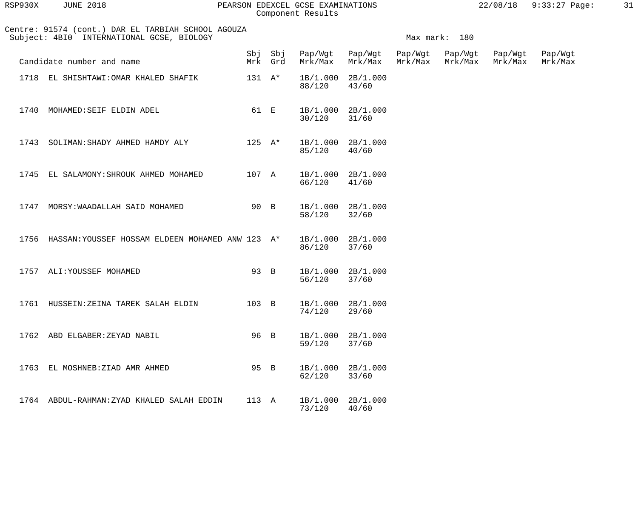| RSP930X       | <b>JUNE 2018</b>                                                                  | PEARSON |                  |                | EDEXCEL GCSE EXAMINATIONS<br>Component Results |                    |                    |                    | 22/08/18           | $9:33:27$ Page:    | 31 |
|---------------|-----------------------------------------------------------------------------------|---------|------------------|----------------|------------------------------------------------|--------------------|--------------------|--------------------|--------------------|--------------------|----|
| Subject: 4BI0 | Centre: 91574 (cont.) DAR EL TARBIAH SCHOOL AGOUZA<br>INTERNATIONAL GCSE, BIOLOGY |         |                  |                |                                                |                    | Max mark:          | 180                |                    |                    |    |
|               | Candidate number and name                                                         |         | Mrk              | Sbj Sbj<br>Grd | Pap/Wgt<br>Mrk/Max                             | Pap/Wgt<br>Mrk/Max | Pap/Wgt<br>Mrk/Max | Pap/Wgt<br>Mrk/Max | Pap/Wgt<br>Mrk/Max | Pap/Wgt<br>Mrk/Max |    |
| 1718          | EL SHISHTAWI: OMAR KHALED SHAFIK                                                  |         | $131 \quad A^*$  |                | 1B/1.000<br>88/120                             | 2B/1.000<br>43/60  |                    |                    |                    |                    |    |
| 1740          | MOHAMED: SEIF ELDIN ADEL                                                          |         | 61               | $\mathbf{E}$   | 1B/1.000<br>30/120                             | 2B/1.000<br>31/60  |                    |                    |                    |                    |    |
| 1743          | SOLIMAN: SHADY AHMED HAMDY ALY                                                    |         | $125 \text{ A*}$ |                | 1B/1.000<br>85/120                             | 2B/1.000<br>40/60  |                    |                    |                    |                    |    |
| 1745          | EL SALAMONY: SHROUK AHMED MOHAMED                                                 |         | 107 A            |                | 1B/1.000                                       | 2B/1.000           |                    |                    |                    |                    |    |

1747 MORSY:WAADALLAH SAID MOHAMED 90 B 1B/1.000 2B/1.000<br>58/120 32/60

1756 HASSAN:YOUSSEF HOSSAM ELDEEN MOHAMED ANW 123 A\* 1B/1.000 2B/1.000

1757 ALI:YOUSSEF MOHAMED 93 B 1B/1.000 2B/1.000<br>56/120 37/60

1761 HUSSEIN:ZEINA TAREK SALAH ELDIN 103 B 1B/1.000 2B/1.000<br>74/120 29/60

1762 ABD ELGABER: ZEYAD NABIL 96 B 1B/1.000 2B/1.000<br>59/120 37/60

1763 EL MOSHNEB:ZIAD AMR AHMED <br>
95 B 1B/1.000 2B/1.000<br>
62/120 33/60

1764 ABDUL-RAHMAN:ZYAD KHALED SALAH EDDIN 113 A 1B/1.000 2B/1.000

58/120 32/60

86/120 37/60

74/120 29/60

59/120 37/60

62/120 33/60

66/120 41/60

56/120

73/120 40/60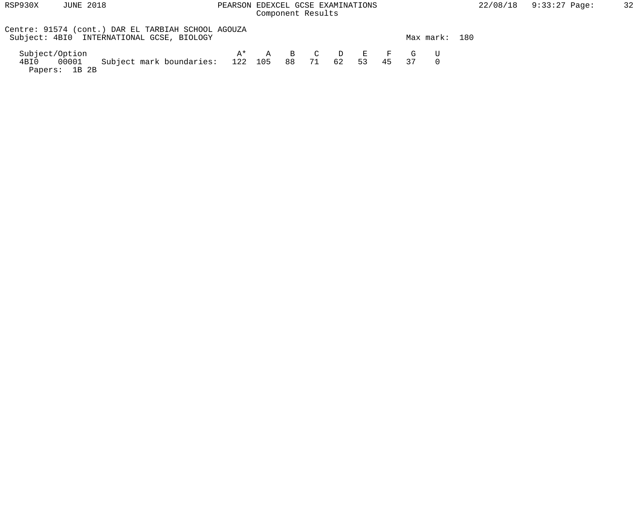# Component Results

| Centre: 91574 (cont.) DAR EL TARBIAH SCHOOL AGOUZA<br>Subject: 4BI0 INTERNATIONAL GCSE, BIOLOGY |                       |  |             |  | Max mark: | 180 |
|-------------------------------------------------------------------------------------------------|-----------------------|--|-------------|--|-----------|-----|
| Subject/Option                                                                                  | $A^*$ A B C D E F G U |  |             |  |           |     |
| Subject mark boundaries: 122 105 88 71<br>4BI0 00001<br>Papers: 1B 2B                           |                       |  | 62 53 45 37 |  |           |     |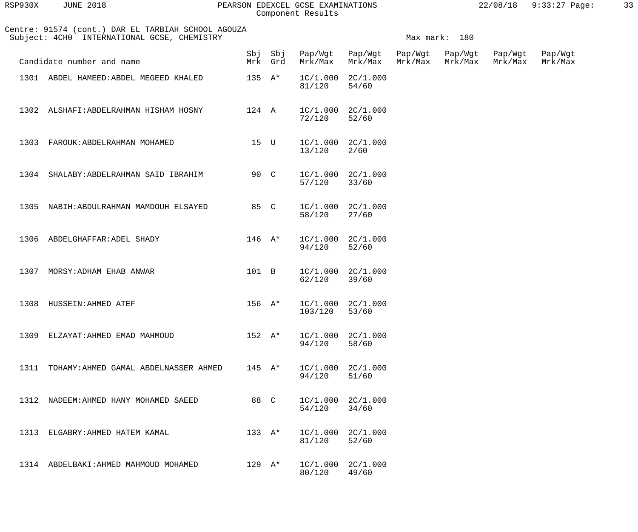| RSP930X | <b>JUNE 2018</b> |  |
|---------|------------------|--|
|         |                  |  |

#### RSP930X JUNE 2018 PEARSON EDEXCEL GCSE EXAMINATIONS 22/08/18 9:33:27 Page: 33 Component Results

| Centre: 91574 (cont.) DAR EL TARBIAH SCHOOL AGOUZA<br>Subject: 4CH0 INTERNATIONAL GCSE, CHEMISTRY |                                            |                            |                    |         |                                | Max mark: 180      |                    |                    |                    |  |  |
|---------------------------------------------------------------------------------------------------|--------------------------------------------|----------------------------|--------------------|---------|--------------------------------|--------------------|--------------------|--------------------|--------------------|--|--|
|                                                                                                   | Candidate number and name                  |                            | Sbj Sbj<br>Mrk Grd | Mrk/Max | Pap/Wgt Pap/Wgt<br>Mrk/Max     | Pap/Wgt<br>Mrk/Max | Pap/Wgt<br>Mrk/Max | Pap/Wgt<br>Mrk/Max | Pap/Wgt<br>Mrk/Max |  |  |
|                                                                                                   | 1301 ABDEL HAMEED: ABDEL MEGEED KHALED     | $135 \text{ A*}$           |                    | 81/120  | $1C/1.000$ $2C/1.000$<br>54/60 |                    |                    |                    |                    |  |  |
| 1302                                                                                              | ALSHAFI:ABDELRAHMAN HISHAM HOSNY           | 124 A                      |                    | 72/120  | $1C/1.000$ $2C/1.000$<br>52/60 |                    |                    |                    |                    |  |  |
| 1303                                                                                              | FAROUK: ABDELRAHMAN MOHAMED                | 15 U                       |                    | 13/120  | $1C/1.000$ $2C/1.000$<br>2/60  |                    |                    |                    |                    |  |  |
|                                                                                                   | 1304 SHALABY: ABDELRAHMAN SAID IBRAHIM     | 90 C                       |                    | 57/120  | $1C/1.000$ $2C/1.000$<br>33/60 |                    |                    |                    |                    |  |  |
|                                                                                                   | 1305 NABIH: ABDULRAHMAN MAMDOUH ELSAYED    | 85 C                       |                    | 58/120  | $1C/1.000$ $2C/1.000$<br>27/60 |                    |                    |                    |                    |  |  |
| 1306                                                                                              | ABDELGHAFFAR: ADEL SHADY                   | $146$ A*                   |                    | 94/120  | $1C/1.000$ $2C/1.000$<br>52/60 |                    |                    |                    |                    |  |  |
| 1307                                                                                              | MORSY: ADHAM EHAB ANWAR                    | 101 B                      |                    | 62/120  | $1C/1.000$ $2C/1.000$<br>39/60 |                    |                    |                    |                    |  |  |
| 1308                                                                                              | HUSSEIN: AHMED ATEF                        | $156$ $A*$                 |                    | 103/120 | $1C/1.000$ $2C/1.000$<br>53/60 |                    |                    |                    |                    |  |  |
|                                                                                                   | 1309 ELZAYAT: AHMED EMAD MAHMOUD           |                            | 152 A*             | 94/120  | $1C/1.000$ $2C/1.000$<br>58/60 |                    |                    |                    |                    |  |  |
|                                                                                                   | 1311 TOHAMY: AHMED GAMAL ABDELNASSER AHMED | $145$ $A^*$                |                    | 94/120  | $1C/1.000$ $2C/1.000$<br>51/60 |                    |                    |                    |                    |  |  |
|                                                                                                   | 1312 NADEEM: AHMED HANY MOHAMED SAEED      | 88 C                       |                    | 54/120  | $1C/1.000$ $2C/1.000$<br>34/60 |                    |                    |                    |                    |  |  |
|                                                                                                   | 1313 ELGABRY: AHMED HATEM KAMAL            | 133 $A^*$                  |                    | 81/120  | $1C/1.000$ $2C/1.000$<br>52/60 |                    |                    |                    |                    |  |  |
|                                                                                                   | 1314 ABDELBAKI: AHMED MAHMOUD MOHAMED      | $129$ $\mathrm{A}^{\star}$ |                    | 80/120  | $1C/1.000$ $2C/1.000$<br>49/60 |                    |                    |                    |                    |  |  |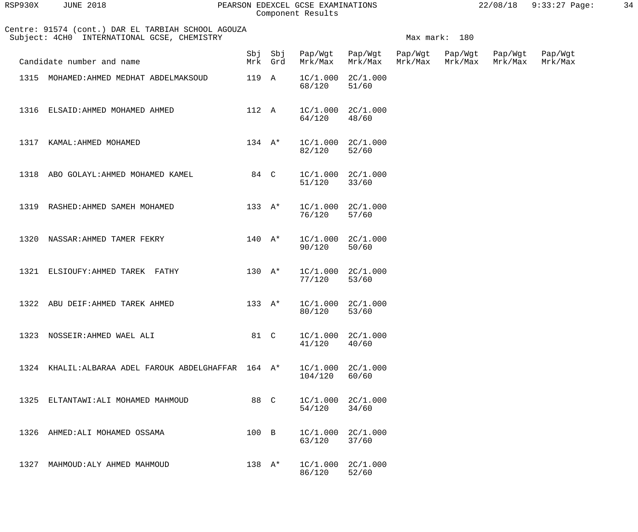| RSP930X | <b>JUNE 2018</b> |  |
|---------|------------------|--|
|         |                  |  |

#### PEARSON EDEXCEL GCSE EXAMINATIONS  $22/08/18$  9:33:27 Page: 34 Component Results

 Centre: 91574 (cont.) DAR EL TARBIAH SCHOOL AGOUZA Subject: 4CH0 INTERNATIONAL GCSE, CHEMISTRY Maximum and the mark: 180 Sbj Sbj Pap/Wgt Pap/Wgt Pap/Wgt Pap/Wgt Pap/Wgt Pap/Wgt Candidate number and name Theory Mrk Grd Mrk/Max Mrk/Max Mrk/Max Mrk/Max Mrk/Max Mrk/Max Mrk/Max 1315 MOHAMED:AHMED MEDHAT ABDELMAKSOUD 119 A 1C/1.000 2C/1.000<br>68/120 51/60 68/120 51/60 1316 ELSAID:AHMED MOHAMED AHMED 112 A 1C/1.000 2C/1.000 64/120 48/60 1317 KAMAL:AHMED MOHAMED 134 A\* 1C/1.000 2C/1.000<br>82/120 52/60 82/120 52/60 1318 ABO GOLAYL:AHMED MOHAMED KAMEL 84 C 1C/1.000 2C/1.000 51/120 33/60 1319 RASHED:AHMED SAMEH MOHAMED 133 A\* 1C/1.000 2C/1.000 76/120 57/60 1320 NASSAR:AHMED TAMER FEKRY 140 A\* 1C/1.000 2C/1.000<br>90/120 50/60 90/120 1321 ELSIOUFY:AHMED TAREK FATHY 130 A\* 1C/1.000 2C/1.000 77/120 53/60 1322 ABU DEIF: AHMED TAREK AHMED 133 A\* 1C/1.000 2C/1.000 80/120 53/60 1323 NOSSEIR:AHMED WAEL ALI 681 C 1C/1.000 2C/1.000 41/120 40/60 1324 KHALIL:ALBARAA ADEL FAROUK ABDELGHAFFAR 164 A\* 1C/1.000 2C/1.000 104/120 60/60 1325 ELTANTAWI:ALI MOHAMED MAHMOUD 88 C 1C/1.000 2C/1.000<br>54/120 34/60 54/120 34/60 1326 AHMED:ALI MOHAMED OSSAMA 100 B 1C/1.000 2C/1.000<br>63/120 37/60 63/120 37/60 1327 MAHMOUD:ALY AHMED MAHMOUD 138 A\* 1C/1.000 2C/1.000 86/120 52/60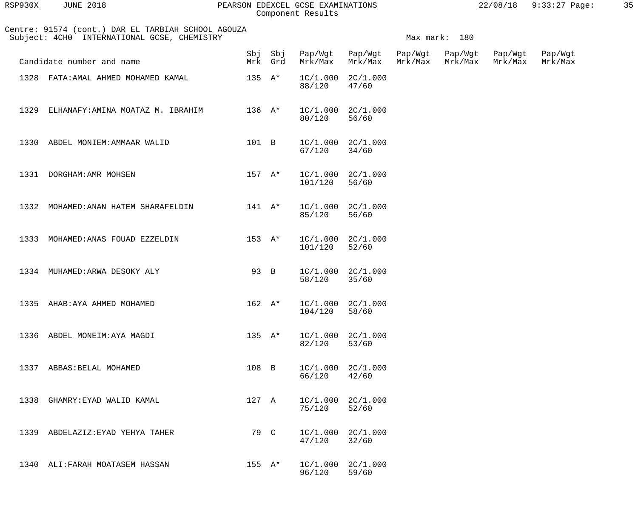| RSP930X | 2018<br>JUNE | PEARSON EDEXCEL GCSE EXAMINATIONS | 22/08/18 | $9:33:27$ Page: |  |
|---------|--------------|-----------------------------------|----------|-----------------|--|
|         |              |                                   |          |                 |  |

| Centre: 91574 (cont.) DAR EL TARBIAH SCHOOL AGOUZA<br>Subject: 4CH0 INTERNATIONAL GCSE, CHEMISTRY | Max mark: 180    |                   |                    |                                            |         |                            |                    |                    |
|---------------------------------------------------------------------------------------------------|------------------|-------------------|--------------------|--------------------------------------------|---------|----------------------------|--------------------|--------------------|
| Candidate number and name                                                                         |                  | Mrk Grd           |                    | Sbj Sbj Pap/Wgt Pap/Wgt<br>Mrk/Max Mrk/Max | Mrk/Max | Pap/Wgt Pap/Wgt<br>Mrk/Max | Pap/Wgt<br>Mrk/Max | Pap/Wgt<br>Mrk/Max |
| 1328 FATA: AMAL AHMED MOHAMED KAMAL                                                               | $135 \text{ A*}$ |                   | 88/120             | $1C/1.000$ $2C/1.000$<br>47/60             |         |                            |                    |                    |
| 1329 ELHANAFY: AMINA MOATAZ M. IBRAHIM                                                            |                  | $136$ $A^*$       | 80/120             | $1C/1.000$ $2C/1.000$<br>56/60             |         |                            |                    |                    |
| 1330 ABDEL MONIEM: AMMAAR WALID                                                                   |                  | 101 B             | 67/120 34/60       | $1C/1.000$ $2C/1.000$                      |         |                            |                    |                    |
| 1331 DORGHAM: AMR MOHSEN                                                                          |                  | $157$ A*          | 101/120            | $1C/1.000$ $2C/1.000$<br>56/60             |         |                            |                    |                    |
| $141$ $A^*$<br>1332 MOHAMED: ANAN HATEM SHARAFELDIN                                               |                  |                   | 85/120             | $1C/1.000$ $2C/1.000$<br>56/60             |         |                            |                    |                    |
| 1333 MOHAMED: ANAS FOUAD EZZELDIN                                                                 |                  | $153$ $A^*$       | 101/120            | $1C/1.000$ $2C/1.000$<br>52/60             |         |                            |                    |                    |
| 1334 MUHAMED: ARWA DESOKY ALY                                                                     | 93 B             |                   | 58/120             | $1C/1.000$ $2C/1.000$<br>35/60             |         |                            |                    |                    |
| 1335 AHAB: AYA AHMED MOHAMED                                                                      |                  | $162$ $\lambda^*$ | 104/120            | $1C/1.000$ $2C/1.000$<br>58/60             |         |                            |                    |                    |
| 1336 ABDEL MONEIM: AYA MAGDI                                                                      |                  | $135 \text{ A*}$  | 82/120             | $1C/1.000$ $2C/1.000$<br>53/60             |         |                            |                    |                    |
| 1337<br>ABBAS:BELAL MOHAMED                                                                       | 108 B            |                   | 66/120             | $1C/1.000$ $2C/1.000$<br>42/60             |         |                            |                    |                    |
| 1338<br>GHAMRY:EYAD WALID KAMAL                                                                   | 127 A            |                   | 75/120             | $1C/1.000$ $2C/1.000$<br>52/60             |         |                            |                    |                    |
| ABDELAZIZ: EYAD YEHYA TAHER<br>1339                                                               | 79 C             |                   | 1C/1.000<br>47/120 | 2C/1.000<br>32/60                          |         |                            |                    |                    |
| 1340 ALI: FARAH MOATASEM HASSAN                                                                   | $155 \tA*$       |                   | 1C/1.000<br>96/120 | 2C/1.000<br>59/60                          |         |                            |                    |                    |
|                                                                                                   |                  |                   |                    |                                            |         |                            |                    |                    |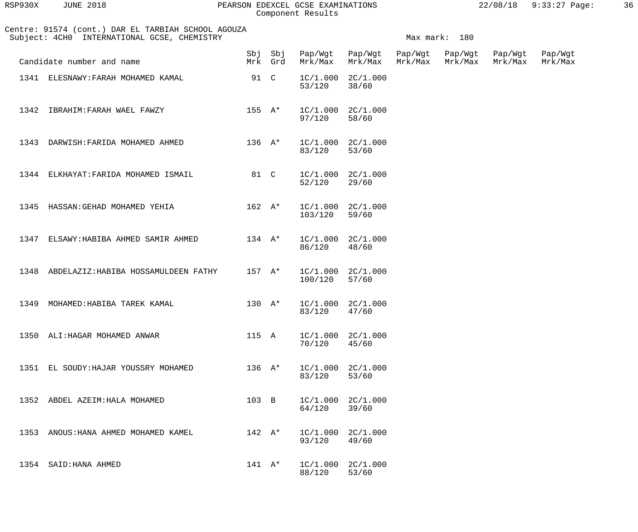| RSP930X | <b>JUNE 2018</b> | PEARSON EDEXCEL GCSE EXAMINATIONS | 22/08/18 9:33:27 Page: | 36 |
|---------|------------------|-----------------------------------|------------------------|----|
|         |                  | Component Results                 |                        |    |

| Centre: 91574 (cont.) DAR EL TARBIAH SCHOOL AGOUZA<br>Subject: 4CH0 INTERNATIONAL GCSE, CHEMISTRY |                                           |                 |                   |                                         |                                | Max mark: 180 |         |                    |                    |  |
|---------------------------------------------------------------------------------------------------|-------------------------------------------|-----------------|-------------------|-----------------------------------------|--------------------------------|---------------|---------|--------------------|--------------------|--|
|                                                                                                   | Candidate number and name                 |                 | Mrk Grd           | Sbj Sbj Pap/Wgt Pap/Wgt Pap/Wgt Pap/Wgt | Mrk/Max Mrk/Max                | Mrk/Max       | Mrk/Max | Pap/Wgt<br>Mrk/Max | Pap/Wgt<br>Mrk/Max |  |
|                                                                                                   | 1341 ELESNAWY: FARAH MOHAMED KAMAL        | 91 C            |                   | 53/120                                  | $1C/1.000$ $2C/1.000$<br>38/60 |               |         |                    |                    |  |
|                                                                                                   | 1342 IBRAHIM: FARAH WAEL FAWZY            |                 | 155 A*            | 97/120                                  | $1C/1.000$ $2C/1.000$<br>58/60 |               |         |                    |                    |  |
|                                                                                                   | 1343 DARWISH: FARIDA MOHAMED AHMED        |                 | $136$ $A^*$       | 83/120                                  | $1C/1.000$ $2C/1.000$<br>53/60 |               |         |                    |                    |  |
|                                                                                                   | 1344 ELKHAYAT: FARIDA MOHAMED ISMAIL      | 81 C            |                   | 52/120                                  | $1C/1.000$ $2C/1.000$<br>29/60 |               |         |                    |                    |  |
|                                                                                                   | 1345 HASSAN: GEHAD MOHAMED YEHIA          |                 | 162 A*            | 103/120                                 | $1C/1.000$ $2C/1.000$<br>59/60 |               |         |                    |                    |  |
|                                                                                                   | 1347 ELSAWY: HABIBA AHMED SAMIR AHMED     |                 | $134$ $\lambda^*$ | 86/120                                  | $1C/1.000$ $2C/1.000$<br>48/60 |               |         |                    |                    |  |
|                                                                                                   | 1348 ABDELAZIZ: HABIBA HOSSAMULDEEN FATHY |                 | $157$ A*          | 100/120                                 | $1C/1.000$ $2C/1.000$<br>57/60 |               |         |                    |                    |  |
|                                                                                                   | 1349 MOHAMED: HABIBA TAREK KAMAL          |                 | $130 \quad A^*$   | 83/120                                  | $1C/1.000$ $2C/1.000$<br>47/60 |               |         |                    |                    |  |
|                                                                                                   | 1350 ALI: HAGAR MOHAMED ANWAR             | 115 A           |                   | 70/120                                  | $1C/1.000$ $2C/1.000$<br>45/60 |               |         |                    |                    |  |
|                                                                                                   | 1351 EL SOUDY: HAJAR YOUSSRY MOHAMED      | $136$ A*        |                   | 83/120                                  | $1C/1.000$ $2C/1.000$<br>53/60 |               |         |                    |                    |  |
|                                                                                                   | 1352 ABDEL AZEIM: HALA MOHAMED            | 103 B           |                   | 64/120                                  | $1C/1.000$ $2C/1.000$<br>39/60 |               |         |                    |                    |  |
|                                                                                                   | 1353 ANOUS: HANA AHMED MOHAMED KAMEL      | $142 \quad A^*$ |                   | 93/120                                  | $1C/1.000$ $2C/1.000$<br>49/60 |               |         |                    |                    |  |
|                                                                                                   | 1354 SAID: HANA AHMED                     | $141 \quad A^*$ |                   | 88/120                                  | $1C/1.000$ $2C/1.000$<br>53/60 |               |         |                    |                    |  |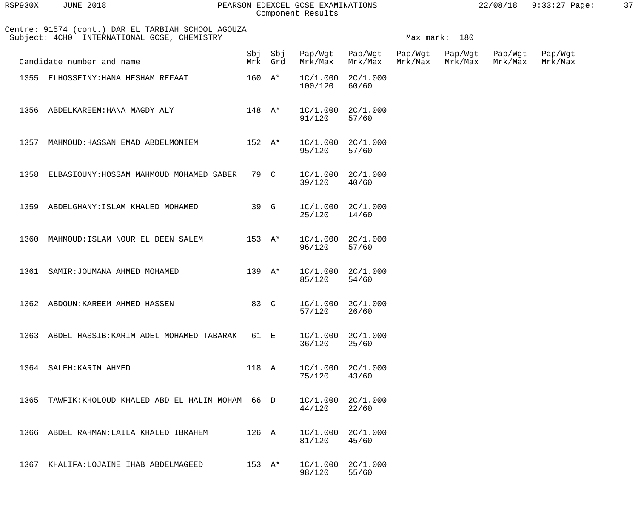| RSP930X | JUNE 2018 |  |
|---------|-----------|--|
|         |           |  |

#### RSP930X JUNE 2018 PEARSON EDEXCEL GCSE EXAMINATIONS 22/08/18 9:33:27 Page: 37 Component Results

|      | Centre: 91574 (cont.) DAR EL TARBIAH SCHOOL AGOUZA<br>Subject: 4CH0 INTERNATIONAL GCSE, CHEMISTRY |                   |                    |         |                                |                    | Max mark: 180      |                    |                    |
|------|---------------------------------------------------------------------------------------------------|-------------------|--------------------|---------|--------------------------------|--------------------|--------------------|--------------------|--------------------|
|      | Candidate number and name                                                                         |                   | Sbj Sbj<br>Mrk Grd | Mrk/Max | Pap/Wgt Pap/Wgt<br>Mrk/Max     | Pap/Wgt<br>Mrk/Max | Pap/Wgt<br>Mrk/Max | Pap/Wgt<br>Mrk/Max | Pap/Wgt<br>Mrk/Max |
| 1355 | ELHOSSEINY: HANA HESHAM REFAAT                                                                    | $160$ A*          |                    | 100/120 | $1C/1.000$ $2C/1.000$<br>60/60 |                    |                    |                    |                    |
| 1356 | ABDELKAREEM: HANA MAGDY ALY                                                                       | $148$ $\lambda^*$ |                    | 91/120  | $1C/1.000$ $2C/1.000$<br>57/60 |                    |                    |                    |                    |
| 1357 | MAHMOUD: HASSAN EMAD ABDELMONIEM                                                                  | $152 A*$          |                    | 95/120  | $1C/1.000$ $2C/1.000$<br>57/60 |                    |                    |                    |                    |
| 1358 | ELBASIOUNY: HOSSAM MAHMOUD MOHAMED SABER                                                          | 79 C              |                    | 39/120  | $1C/1.000$ $2C/1.000$<br>40/60 |                    |                    |                    |                    |
| 1359 | ABDELGHANY: ISLAM KHALED MOHAMED                                                                  | 39 G              |                    | 25/120  | $1C/1.000$ $2C/1.000$<br>14/60 |                    |                    |                    |                    |
| 1360 | MAHMOUD: ISLAM NOUR EL DEEN SALEM                                                                 | $153 \text{ A*}$  |                    | 96/120  | $1C/1.000$ $2C/1.000$<br>57/60 |                    |                    |                    |                    |
| 1361 | SAMIR: JOUMANA AHMED MOHAMED                                                                      | 139 $A^*$         |                    | 85/120  | $1C/1.000$ $2C/1.000$<br>54/60 |                    |                    |                    |                    |
| 1362 | ABDOUN: KAREEM AHMED HASSEN                                                                       | 83 C              |                    | 57/120  | $1C/1.000$ $2C/1.000$<br>26/60 |                    |                    |                    |                    |
|      | 1363 ABDEL HASSIB: KARIM ADEL MOHAMED TABARAK                                                     | 61 E              |                    | 36/120  | $1C/1.000$ $2C/1.000$<br>25/60 |                    |                    |                    |                    |
|      | 1364 SALEH: KARIM AHMED                                                                           | 118 A             |                    | 75/120  | $1C/1.000$ $2C/1.000$<br>43/60 |                    |                    |                    |                    |
| 1365 | TAWFIK:KHOLOUD KHALED ABD EL HALIM MOHAM 66 D                                                     |                   |                    | 44/120  | $1C/1.000$ $2C/1.000$<br>22/60 |                    |                    |                    |                    |
|      | 1366 ABDEL RAHMAN: LAILA KHALED IBRAHEM                                                           | 126 A             |                    | 81/120  | $1C/1.000$ $2C/1.000$<br>45/60 |                    |                    |                    |                    |
|      | 1367 KHALIFA:LOJAINE IHAB ABDELMAGEED                                                             | $153 \text{ A*}$  |                    | 98/120  | $1C/1.000$ $2C/1.000$<br>55/60 |                    |                    |                    |                    |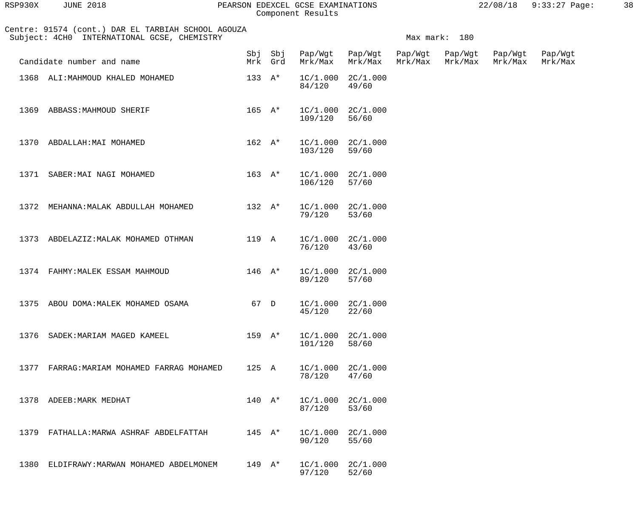| <b>JUNE 2018</b> | 3P930X |  |  |  |  |
|------------------|--------|--|--|--|--|
|------------------|--------|--|--|--|--|

## RSP930X JUNE 2018 PEARSON EDEXCEL GCSE EXAMINATIONS 22/08/18 9:33:27 Page: 38 Component Results

|      | Centre: 91574 (cont.) DAR EL TARBIAH SCHOOL AGOUZA<br>Subject: 4CH0 INTERNATIONAL GCSE, CHEMISTRY |                  |                    |         |                                |                    | Max mark: 180      |                    |                    |
|------|---------------------------------------------------------------------------------------------------|------------------|--------------------|---------|--------------------------------|--------------------|--------------------|--------------------|--------------------|
|      | Candidate number and name                                                                         |                  | Sbj Sbj<br>Mrk Grd | Mrk/Max | Pap/Wgt Pap/Wgt<br>Mrk/Max     | Pap/Wgt<br>Mrk/Max | Pap/Wgt<br>Mrk/Max | Pap/Wgt<br>Mrk/Max | Pap/Wgt<br>Mrk/Max |
|      | 1368 ALI: MAHMOUD KHALED MOHAMED                                                                  | $133 \text{ A*}$ |                    | 84/120  | $1C/1.000$ $2C/1.000$<br>49/60 |                    |                    |                    |                    |
| 1369 | ABBASS: MAHMOUD SHERIF                                                                            | $165 \text{ A*}$ |                    | 109/120 | $1C/1.000$ $2C/1.000$<br>56/60 |                    |                    |                    |                    |
| 1370 | ABDALLAH: MAI MOHAMED                                                                             | $162 \text{ A*}$ |                    | 103/120 | $1C/1.000$ $2C/1.000$<br>59/60 |                    |                    |                    |                    |
| 1371 | SABER: MAI NAGI MOHAMED                                                                           | $163 \text{ A*}$ |                    | 106/120 | $1C/1.000$ $2C/1.000$<br>57/60 |                    |                    |                    |                    |
|      | 1372 MEHANNA: MALAK ABDULLAH MOHAMED                                                              | $132 A^*$        |                    | 79/120  | $1C/1.000$ $2C/1.000$<br>53/60 |                    |                    |                    |                    |
| 1373 | ABDELAZIZ: MALAK MOHAMED OTHMAN                                                                   | 119 A            |                    | 76/120  | $1C/1.000$ $2C/1.000$<br>43/60 |                    |                    |                    |                    |
|      | 1374 FAHMY: MALEK ESSAM MAHMOUD                                                                   | $146$ A*         |                    | 89/120  | $1C/1.000$ $2C/1.000$<br>57/60 |                    |                    |                    |                    |
|      | 1375 ABOU DOMA: MALEK MOHAMED OSAMA                                                               | 67 D             |                    | 45/120  | $1C/1.000$ $2C/1.000$<br>22/60 |                    |                    |                    |                    |
|      | 1376 SADEK: MARIAM MAGED KAMEEL                                                                   | $159 \text{ A*}$ |                    | 101/120 | $1C/1.000$ $2C/1.000$<br>58/60 |                    |                    |                    |                    |
|      | 1377 FARRAG: MARIAM MOHAMED FARRAG MOHAMED                                                        | 125 A            |                    | 78/120  | $1C/1.000$ $2C/1.000$<br>47/60 |                    |                    |                    |                    |
|      | 1378 ADEEB: MARK MEDHAT                                                                           | $140 A*$         |                    | 87/120  | $1C/1.000$ $2C/1.000$<br>53/60 |                    |                    |                    |                    |
|      | 1379 FATHALLA: MARWA ASHRAF ABDELFATTAH                                                           | $145$ A*         |                    | 90/120  | $1C/1.000$ $2C/1.000$<br>55/60 |                    |                    |                    |                    |
|      | 1380 ELDIFRAWY: MARWAN MOHAMED ABDELMONEM                                                         | $149 \text{ A*}$ |                    | 97/120  | $1C/1.000$ $2C/1.000$<br>52/60 |                    |                    |                    |                    |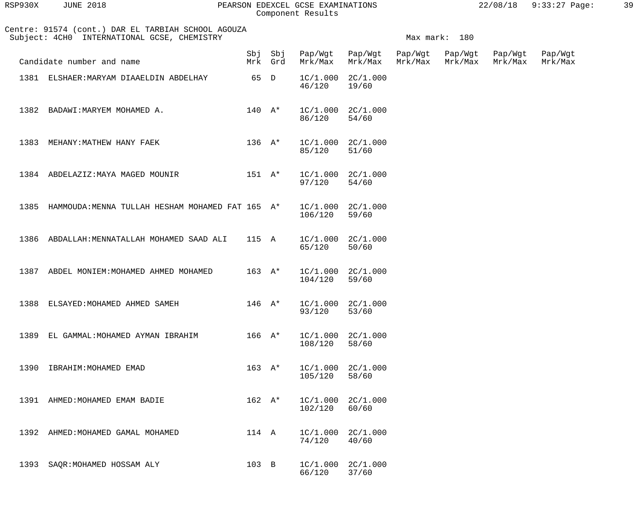| RSP930X | <b>JUNE 2018</b> |  |
|---------|------------------|--|
|         |                  |  |

## PEARSON EDEXCEL GCSE EXAMINATIONS 22/08/18 9:33:27 Page: 39 Component Results

|      | Centre: 91574 (cont.) DAR EL TARBIAH SCHOOL AGOUZA<br>Subject: 4CH0 INTERNATIONAL GCSE, CHEMISTRY |                   |                    |                                  |                            |                    | Max mark: 180      |                    |                    |
|------|---------------------------------------------------------------------------------------------------|-------------------|--------------------|----------------------------------|----------------------------|--------------------|--------------------|--------------------|--------------------|
|      | Candidate number and name                                                                         |                   | Sbj Sbj<br>Mrk Grd | Mrk/Max                          | Pap/Wgt Pap/Wgt<br>Mrk/Max | Pap/Wgt<br>Mrk/Max | Pap/Wgt<br>Mrk/Max | Pap/Wgt<br>Mrk/Max | Pap/Wgt<br>Mrk/Max |
|      | 1381 ELSHAER: MARYAM DIAAELDIN ABDELHAY                                                           | 65 D              |                    | $1C/1.000$ $2C/1.000$<br>46/120  | 19/60                      |                    |                    |                    |                    |
|      | 1382 BADAWI: MARYEM MOHAMED A.                                                                    | $140 A*$          |                    | $1C/1.000$ $2C/1.000$<br>86/120  | 54/60                      |                    |                    |                    |                    |
| 1383 | MEHANY:MATHEW HANY FAEK                                                                           | $136$ A*          |                    | $1C/1.000$ $2C/1.000$<br>85/120  | 51/60                      |                    |                    |                    |                    |
|      | 1384 ABDELAZIZ: MAYA MAGED MOUNIR                                                                 | $151$ $A^*$       |                    | $1C/1.000$ $2C/1.000$<br>97/120  | 54/60                      |                    |                    |                    |                    |
|      | 1385 HAMMOUDA: MENNA TULLAH HESHAM MOHAMED FAT 165 A*                                             |                   |                    | $1C/1.000$ $2C/1.000$<br>106/120 | 59/60                      |                    |                    |                    |                    |
|      | 1386 ABDALLAH: MENNATALLAH MOHAMED SAAD ALI                                                       | 115 A             |                    | $1C/1.000$ $2C/1.000$<br>65/120  | 50/60                      |                    |                    |                    |                    |
| 1387 | ABDEL MONIEM: MOHAMED AHMED MOHAMED                                                               | $163$ A*          |                    | $1C/1.000$ $2C/1.000$<br>104/120 | 59/60                      |                    |                    |                    |                    |
| 1388 | ELSAYED: MOHAMED AHMED SAMEH                                                                      | $146$ $\lambda^*$ |                    | $1C/1.000$ $2C/1.000$<br>93/120  | 53/60                      |                    |                    |                    |                    |
| 1389 | EL GAMMAL: MOHAMED AYMAN IBRAHIM                                                                  | 166 A*            |                    | $1C/1.000$ $2C/1.000$<br>108/120 | 58/60                      |                    |                    |                    |                    |
| 1390 | IBRAHIM: MOHAMED EMAD                                                                             | $163$ A*          |                    | $1C/1.000$ $2C/1.000$<br>105/120 | 58/60                      |                    |                    |                    |                    |
|      | 1391 AHMED: MOHAMED EMAM BADIE                                                                    | $162 \text{ A*}$  |                    | $1C/1.000$ $2C/1.000$<br>102/120 | 60/60                      |                    |                    |                    |                    |
| 1392 | AHMED: MOHAMED GAMAL MOHAMED                                                                      | 114 A             |                    | $1C/1.000$ $2C/1.000$<br>74/120  | 40/60                      |                    |                    |                    |                    |
| 1393 | SAQR:MOHAMED HOSSAM ALY                                                                           | 103 B             |                    | $1C/1.000$ $2C/1.000$<br>66/120  | 37/60                      |                    |                    |                    |                    |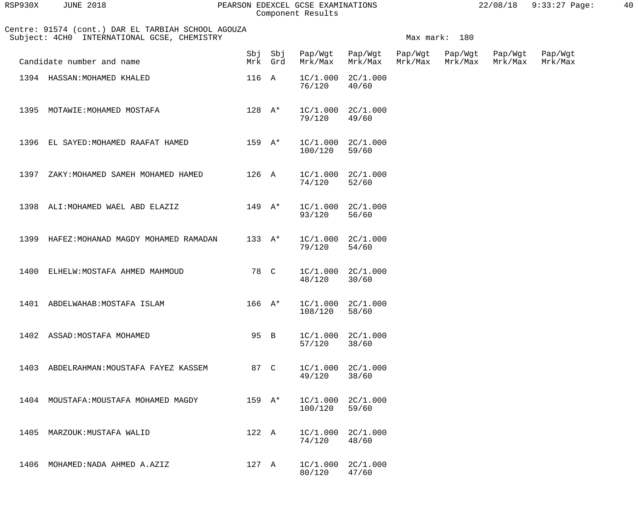| RSP930X | 2018<br>JUNE | PEARSON EDEXCEL GCSE EXAMINATIONS | 22/08/18 | 9:33:27 Page: | 40 |  |
|---------|--------------|-----------------------------------|----------|---------------|----|--|
|         |              | Component Results                 |          |               |    |  |

| lSP930X | JUNE 2018 |  |
|---------|-----------|--|
|         |           |  |

# Component Results

|      | Centre: 91574 (cont.) DAR EL TARBIAH SCHOOL AGOUZA<br>Subject: 4CH0 INTERNATIONAL GCSE, CHEMISTRY |                            |                  |                                    |                                |         | Max mark: 180              |                    |                    |
|------|---------------------------------------------------------------------------------------------------|----------------------------|------------------|------------------------------------|--------------------------------|---------|----------------------------|--------------------|--------------------|
|      | Candidate number and name                                                                         |                            | Mrk Grd          | Sbj Sbj Pap/Wgt Pap/Wgt<br>Mrk/Max | Mrk/Max                        | Mrk/Max | Pap/Wgt Pap/Wgt<br>Mrk/Max | Pap/Wgt<br>Mrk/Max | Pap/Wgt<br>Mrk/Max |
|      | 1394 HASSAN: MOHAMED KHALED                                                                       |                            | 116 A            | 76/120                             | $1C/1.000$ $2C/1.000$<br>40/60 |         |                            |                    |                    |
|      | 1395 MOTAWIE: MOHAMED MOSTAFA                                                                     |                            | $128$ $A^*$      | 79/120                             | $1C/1.000$ $2C/1.000$<br>49/60 |         |                            |                    |                    |
|      | 1396 EL SAYED: MOHAMED RAAFAT HAMED                                                               |                            | 159 A*           | 100/120                            | $1C/1.000$ $2C/1.000$<br>59/60 |         |                            |                    |                    |
| 1397 | ZAKY: MOHAMED SAMEH MOHAMED HAMED                                                                 | 126 A                      |                  | 74/120                             | $1C/1.000$ $2C/1.000$<br>52/60 |         |                            |                    |                    |
|      | 1398 ALI: MOHAMED WAEL ABD ELAZIZ                                                                 |                            | 149 A*           | 93/120                             | $1C/1.000$ $2C/1.000$<br>56/60 |         |                            |                    |                    |
|      | 1399 HAFEZ: MOHANAD MAGDY MOHAMED RAMADAN                                                         |                            | $133 \text{ A*}$ | 79/120                             | $1C/1.000$ $2C/1.000$<br>54/60 |         |                            |                    |                    |
| 1400 | ELHELW: MOSTAFA AHMED MAHMOUD                                                                     |                            | 78 C             | 48/120                             | $1C/1.000$ $2C/1.000$<br>30/60 |         |                            |                    |                    |
|      | 1401 ABDELWAHAB: MOSTAFA ISLAM                                                                    | $166$ $\mathrm{A}^{\star}$ |                  | 108/120                            | $1C/1.000$ $2C/1.000$<br>58/60 |         |                            |                    |                    |
|      | 1402 ASSAD: MOSTAFA MOHAMED                                                                       |                            | 95 B             | 57/120                             | $1C/1.000$ $2C/1.000$<br>38/60 |         |                            |                    |                    |
| 1403 | ABDELRAHMAN: MOUSTAFA FAYEZ KASSEM                                                                | 87 C                       |                  | 49/120                             | $1C/1.000$ $2C/1.000$<br>38/60 |         |                            |                    |                    |
|      | 1404 MOUSTAFA: MOUSTAFA MOHAMED MAGDY                                                             | $159$ $A*$                 |                  | 100/120                            | $1C/1.000$ $2C/1.000$<br>59/60 |         |                            |                    |                    |
| 1405 | MARZOUK: MUSTAFA WALID                                                                            | 122 A                      |                  | 74/120                             | $1C/1.000$ $2C/1.000$<br>48/60 |         |                            |                    |                    |
| 1406 | MOHAMED: NADA AHMED A.AZIZ                                                                        | 127 A                      |                  | 80/120                             | $1C/1.000$ $2C/1.000$<br>47/60 |         |                            |                    |                    |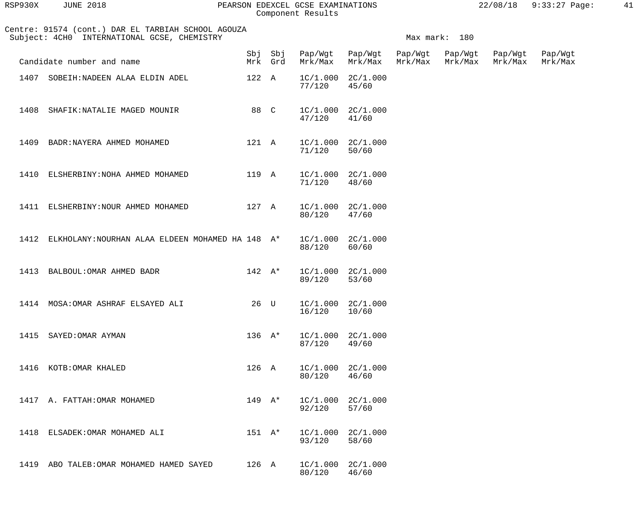| RSP930X | <b>JUNE 2018</b> |  |
|---------|------------------|--|
|         |                  |  |

## PEARSON EDEXCEL GCSE EXAMINATIONS  $22/08/18$  9:33:27 Page: 41 Component Results

| Centre: 91574 (cont.) DAR EL TARBIAH SCHOOL AGOUZA<br>Subject: 4CH0 INTERNATIONAL GCSE, CHEMISTRY |                                                  |                  | Max mark: 180 |                                    |                                |         |                            |                    |                    |
|---------------------------------------------------------------------------------------------------|--------------------------------------------------|------------------|---------------|------------------------------------|--------------------------------|---------|----------------------------|--------------------|--------------------|
|                                                                                                   | Candidate number and name                        |                  | Mrk Grd       | Sbj Sbj Pap/Wgt Pap/Wgt<br>Mrk/Max | Mrk/Max                        | Mrk/Max | Pap/Wgt Pap/Wgt<br>Mrk/Max | Pap/Wgt<br>Mrk/Max | Pap/Wgt<br>Mrk/Max |
|                                                                                                   | 1407 SOBEIH: NADEEN ALAA ELDIN ADEL              | 122 A            |               | 77/120                             | $1C/1.000$ $2C/1.000$<br>45/60 |         |                            |                    |                    |
| 1408                                                                                              | SHAFIK: NATALIE MAGED MOUNIR                     | 88 C             |               | 47/120                             | $1C/1.000$ $2C/1.000$<br>41/60 |         |                            |                    |                    |
| 1409                                                                                              | BADR: NAYERA AHMED MOHAMED                       | 121 A            |               | $1C/1.000$ $2C/1.000$<br>71/120    | 50/60                          |         |                            |                    |                    |
| 1410                                                                                              | ELSHERBINY: NOHA AHMED MOHAMED                   | 119 A            |               | $1C/1.000$ $2C/1.000$<br>71/120    | 48/60                          |         |                            |                    |                    |
| 1411                                                                                              | ELSHERBINY: NOUR AHMED MOHAMED                   | 127 A            |               | 80/120                             | $1C/1.000$ $2C/1.000$<br>47/60 |         |                            |                    |                    |
| 1412                                                                                              | ELKHOLANY: NOURHAN ALAA ELDEEN MOHAMED HA 148 A* |                  |               | 88/120                             | $1C/1.000$ $2C/1.000$<br>60/60 |         |                            |                    |                    |
| 1413                                                                                              | BALBOUL: OMAR AHMED BADR                         | $142 \quad A^*$  |               | 89/120                             | $1C/1.000$ $2C/1.000$<br>53/60 |         |                            |                    |                    |
|                                                                                                   | 1414 MOSA: OMAR ASHRAF ELSAYED ALI               | 26 U             |               | 16/120                             | $1C/1.000$ $2C/1.000$<br>10/60 |         |                            |                    |                    |
|                                                                                                   | 1415 SAYED: OMAR AYMAN                           | $136 \text{ A*}$ |               | 87/120                             | $1C/1.000$ $2C/1.000$<br>49/60 |         |                            |                    |                    |
|                                                                                                   | 1416 KOTB: OMAR KHALED                           | 126 A            |               | 80/120                             | $1C/1.000$ $2C/1.000$<br>46/60 |         |                            |                    |                    |
|                                                                                                   | 1417 A. FATTAH: OMAR MOHAMED                     | $149 \text{ A*}$ |               | 92/120                             | $1C/1.000$ $2C/1.000$<br>57/60 |         |                            |                    |                    |
|                                                                                                   | 1418 ELSADEK: OMAR MOHAMED ALI                   | $151 A*$         |               | 93/120                             | $1C/1.000$ $2C/1.000$<br>58/60 |         |                            |                    |                    |
|                                                                                                   | 1419 ABO TALEB: OMAR MOHAMED HAMED SAYED         | 126 A            |               | 80/120                             | $1C/1.000$ $2C/1.000$<br>46/60 |         |                            |                    |                    |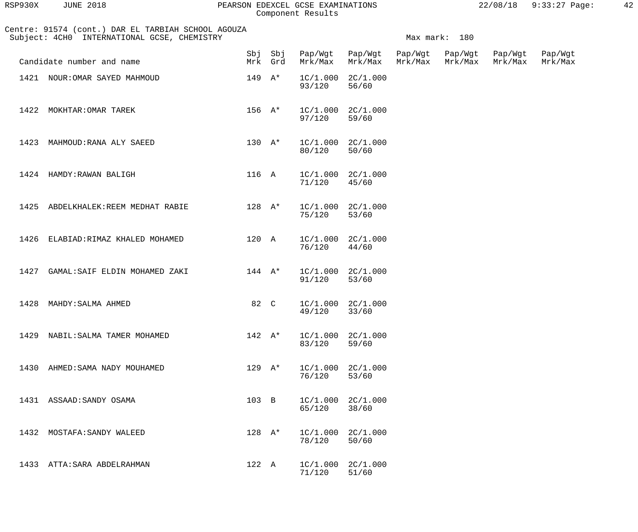| RSP930X | JUNE 2018 |  |
|---------|-----------|--|
|         |           |  |

## RSP930X JUNE 2018 PEARSON EDEXCEL GCSE EXAMINATIONS 22/08/18 9:33:27 Page: 42 Component Results

 Centre: 91574 (cont.) DAR EL TARBIAH SCHOOL AGOUZA Subject: 4CH0 INTERNATIONAL GCSE, CHEMISTRY Maximum and the mark: 180 Sbj Sbj Pap/Wgt Pap/Wgt Pap/Wgt Pap/Wgt Pap/Wgt Pap/Wgt Pap/Wgt<br>Mrk Grd Mrk/Max Mrk/Max Mrk/Max Mrk/Max Mrk/Max Mrk/Max Mrk/Max Mrk/Max Mrk/Max Candidate number and name measures and name measures with the measures of the measures of the measures of the m<br>Mrk Grd Mrk/Max Mrk/Max Mrk/Max Mrk/Max Mrk/Max Mrk/Max 1421 NOUR: OMAR SAYED MAHMOUD 149 A\* 1C/1.000 2C/1.000<br>93/120 56/60 93/120 56/60 1422 MOKHTAR: OMAR TAREK 156 A\* 1C/1.000 2C/1.000 97/120 59/60 1423 MAHMOUD:RANA ALY SAEED 130 A\* 1C/1.000 2C/1.000<br>80/120 50/60 80/120 50/60 1424 HAMDY:RAWAN BALIGH 116 A 1C/1.000 2C/1.000 71/120 45/60 1425 ABDELKHALEK:REEM MEDHAT RABIE 128 A\* 1C/1.000 2C/1.000<br>75/120 53/60 75/120 53/60 1426 ELABIAD:RIMAZ KHALED MOHAMED 120 A 1C/1.000 2C/1.000 76/120 44/60 1427 GAMAL: SAIF ELDIN MOHAMED ZAKI 144 A\* 1C/1.000 2C/1.000 91/120 53/60 1428 MAHDY:SALMA AHMED 82 C 1C/1.000 2C/1.000<br>49/120 33/60 49/120 33/60 1429 NABIL:SALMA TAMER MOHAMED 142 A\* 1C/1.000 2C/1.000 83/120 59/60 1430 AHMED:SAMA NADY MOUHAMED 129 A\* 1C/1.000 2C/1.000<br>76/120 53/60 76/120 53/60 1431 ASSAAD:SANDY OSAMA 103 B 1C/1.000 2C/1.000 65/120 38/60 1432 MOSTAFA:SANDY WALEED 128 A\* 1C/1.000 2C/1.000 78/120 50/60 1433 ATTA:SARA ABDELRAHMAN 122 A 1C/1.000 2C/1.000 71/120 51/60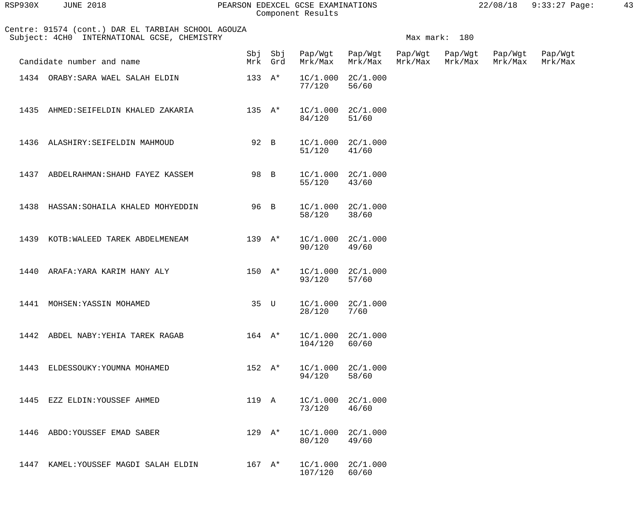| RSP930X | <b>JUNE 2018</b> |  |
|---------|------------------|--|
|         |                  |  |

#### RSP930X JUNE 2018 PEARSON EDEXCEL GCSE EXAMINATIONS 22/08/18 9:33:27 Page: 43 Component Results

|      | Centre: 91574 (cont.) DAR EL TARBIAH SCHOOL AGOUZA<br>Subject: 4CH0 INTERNATIONAL GCSE, CHEMISTRY |                  |                    |         |                                |                    | Max mark: 180      |                    |                    |
|------|---------------------------------------------------------------------------------------------------|------------------|--------------------|---------|--------------------------------|--------------------|--------------------|--------------------|--------------------|
|      | Candidate number and name                                                                         |                  | Sbj Sbj<br>Mrk Grd | Mrk/Max | Pap/Wgt Pap/Wgt<br>Mrk/Max     | Pap/Wgt<br>Mrk/Max | Pap/Wgt<br>Mrk/Max | Pap/Wgt<br>Mrk/Max | Pap/Wgt<br>Mrk/Max |
|      | 1434 ORABY: SARA WAEL SALAH ELDIN                                                                 | 133 $A^*$        |                    | 77/120  | $1C/1.000$ $2C/1.000$<br>56/60 |                    |                    |                    |                    |
| 1435 | AHMED: SEIFELDIN KHALED ZAKARIA                                                                   | $135 \text{ A*}$ |                    | 84/120  | $1C/1.000$ $2C/1.000$<br>51/60 |                    |                    |                    |                    |
|      | 1436 ALASHIRY: SEIFELDIN MAHMOUD                                                                  | 92 B             |                    | 51/120  | $1C/1.000$ $2C/1.000$<br>41/60 |                    |                    |                    |                    |
| 1437 | ABDELRAHMAN: SHAHD FAYEZ KASSEM                                                                   | 98 B             |                    | 55/120  | $1C/1.000$ $2C/1.000$<br>43/60 |                    |                    |                    |                    |
|      | 1438 HASSAN: SOHAILA KHALED MOHYEDDIN                                                             | 96 B             |                    | 58/120  | $1C/1.000$ $2C/1.000$<br>38/60 |                    |                    |                    |                    |
|      | 1439 KOTB: WALEED TAREK ABDELMENEAM                                                               | $139 \text{ A*}$ |                    | 90/120  | $1C/1.000$ $2C/1.000$<br>49/60 |                    |                    |                    |                    |
| 1440 | ARAFA: YARA KARIM HANY ALY                                                                        | $150 A*$         |                    | 93/120  | $1C/1.000$ $2C/1.000$<br>57/60 |                    |                    |                    |                    |
|      | 1441 MOHSEN: YASSIN MOHAMED                                                                       | 35 U             |                    | 28/120  | $1C/1.000$ $2C/1.000$<br>7/60  |                    |                    |                    |                    |
|      | 1442 ABDEL NABY:YEHIA TAREK RAGAB                                                                 |                  | $164$ $\lambda^*$  | 104/120 | $1C/1.000$ $2C/1.000$<br>60/60 |                    |                    |                    |                    |
|      | 1443 ELDESSOUKY: YOUMNA MOHAMED                                                                   | $152 A*$         |                    | 94/120  | $1C/1.000$ $2C/1.000$<br>58/60 |                    |                    |                    |                    |
|      | 1445 EZZ ELDIN: YOUSSEF AHMED                                                                     | 119 A            |                    | 73/120  | $1C/1.000$ $2C/1.000$<br>46/60 |                    |                    |                    |                    |
|      | 1446 ABDO:YOUSSEF EMAD SABER                                                                      | $129 \text{ A*}$ |                    | 80/120  | $1C/1.000$ $2C/1.000$<br>49/60 |                    |                    |                    |                    |
|      | 1447 KAMEL: YOUSSEF MAGDI SALAH ELDIN                                                             | $167$ A*         |                    | 107/120 | $1C/1.000$ $2C/1.000$<br>60/60 |                    |                    |                    |                    |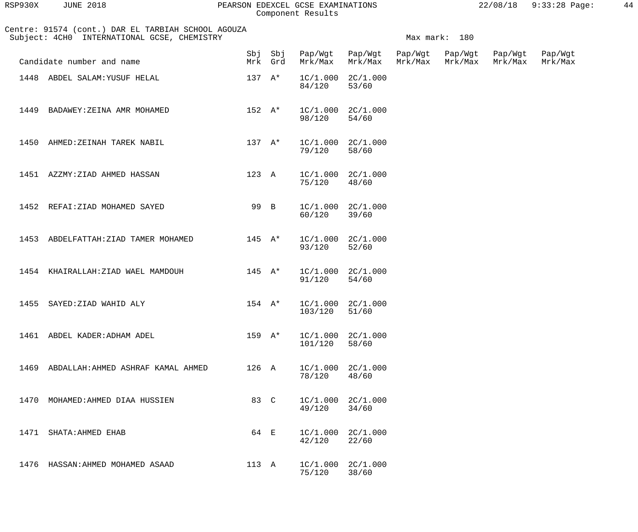| RSP930X | <b>JUNE 2018</b> |  |
|---------|------------------|--|
|         |                  |  |

#### RSP930X JUNE 2018 PEARSON EDEXCEL GCSE EXAMINATIONS 22/08/18 9:33:28 Page: 44 Component Results

| Centre: 91574 (cont.) DAR EL TARBIAH SCHOOL AGOUZA<br>Subject: 4CH0 INTERNATIONAL GCSE, CHEMISTRY |                   |         |                                 |                                |                    | Max mark: 180      |                    |                    |
|---------------------------------------------------------------------------------------------------|-------------------|---------|---------------------------------|--------------------------------|--------------------|--------------------|--------------------|--------------------|
| Candidate number and name                                                                         |                   | Mrk Grd | Sbj Sbj Pap/Wgt Pap/Wgt         | Mrk/Max Mrk/Max                | Pap/Wgt<br>Mrk/Max | Pap/Wgt<br>Mrk/Max | Pap/Wgt<br>Mrk/Max | Pap/Wgt<br>Mrk/Max |
| 1448 ABDEL SALAM: YUSUF HELAL                                                                     | $137 \text{ A*}$  |         | 84/120                          | $1C/1.000$ $2C/1.000$<br>53/60 |                    |                    |                    |                    |
| 1449 BADAWEY: ZEINA AMR MOHAMED                                                                   | $152 \quad A^*$   |         | 98/120                          | $1C/1.000$ $2C/1.000$<br>54/60 |                    |                    |                    |                    |
| 1450 AHMED: ZEINAH TAREK NABIL                                                                    | $137 \text{ A*}$  |         | 79/120                          | $1C/1.000$ $2C/1.000$<br>58/60 |                    |                    |                    |                    |
| 1451 AZZMY: ZIAD AHMED HASSAN                                                                     |                   | 123 A   | $1C/1.000$ $2C/1.000$<br>75/120 | 48/60                          |                    |                    |                    |                    |
| 1452 REFAI: ZIAD MOHAMED SAYED                                                                    | 99 B              |         | 60/120                          | $1C/1.000$ $2C/1.000$<br>39/60 |                    |                    |                    |                    |
| 1453 ABDELFATTAH: ZIAD TAMER MOHAMED                                                              | $145$ $\lambda^*$ |         | 93/120                          | $1C/1.000$ $2C/1.000$<br>52/60 |                    |                    |                    |                    |
| 1454 KHAIRALLAH: ZIAD WAEL MAMDOUH                                                                | $145$ A*          |         | 91/120                          | $1C/1.000$ $2C/1.000$<br>54/60 |                    |                    |                    |                    |
| 1455 SAYED: ZIAD WAHID ALY                                                                        | $154$ $\lambda^*$ |         | 103/120                         | $1C/1.000$ $2C/1.000$<br>51/60 |                    |                    |                    |                    |
| 1461<br>ABDEL KADER:ADHAM ADEL                                                                    | $159 \text{ A*}$  |         | 1C/1.000<br>101/120             | 2C/1.000<br>58/60              |                    |                    |                    |                    |
| 1469<br>ABDALLAH:AHMED ASHRAF KAMAL AHMED                                                         | 126 A             |         | 1C/1.000<br>78/120              | 2C/1.000<br>48/60              |                    |                    |                    |                    |
| 1470<br>MOHAMED: AHMED DIAA HUSSIEN                                                               | 83 C              |         | 1C/1.000<br>49/120              | 2C/1.000<br>34/60              |                    |                    |                    |                    |
| 1471<br>SHATA: AHMED EHAB                                                                         | 64 E              |         | 1C/1.000<br>42/120              | 2C/1.000<br>22/60              |                    |                    |                    |                    |
| 1476<br>HASSAN: AHMED MOHAMED ASAAD                                                               | 113 A             |         | 1C/1.000<br>75/120              | 2C/1.000<br>38/60              |                    |                    |                    |                    |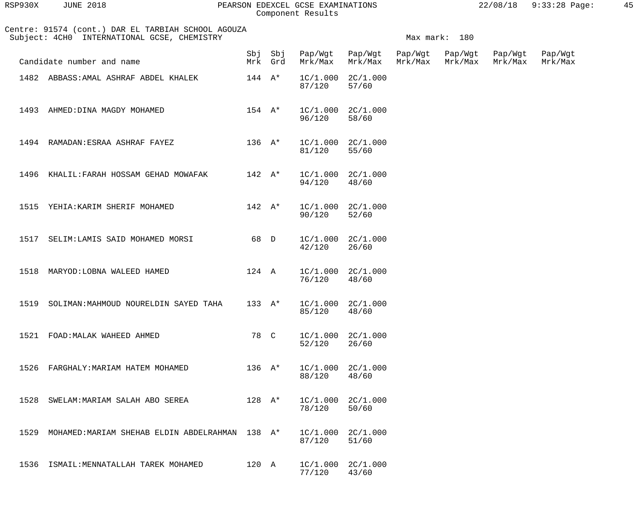| RSP930X | JUNE 2018 |  |
|---------|-----------|--|
|         |           |  |

## PEARSON EDEXCEL GCSE EXAMINATIONS  $22/08/18$  9:33:28 Page: 45 Component Results

|      | Centre: 91574 (cont.) DAR EL TARBIAH SCHOOL AGOUZA<br>Subject: 4CH0 INTERNATIONAL GCSE, CHEMISTRY |                            |                |                                    |                                |                    | Max mark: 180      |                    |                    |
|------|---------------------------------------------------------------------------------------------------|----------------------------|----------------|------------------------------------|--------------------------------|--------------------|--------------------|--------------------|--------------------|
|      | Candidate number and name                                                                         |                            | Mrk Grd        | Sbj Sbj Pap/Wgt Pap/Wgt<br>Mrk/Max | Mrk/Max                        | Pap/Wgt<br>Mrk/Max | Pap/Wgt<br>Mrk/Max | Pap/Wgt<br>Mrk/Max | Pap/Wgt<br>Mrk/Max |
|      | 1482 ABBASS: AMAL ASHRAF ABDEL KHALEK                                                             | $144 \quad A^*$            |                | 87/120                             | $1C/1.000$ $2C/1.000$<br>57/60 |                    |                    |                    |                    |
|      | 1493 AHMED: DINA MAGDY MOHAMED                                                                    | $154 \quad A^*$            |                | 96/120                             | $1C/1.000$ $2C/1.000$<br>58/60 |                    |                    |                    |                    |
|      | 1494 RAMADAN: ESRAA ASHRAF FAYEZ                                                                  | $136$ $A^*$                |                | 81/120                             | $1C/1.000$ $2C/1.000$<br>55/60 |                    |                    |                    |                    |
|      | 1496 KHALIL: FARAH HOSSAM GEHAD MOWAFAK                                                           | $142$ $\mathsf{A}^{\star}$ |                | 94/120                             | $1C/1.000$ $2C/1.000$<br>48/60 |                    |                    |                    |                    |
|      | 1515 YEHIA: KARIM SHERIF MOHAMED                                                                  | $142 \quad A^*$            |                | 90/120                             | $1C/1.000$ $2C/1.000$<br>52/60 |                    |                    |                    |                    |
|      | 1517 SELIM: LAMIS SAID MOHAMED MORSI                                                              | 68 D                       |                | 42/120                             | $1C/1.000$ $2C/1.000$<br>26/60 |                    |                    |                    |                    |
|      | 1518 MARYOD: LOBNA WALEED HAMED                                                                   | 124 A                      |                | 76/120                             | $1C/1.000$ $2C/1.000$<br>48/60 |                    |                    |                    |                    |
|      | 1519 SOLIMAN: MAHMOUD NOURELDIN SAYED TAHA                                                        |                            | 133 A*         | 85/120                             | $1C/1.000$ $2C/1.000$<br>48/60 |                    |                    |                    |                    |
| 1521 | FOAD: MALAK WAHEED AHMED                                                                          | 78                         | $\overline{C}$ | 1C/1.000<br>52/120                 | 2C/1.000<br>26/60              |                    |                    |                    |                    |
| 1526 | FARGHALY: MARIAM HATEM MOHAMED                                                                    | $136 \text{ A*}$           |                | 1C/1.000<br>88/120                 | 2C/1.000<br>48/60              |                    |                    |                    |                    |
| 1528 | SWELAM: MARIAM SALAH ABO SEREA                                                                    | $128 A^*$                  |                | 1C/1.000<br>78/120                 | 2C/1.000<br>50/60              |                    |                    |                    |                    |
| 1529 | MOHAMED: MARIAM SHEHAB ELDIN ABDELRAHMAN                                                          | 138 $A^*$                  |                | 1C/1.000<br>87/120                 | 2C/1.000<br>51/60              |                    |                    |                    |                    |
| 1536 | ISMAIL: MENNATALLAH TAREK MOHAMED                                                                 | 120 A                      |                | 1C/1.000<br>77/120                 | 2C/1.000<br>43/60              |                    |                    |                    |                    |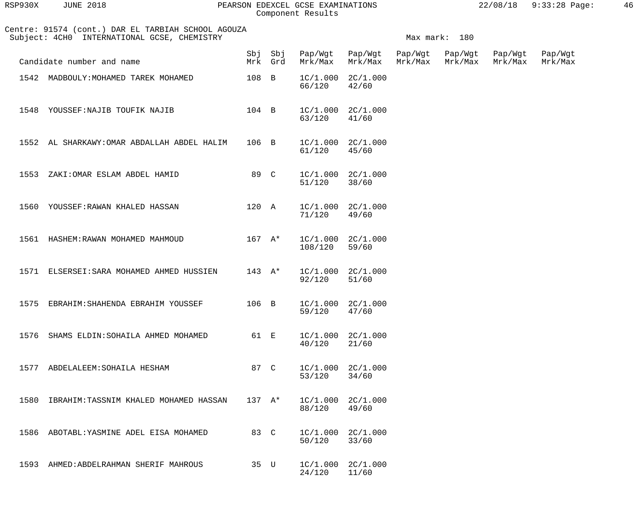| CSE EXAMINATIONS | 22/08/18 9:33:28 |  |
|------------------|------------------|--|
| . Results.       |                  |  |

| RSP930X | <b>JUNE 2018</b>                                                                                                      |            |            | PEARSON EDEXCEL GCSE EXAMINATIONS<br>Component Results |                    |                    |                    | 22/08/18           | $9:33:28$ Page:    | 46 |
|---------|-----------------------------------------------------------------------------------------------------------------------|------------|------------|--------------------------------------------------------|--------------------|--------------------|--------------------|--------------------|--------------------|----|
|         | Centre: 91574 (cont.) DAR EL TARBIAH SCHOOL AGOUZA<br>Subject: 4CH0 INTERNATIONAL GCSE, CHEMISTRY<br>Max mark:<br>180 |            |            |                                                        |                    |                    |                    |                    |                    |    |
|         | Candidate number and name                                                                                             | Sbj<br>Mrk | Sbj<br>Grd | Pap/Wgt<br>Mrk/Max                                     | Pap/Wgt<br>Mrk/Max | Pap/Wgt<br>Mrk/Max | Pap/Wgt<br>Mrk/Max | Pap/Wgt<br>Mrk/Max | Pap/Wgt<br>Mrk/Max |    |
| 1542    | MADBOULY: MOHAMED TAREK MOHAMED                                                                                       | 108 B      |            | 1C/1.000<br>66/120                                     | 2C/1.000<br>42/60  |                    |                    |                    |                    |    |
| 1548    | YOUSSEF: NAJIB TOUFIK NAJIB                                                                                           | 104 B      |            | 1C/1.000<br>63/120                                     | 2C/1.000<br>41/60  |                    |                    |                    |                    |    |
| 1552    | AL SHARKAWY: OMAR ABDALLAH ABDEL HALIM                                                                                | 106 B      |            | 1C/1.000<br>61/120                                     | 2C/1.000<br>45/60  |                    |                    |                    |                    |    |
| 1553    | ZAKI: OMAR ESLAM ABDEL HAMID                                                                                          | 89 C       |            | 1C/1.000<br>51/120                                     | 2C/1.000<br>38/60  |                    |                    |                    |                    |    |
| 1560    | YOUSSEF: RAWAN KHALED HASSAN                                                                                          | 120 A      |            | 1C/1.000<br>71/120                                     | 2C/1.000<br>49/60  |                    |                    |                    |                    |    |

|  | 1561 HASHEM:RAWAN MOHAMED MAHMOUD        | 167 A*                       | $1C/1.000$ $2C/1.000$<br>108/120 | 59/60 |
|--|------------------------------------------|------------------------------|----------------------------------|-------|
|  | 1571 ELSERSEI:SARA MOHAMED AHMED HUSSIEN | $143 \quad \text{A}^{\star}$ | $1C/1.000$ $2C/1.000$<br>92/120  | 51/60 |

| 1575 | EBRAHIM:SHAHENDA EBRAHIM YOUSSEF  | 106 B | $1C/1.000$ $2C/1.000$<br>59/120 | 47/60 |
|------|-----------------------------------|-------|---------------------------------|-------|
| 1576 | SHAMS ELDIN:SOHAILA AHMED MOHAMED | 61 E  | $1C/1.000$ $2C/1.000$<br>40/120 | 21/60 |

| 1577 | ABDELALEEM: SOHAILA HESHAM            | 87  | $\overline{C}$ | 1C/1.000<br>53/120 | 2C/1.000<br>34/60 |
|------|---------------------------------------|-----|----------------|--------------------|-------------------|
| 1580 | IBRAHIM:TASSNIM KHALED MOHAMED HASSAN | 137 | $A^*$          | 1C/1.000<br>88/120 | 2C/1.000<br>49/60 |
| 1586 | ABOTABL: YASMINE ADEL EISA MOHAMED    | 83  | $\overline{C}$ | 1C/1.000<br>50/120 | 2C/1.000<br>33/60 |
| 1593 | AHMED: ABDELRAHMAN SHERIF MAHROUS     | 35  | U              | 1C/1.000<br>24/120 | 2C/1.000<br>11/60 |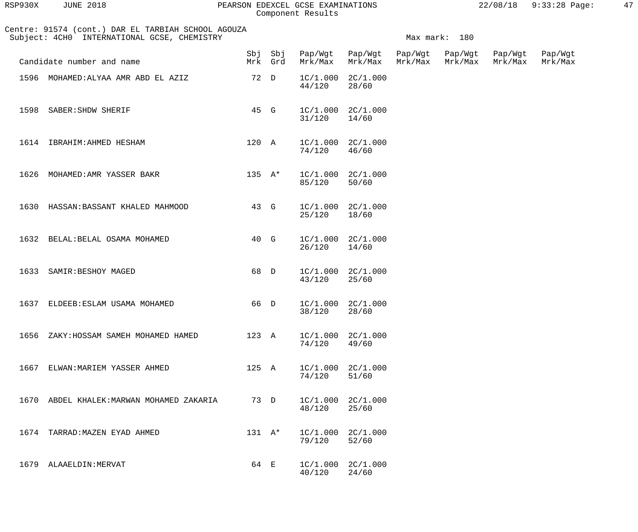| RSP930X | <b>JUNE 2018</b> |  |
|---------|------------------|--|
|         |                  |  |

#### PEARSON EDEXCEL GCSE EXAMINATIONS  $22/08/18$  9:33:28 Page: 47 Component Results

 Centre: 91574 (cont.) DAR EL TARBIAH SCHOOL AGOUZA Subject: 4CH0 INTERNATIONAL GCSE, CHEMISTRY Maximum and the mark: 180 Sbj Sbj Pap/Wgt Pap/Wgt Pap/Wgt Pap/Wgt Pap/Wgt Pap/Wgt Pap/Wgt<br>Mrk Grd Mrk/Max Mrk/Max Mrk/Max Mrk/Max Mrk/Max Mrk/Max Mrk/Max Mrk/Max Candidate number and name Mrk Grd Mrk/Max Mrk/Max Mrk/Max Mrk/Max Mrk/Max Mrk/Max 1596 MOHAMED:ALYAA AMR ABD EL AZIZ  $1596$   $1C/1.000$   $2C/1.000$ <br> $44/120$   $28/60$  44/120 28/60 1598 SABER:SHDW SHERIF 45 G 1C/1.000 2C/1.000 31/120 14/60 1614 IBRAHIM:AHMED HESHAM 120 A 1C/1.000 2C/1.000 74/120 46/60 1626 MOHAMED:AMR YASSER BAKR 135 A\* 1C/1.000 2C/1.000 85/120 50/60 1630 HASSAN:BASSANT KHALED MAHMOOD 43 G 1C/1.000 2C/1.000 25/120 18/60 1632 BELAL:BELAL OSAMA MOHAMED 40 G 1C/1.000 2C/1.000 26/120 14/60 1633 SAMIR:BESHOY MAGED 68 D 1C/1.000 2C/1.000<br>43/120 25/60 43/120 25/60 1637 ELDEEB:ESLAM USAMA MOHAMED 66 D 1C/1.000 2C/1.000 38/120 28/60 1656 ZAKY:HOSSAM SAMEH MOHAMED HAMED 123 A 1C/1.000 2C/1.000 74/120 49/60 1667 ELWAN: MARIEM YASSER AHMED 125 A 1C/1.000 2C/1.000<br>74/120 51/60 74/120 51/60 1670 ABDEL KHALEK: MARWAN MOHAMED ZAKARIA  $\begin{array}{cccc} 73 & D & 1 \text{ C} / 1.000 & 2 \text{ C} / 1.000 \\ 48 / 120 & 25 / 60 \end{array}$  48/120 25/60 1674 TARRAD: MAZEN EYAD AHMED 131 A\* 1C/1.000 2C/1.000<br>79/120 52/60 79/120 52/60 1679 ALAAELDIN:MERVAT 64 E  $1C/1.000$   $2C/1.000$ <br> $40/120$   $24/60$ 40/120 24/60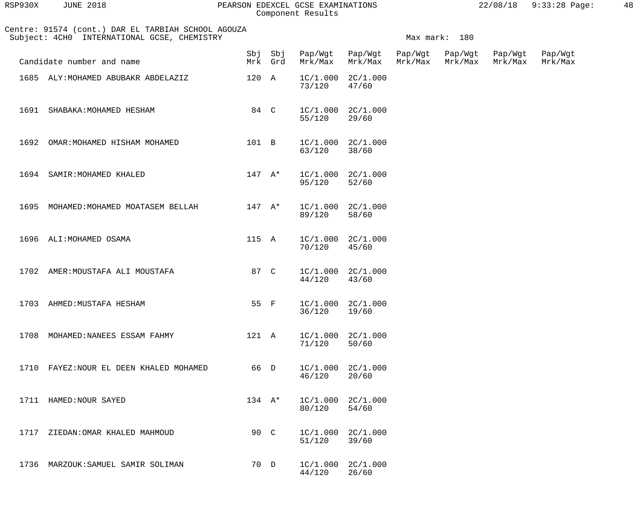| RSP930X | <b>JUNE 2018</b> |  |
|---------|------------------|--|
|         |                  |  |

#### RSP930X JUNE 2018 PEARSON EDEXCEL GCSE EXAMINATIONS 22/08/18 9:33:28 Page: 48 Component Results

|      | Centre: 91574 (cont.) DAR EL TARBIAH SCHOOL AGOUZA<br>Subject: 4CH0 INTERNATIONAL GCSE, CHEMISTRY |                 | Max mark: 180      |         |                                |         |                            |                    |                    |
|------|---------------------------------------------------------------------------------------------------|-----------------|--------------------|---------|--------------------------------|---------|----------------------------|--------------------|--------------------|
|      | Candidate number and name                                                                         |                 | Sbj Sbj<br>Mrk Grd | Mrk/Max | Pap/Wgt Pap/Wgt<br>Mrk/Max     | Mrk/Max | Pap/Wgt Pap/Wgt<br>Mrk/Max | Pap/Wgt<br>Mrk/Max | Pap/Wgt<br>Mrk/Max |
|      | 1685 ALY: MOHAMED ABUBAKR ABDELAZIZ                                                               | 120 A           |                    | 73/120  | $1C/1.000$ $2C/1.000$<br>47/60 |         |                            |                    |                    |
|      | 1691 SHABAKA: MOHAMED HESHAM                                                                      | 84 C            |                    | 55/120  | $1C/1.000$ $2C/1.000$<br>29/60 |         |                            |                    |                    |
|      | 1692 OMAR: MOHAMED HISHAM MOHAMED                                                                 | 101 B           |                    | 63/120  | $1C/1.000$ $2C/1.000$<br>38/60 |         |                            |                    |                    |
|      | 1694 SAMIR: MOHAMED KHALED                                                                        | $147 A^*$       |                    | 95/120  | $1C/1.000$ $2C/1.000$<br>52/60 |         |                            |                    |                    |
|      | 1695 MOHAMED: MOHAMED MOATASEM BELLAH                                                             | $147$ A*        |                    | 89/120  | $1C/1.000$ $2C/1.000$<br>58/60 |         |                            |                    |                    |
|      | 1696 ALI: MOHAMED OSAMA                                                                           | 115 A           |                    | 70/120  | $1C/1.000$ $2C/1.000$<br>45/60 |         |                            |                    |                    |
|      | 1702 AMER: MOUSTAFA ALI MOUSTAFA                                                                  | 87 C            |                    | 44/120  | $1C/1.000$ $2C/1.000$<br>43/60 |         |                            |                    |                    |
|      | 1703 AHMED: MUSTAFA HESHAM                                                                        | 55 F            |                    | 36/120  | $1C/1.000$ $2C/1.000$<br>19/60 |         |                            |                    |                    |
|      | 1708 MOHAMED: NANEES ESSAM FAHMY                                                                  | 121 A           |                    | 71/120  | $1C/1.000$ $2C/1.000$<br>50/60 |         |                            |                    |                    |
|      | 1710 FAYEZ: NOUR EL DEEN KHALED MOHAMED                                                           | 66 D            |                    | 46/120  | $1C/1.000$ $2C/1.000$<br>20/60 |         |                            |                    |                    |
|      | 1711 HAMED: NOUR SAYED                                                                            | $134 \quad A^*$ |                    | 80/120  | $1C/1.000$ $2C/1.000$<br>54/60 |         |                            |                    |                    |
| 1717 | ZIEDAN:OMAR KHALED MAHMOUD                                                                        | 90 C            |                    | 51/120  | $1C/1.000$ $2C/1.000$<br>39/60 |         |                            |                    |                    |
|      | 1736 MARZOUK: SAMUEL SAMIR SOLIMAN                                                                | 70 D            |                    | 44/120  | $1C/1.000$ $2C/1.000$<br>26/60 |         |                            |                    |                    |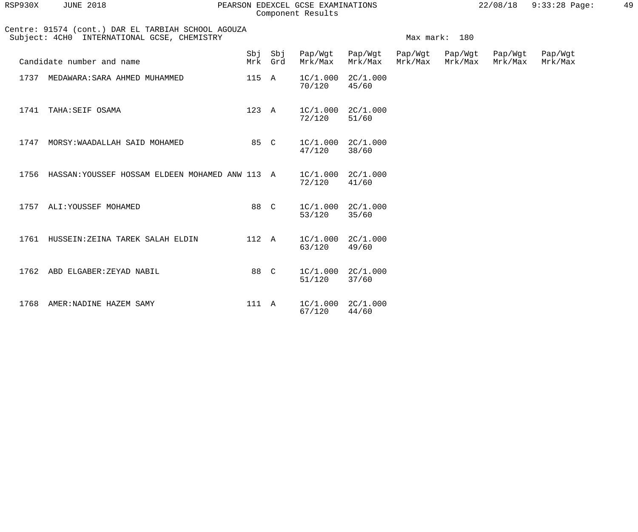| RSP930X | <b>JUNE 2018</b> |  |
|---------|------------------|--|
|         |                  |  |

#### RSP930X JUNE 2018 PEARSON EDEXCEL GCSE EXAMINATIONS 22/08/18 9:33:28 Page: 49 Component Results

|      | Centre: 91574 (cont.) DAR EL TARBIAH SCHOOL AGOUZA<br>Subject: 4CH0 INTERNATIONAL GCSE, CHEMISTRY | Max mark: 180 |                    |                                 |                            |                    |                    |                    |                    |
|------|---------------------------------------------------------------------------------------------------|---------------|--------------------|---------------------------------|----------------------------|--------------------|--------------------|--------------------|--------------------|
|      | Candidate number and name                                                                         |               | Sbj Sbj<br>Mrk Grd | Mrk/Max                         | Pap/Wgt Pap/Wgt<br>Mrk/Max | Pap/Wgt<br>Mrk/Max | Pap/Wgt<br>Mrk/Max | Pap/Wgt<br>Mrk/Max | Pap/Wgt<br>Mrk/Max |
|      | 1737 MEDAWARA: SARA AHMED MUHAMMED                                                                | 115 A         |                    | $1C/1.000$ $2C/1.000$<br>70/120 | 45/60                      |                    |                    |                    |                    |
| 1741 | TAHA:SEIF OSAMA                                                                                   | 123 A         |                    | $1C/1.000$ $2C/1.000$<br>72/120 | 51/60                      |                    |                    |                    |                    |
|      | 1747 MORSY: WAADALLAH SAID MOHAMED                                                                | 85 C          |                    | $1C/1.000$ $2C/1.000$<br>47/120 | 38/60                      |                    |                    |                    |                    |
|      | 1756 HASSAN: YOUSSEF HOSSAM ELDEEN MOHAMED ANW 113 A                                              |               |                    | $1C/1.000$ $2C/1.000$<br>72/120 | 41/60                      |                    |                    |                    |                    |
|      | 1757 ALI: YOUSSEF MOHAMED                                                                         | 88 C          |                    | $1C/1.000$ $2C/1.000$<br>53/120 | 35/60                      |                    |                    |                    |                    |
|      | 1761 HUSSEIN: ZEINA TAREK SALAH ELDIN                                                             | 112 A         |                    | $1C/1.000$ $2C/1.000$<br>63/120 | 49/60                      |                    |                    |                    |                    |
| 1762 | ABD ELGABER: ZEYAD NABIL                                                                          | 88 C          |                    | $1C/1.000$ $2C/1.000$<br>51/120 | 37/60                      |                    |                    |                    |                    |
| 1768 | AMER: NADINE HAZEM SAMY                                                                           | 111 A         |                    | $1C/1.000$ $2C/1.000$<br>67/120 | 44/60                      |                    |                    |                    |                    |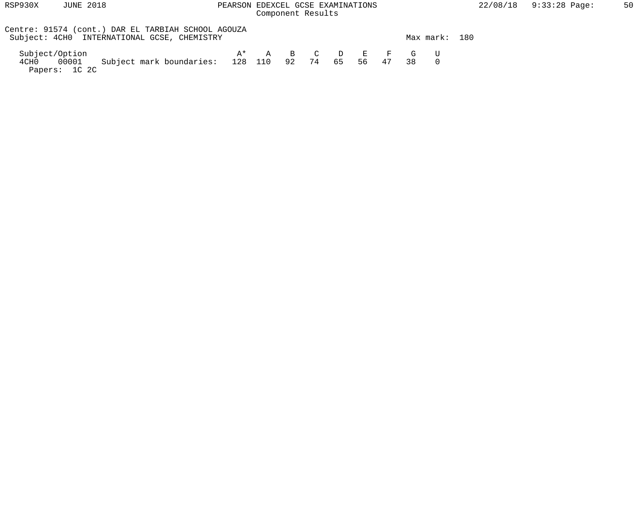## RSP930X JUNE 2018 PEARSON EDEXCEL GCSE EXAMINATIONS 22/08/18 9:33:28 Page: 50 Component Results

| Centre: 91574 (cont.) DAR EL TARBIAH SCHOOL AGOUZA<br>Subject: 4CH0 INTERNATIONAL GCSE, CHEMISTRY |                       |  |    |       |     | Max mark: | 180 |
|---------------------------------------------------------------------------------------------------|-----------------------|--|----|-------|-----|-----------|-----|
| Subject/Option                                                                                    | $A^*$ A B C D E F G U |  |    |       |     |           |     |
| Subject mark boundaries: 128 110 92 74<br>4CH0 00001<br>Papers: 1C 2C                             |                       |  | 65 | 56 47 | 3.R |           |     |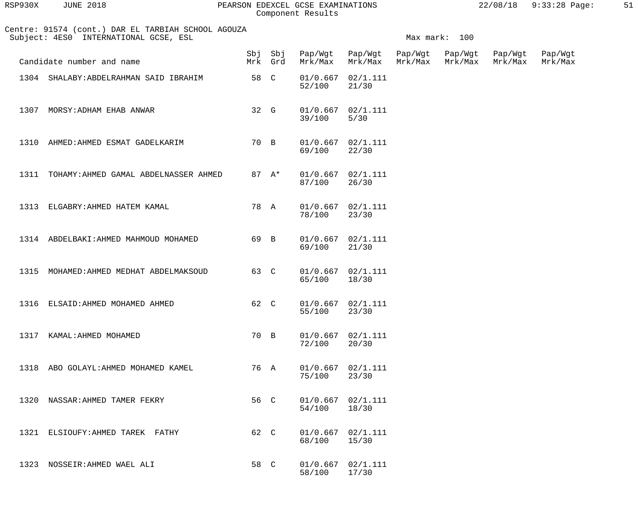| RSP930X | <b>JUNE 2018</b> |  |
|---------|------------------|--|
|         |                  |  |

#### RSP930X JUNE 2018 PEARSON EDEXCEL GCSE EXAMINATIONS 22/08/18 9:33:28 Page: 51 Component Results

| Centre: 91574 (cont.) DAR EL TARBIAH SCHOOL AGOUZA<br>Subject: 4ES0 INTERNATIONAL GCSE, ESL<br>Max mark: 100 |                                            |      |         |                         |                                 |                    |                    |                    |                    |
|--------------------------------------------------------------------------------------------------------------|--------------------------------------------|------|---------|-------------------------|---------------------------------|--------------------|--------------------|--------------------|--------------------|
|                                                                                                              | Candidate number and name                  |      | Mrk Grd | Sbj Sbj Pap/Wgt Pap/Wgt | Mrk/Max Mrk/Max                 | Pap/Wgt<br>Mrk/Max | Pap/Wgt<br>Mrk/Max | Pap/Wgt<br>Mrk/Max | Pap/Wgt<br>Mrk/Max |
|                                                                                                              | 1304 SHALABY: ABDELRAHMAN SAID IBRAHIM     |      | 58 C    | 52/100                  | $01/0.667$ $02/1.111$<br>21/30  |                    |                    |                    |                    |
|                                                                                                              | 1307 MORSY: ADHAM EHAB ANWAR               | 32 G |         | 39/100                  | $01/0.667$ $02/1.111$<br>$5/30$ |                    |                    |                    |                    |
|                                                                                                              | 1310 AHMED: AHMED ESMAT GADELKARIM         |      | 70 B    | 69/100                  | $01/0.667$ $02/1.111$<br>22/30  |                    |                    |                    |                    |
|                                                                                                              | 1311 TOHAMY: AHMED GAMAL ABDELNASSER AHMED |      | 87 A*   | 87/100                  | $01/0.667$ $02/1.111$<br>26/30  |                    |                    |                    |                    |
|                                                                                                              | 1313 ELGABRY: AHMED HATEM KAMAL            |      | 78 A    | 78/100                  | $01/0.667$ $02/1.111$<br>23/30  |                    |                    |                    |                    |
|                                                                                                              | 1314 ABDELBAKI: AHMED MAHMOUD MOHAMED      | 69 B |         | 69/100                  | $01/0.667$ $02/1.111$<br>21/30  |                    |                    |                    |                    |
|                                                                                                              | 1315 MOHAMED: AHMED MEDHAT ABDELMAKSOUD    | 63 C |         | 65/100                  | $01/0.667$ $02/1.111$<br>18/30  |                    |                    |                    |                    |
|                                                                                                              | 1316 ELSAID: AHMED MOHAMED AHMED           | 62 C |         | 55/100                  | $01/0.667$ $02/1.111$<br>23/30  |                    |                    |                    |                    |
| 1317                                                                                                         | KAMAL: AHMED MOHAMED                       | 70 B |         | 72/100                  | $01/0.667$ $02/1.111$<br>20/30  |                    |                    |                    |                    |
| 1318                                                                                                         | ABO GOLAYL: AHMED MOHAMED KAMEL            | 76 A |         | 75/100                  | $01/0.667$ $02/1.111$<br>23/30  |                    |                    |                    |                    |
| 1320                                                                                                         | NASSAR: AHMED TAMER FEKRY                  | 56 C |         | 54/100                  | $01/0.667$ $02/1.111$<br>18/30  |                    |                    |                    |                    |
| 1321                                                                                                         | ELSIOUFY: AHMED TAREK FATHY                | 62 C |         | 01/0.667<br>68/100      | 02/1.111<br>15/30               |                    |                    |                    |                    |
| 1323                                                                                                         | NOSSEIR: AHMED WAEL ALI                    | 58 C |         | 01/0.667<br>58/100      | 02/1.111<br>17/30               |                    |                    |                    |                    |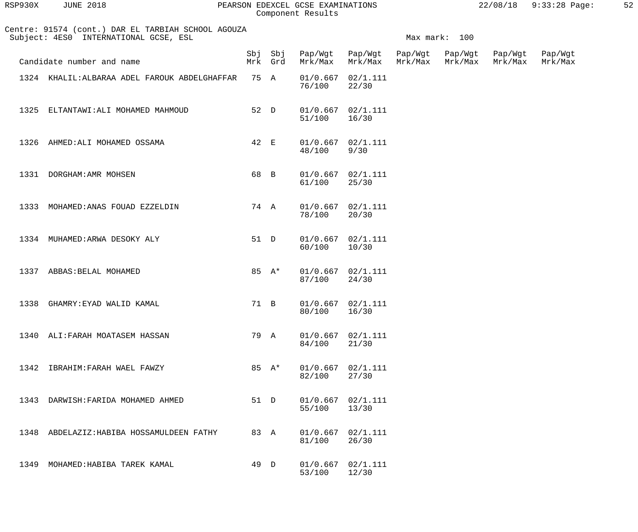| RSP930X | <b>JUNE 2018</b>                                                                            |      |                    | PEARSON EDEXCEL GCSE EXAMINATIONS<br>Component Results |                                 |                         |                    | 22/08/18 9:33:28 Page: | 52 |
|---------|---------------------------------------------------------------------------------------------|------|--------------------|--------------------------------------------------------|---------------------------------|-------------------------|--------------------|------------------------|----|
|         | Centre: 91574 (cont.) DAR EL TARBIAH SCHOOL AGOUZA<br>Subject: 4ES0 INTERNATIONAL GCSE, ESL |      |                    |                                                        |                                 | Max mark: 100           |                    |                        |    |
|         | Candidate number and name                                                                   |      | Sbj Sbj<br>Mrk Grd | Mrk/Max                                                | Pap/Wgt Pap/Wgt Pap/Wgt Pap/Wgt | Mrk/Max Mrk/Max Mrk/Max | Pap/Wgt<br>Mrk/Max | Pap/Wgt<br>Mrk/Max     |    |
|         | 1324 KHALIL: ALBARAA ADEL FAROUK ABDELGHAFFAR                                               | 75 A |                    | $01/0.667$ $02/1.111$<br>76/100                        | 22/30                           |                         |                    |                        |    |
| 1325    | ELTANTAWI: ALI MOHAMED MAHMOUD                                                              | 52 D |                    | $01/0.667$ $02/1.111$<br>51/100                        | 16/30                           |                         |                    |                        |    |
| 1326    | AHMED: ALI MOHAMED OSSAMA                                                                   | 42 E |                    | $01/0.667$ $02/1.111$<br>48/100                        | 9/30                            |                         |                    |                        |    |
|         | 1331 DORGHAM: AMR MOHSEN                                                                    | 68 B |                    | $01/0.667$ $02/1.111$<br>61/100                        | 25/30                           |                         |                    |                        |    |
| 1333    | MOHAMED: ANAS FOUAD EZZELDIN                                                                | 74 A |                    | $01/0.667$ $02/1.111$<br>78/100                        | 20/30                           |                         |                    |                        |    |
|         | 1334 MUHAMED: ARWA DESOKY ALY                                                               | 51 D |                    | $01/0.667$ $02/1.111$<br>60/100                        | 10/30                           |                         |                    |                        |    |
|         | 1337 ABBAS: BELAL MOHAMED                                                                   |      | 85 $A^*$           | $01/0.667$ $02/1.111$<br>87/100                        | 24/30                           |                         |                    |                        |    |
|         | 1338 GHAMRY: EYAD WALID KAMAL                                                               |      | 71 B               | $01/0.667$ $02/1.111$<br>80/100                        | 16/30                           |                         |                    |                        |    |
|         | 1340 ALI: FARAH MOATASEM HASSAN                                                             | 79 A |                    | 01/0.667<br>84/100                                     | 02/1.111<br>21/30               |                         |                    |                        |    |
|         | 1342 IBRAHIM: FARAH WAEL FAWZY                                                              |      | 85 A*              | 01/0.667<br>82/100                                     | 02/1.111<br>27/30               |                         |                    |                        |    |
| 1343    | DARWISH: FARIDA MOHAMED AHMED                                                               | 51 D |                    | 01/0.667<br>55/100                                     | 02/1.111<br>13/30               |                         |                    |                        |    |
|         | 1348 ABDELAZIZ: HABIBA HOSSAMULDEEN FATHY                                                   | 83 A |                    | 01/0.667<br>81/100                                     | 02/1.111<br>26/30               |                         |                    |                        |    |
| 1349    | MOHAMED: HABIBA TAREK KAMAL                                                                 | 49 D |                    | 01/0.667                                               | 02/1.111                        |                         |                    |                        |    |

53/100 12/30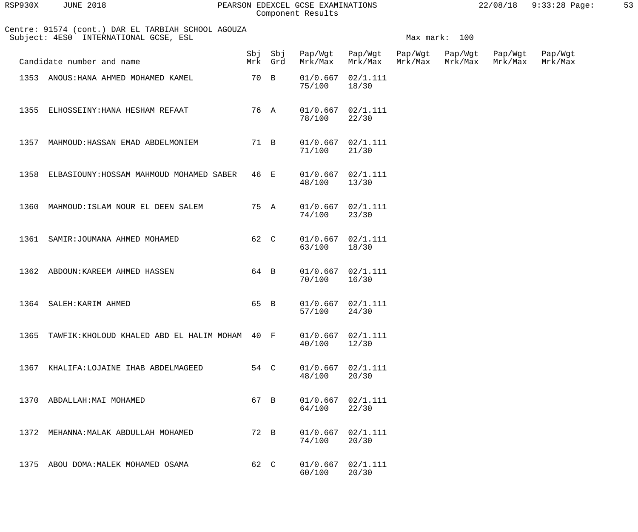| RSP930X | <b>JUNE 2018</b> | PEARSON EDEXCEL GCSE EXAMINATIONS | 22/08/18 9:33:28 Page: |  |
|---------|------------------|-----------------------------------|------------------------|--|
|         |                  | Component Results                 |                        |  |

| RSP930X | JUNE 2018 |  |
|---------|-----------|--|
|         |           |  |

|  |  |  | e: 91574 (cont.) DAR EL TARBIAH SCHOOL AGOUZA |  |  |
|--|--|--|-----------------------------------------------|--|--|
|  |  |  | ACT: 1FSA INTERNATIONAL.COSF FSL              |  |  |

|      | Centre: 91574 (cont.) DAR EL TARBIAH SCHOOL AGOUZA<br>Subject: 4ES0 INTERNATIONAL GCSE, ESL |      |         |                         |                                |         | Max mark: 100              |                    |                    |
|------|---------------------------------------------------------------------------------------------|------|---------|-------------------------|--------------------------------|---------|----------------------------|--------------------|--------------------|
|      | Candidate number and name                                                                   |      | Mrk Grd | Sbj Sbj Pap/Wgt Pap/Wgt | Mrk/Max Mrk/Max                | Mrk/Max | Pap/Wgt Pap/Wgt<br>Mrk/Max | Pap/Wgt<br>Mrk/Max | Pap/Wgt<br>Mrk/Max |
|      | 1353 ANOUS: HANA AHMED MOHAMED KAMEL                                                        | 70 B |         | 75/100                  | $01/0.667$ $02/1.111$<br>18/30 |         |                            |                    |                    |
|      | 1355 ELHOSSEINY: HANA HESHAM REFAAT                                                         | 76 A |         | 78/100                  | $01/0.667$ $02/1.111$<br>22/30 |         |                            |                    |                    |
|      | 1357 MAHMOUD: HASSAN EMAD ABDELMONIEM                                                       | 71 B |         | 71/100                  | $01/0.667$ $02/1.111$<br>21/30 |         |                            |                    |                    |
|      | 1358 ELBASIOUNY: HOSSAM MAHMOUD MOHAMED SABER                                               | 46 E |         | 48/100 13/30            | $01/0.667$ $02/1.111$          |         |                            |                    |                    |
|      | 1360 MAHMOUD: ISLAM NOUR EL DEEN SALEM                                                      | 75 A |         | 74/100                  | $01/0.667$ $02/1.111$<br>23/30 |         |                            |                    |                    |
|      | 1361 SAMIR: JOUMANA AHMED MOHAMED                                                           | 62 C |         | 63/100 18/30            | $01/0.667$ $02/1.111$          |         |                            |                    |                    |
|      | 1362 ABDOUN: KAREEM AHMED HASSEN                                                            | 64 B |         | 70/100 16/30            | $01/0.667$ $02/1.111$          |         |                            |                    |                    |
|      | 1364 SALEH: KARIM AHMED                                                                     | 65 B |         | 57/100                  | $01/0.667$ $02/1.111$<br>24/30 |         |                            |                    |                    |
|      | 1365 TAWFIK: KHOLOUD KHALED ABD EL HALIM MOHAM 40 F                                         |      |         | 01/0.667<br>40/100      | 02/1.111<br>12/30              |         |                            |                    |                    |
| 1367 | KHALIFA:LOJAINE IHAB ABDELMAGEED                                                            | 54 C |         | 01/0.667<br>48/100      | 02/1.111<br>20/30              |         |                            |                    |                    |
| 1370 | ABDALLAH: MAI MOHAMED                                                                       | 67 B |         | 01/0.667<br>64/100      | 02/1.111<br>22/30              |         |                            |                    |                    |
|      | 1372 MEHANNA: MALAK ABDULLAH MOHAMED                                                        | 72 B |         | 01/0.667<br>74/100      | 02/1.111<br>20/30              |         |                            |                    |                    |
|      | 1375 ABOU DOMA: MALEK MOHAMED OSAMA                                                         | 62 C |         | 01/0.667<br>60/100      | 02/1.111<br>20/30              |         |                            |                    |                    |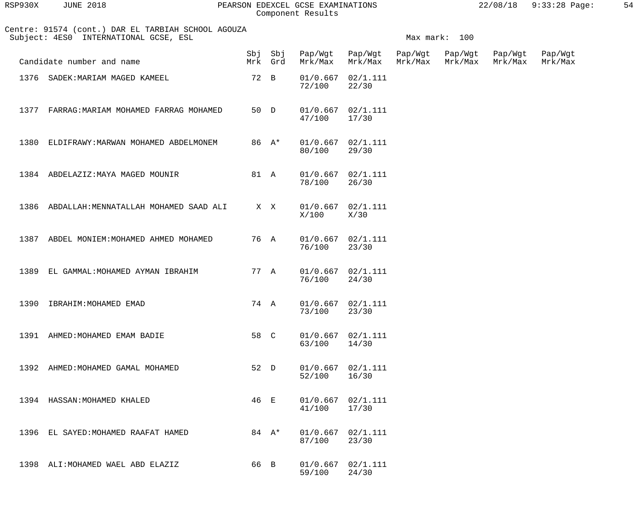| RSP930X | <b>JUNE 2018</b>                                                                            |      |                    | PEARSON EDEXCEL GCSE EXAMINATIONS<br>Component Results |                    |                    |                    | 22/08/18           | $9:33:28$ Page:    | 54 |
|---------|---------------------------------------------------------------------------------------------|------|--------------------|--------------------------------------------------------|--------------------|--------------------|--------------------|--------------------|--------------------|----|
|         | Centre: 91574 (cont.) DAR EL TARBIAH SCHOOL AGOUZA<br>Subject: 4ES0 INTERNATIONAL GCSE, ESL |      |                    |                                                        |                    |                    | Max mark: 100      |                    |                    |    |
|         | Candidate number and name                                                                   |      | Sbj Sbj<br>Mrk Grd | Pap/Wgt<br>Mrk/Max                                     | Pap/Wgt<br>Mrk/Max | Pap/Wgt<br>Mrk/Max | Pap/Wgt<br>Mrk/Max | Pap/Wgt<br>Mrk/Max | Pap/Wgt<br>Mrk/Max |    |
| 1376    | SADEK: MARIAM MAGED KAMEEL                                                                  | 72 B |                    | 01/0.667<br>72/100                                     | 02/1.111<br>22/30  |                    |                    |                    |                    |    |
| 1377    | FARRAG: MARIAM MOHAMED FARRAG MOHAMED                                                       | 50 D |                    | 01/0.667<br>47/100                                     | 02/1.111<br>17/30  |                    |                    |                    |                    |    |
| 1380    | ELDIFRAWY: MARWAN MOHAMED ABDELMONEM                                                        |      | 86 A*              | 01/0.667<br>80/100                                     | 02/1.111<br>29/30  |                    |                    |                    |                    |    |
|         | 1384 ABDELAZIZ: MAYA MAGED MOUNIR                                                           | 81 A |                    | 01/0.667<br>78/100                                     | 02/1.111<br>26/30  |                    |                    |                    |                    |    |
| 1386    | ABDALLAH: MENNATALLAH MOHAMED SAAD ALI                                                      |      | X X                | 01/0.667<br>X/100                                      | 02/1.111<br>X/30   |                    |                    |                    |                    |    |
| 1387    | ABDEL MONIEM: MOHAMED AHMED MOHAMED                                                         |      | 76 A               | 01/0.667<br>76/100                                     | 02/1.111<br>23/30  |                    |                    |                    |                    |    |
| 1389    | EL GAMMAL: MOHAMED AYMAN IBRAHIM                                                            | 77 A |                    | 01/0.667<br>76/100                                     | 02/1.111<br>24/30  |                    |                    |                    |                    |    |
| 1390    | IBRAHIM: MOHAMED EMAD                                                                       |      | 74 A               | 01/0.667<br>73/100                                     | 02/1.111<br>23/30  |                    |                    |                    |                    |    |
| 1391    | AHMED: MOHAMED EMAM BADIE                                                                   | 58 C |                    | 01/0.667<br>63/100                                     | 02/1.111<br>14/30  |                    |                    |                    |                    |    |
| 1392    | AHMED: MOHAMED GAMAL MOHAMED                                                                | 52 D |                    | 01/0.667<br>52/100                                     | 02/1.111<br>16/30  |                    |                    |                    |                    |    |
| 1394    | HASSAN: MOHAMED KHALED                                                                      | 46 E |                    | 01/0.667<br>41/100                                     | 02/1.111<br>17/30  |                    |                    |                    |                    |    |

1396 EL SAYED:MOHAMED RAAFAT HAMED 84 A\* 01/0.667 02/1.111<br>87/100 23/30 87/100 23/30

1398 ALI:MOHAMED WAEL ABD ELAZIZ 66 B 01/0.667 02/1.111<br>59/100 24/30 59/100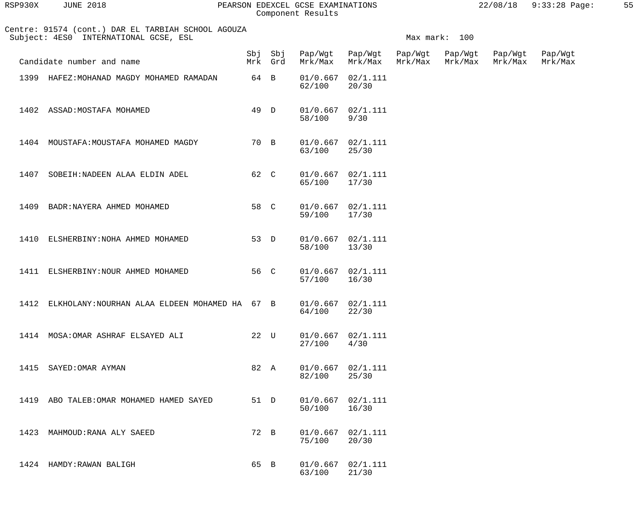| RSP930X | JUNE 2018                                                                                   | PEARSON EDEXCEL GCSE EXAMINATIONS<br>Component Results |               | $22/08/18$ 9:33:28 Page: | 55 |
|---------|---------------------------------------------------------------------------------------------|--------------------------------------------------------|---------------|--------------------------|----|
|         | Centre: 91574 (cont.) DAR EL TARBIAH SCHOOL AGOUZA<br>Subject: 4ES0 INTERNATIONAL GCSE, ESL |                                                        | Max mark: 100 |                          |    |

|      | Candidate number and name                      |      | Sbj Sbj<br>Mrk Grd | Pap/Wgt<br>Mrk/Max | Pap/Wgt<br>Mrk/Max             | Pap/Wgt<br>Mrk/Max | Pap/Wgt<br>Mrk/Max | Pap/Wgt<br>Mrk/Max | Pap/Wgt<br>Mrk/Max |
|------|------------------------------------------------|------|--------------------|--------------------|--------------------------------|--------------------|--------------------|--------------------|--------------------|
|      | 1399 HAFEZ: MOHANAD MAGDY MOHAMED RAMADAN      | 64 B |                    | 62/100             | $01/0.667$ $02/1.111$<br>20/30 |                    |                    |                    |                    |
|      | 1402 ASSAD: MOSTAFA MOHAMED                    | 49 D |                    | 58/100             | $01/0.667$ $02/1.111$<br>9/30  |                    |                    |                    |                    |
|      | 1404 MOUSTAFA: MOUSTAFA MOHAMED MAGDY          | 70 B |                    | 63/100             | $01/0.667$ $02/1.111$<br>25/30 |                    |                    |                    |                    |
| 1407 | SOBEIH: NADEEN ALAA ELDIN ADEL                 | 62 C |                    | 65/100             | $01/0.667$ $02/1.111$<br>17/30 |                    |                    |                    |                    |
| 1409 | BADR: NAYERA AHMED MOHAMED                     | 58 C |                    | 59/100             | $01/0.667$ $02/1.111$<br>17/30 |                    |                    |                    |                    |
| 1410 | ELSHERBINY: NOHA AHMED MOHAMED                 | 53 D |                    | 58/100             | $01/0.667$ $02/1.111$<br>13/30 |                    |                    |                    |                    |
|      | 1411 ELSHERBINY: NOUR AHMED MOHAMED            | 56 C |                    | 57/100             | $01/0.667$ $02/1.111$<br>16/30 |                    |                    |                    |                    |
| 1412 | ELKHOLANY: NOURHAN ALAA ELDEEN MOHAMED HA 67 B |      |                    | 64/100             | $01/0.667$ $02/1.111$<br>22/30 |                    |                    |                    |                    |
| 1414 | MOSA: OMAR ASHRAF ELSAYED ALI                  | 22 U |                    | 27/100             | $01/0.667$ $02/1.111$<br>4/30  |                    |                    |                    |                    |
| 1415 | SAYED: OMAR AYMAN                              | 82 A |                    | 82/100             | $01/0.667$ $02/1.111$<br>25/30 |                    |                    |                    |                    |
| 1419 | ABO TALEB: OMAR MOHAMED HAMED SAYED            | 51 D |                    | 01/0.667<br>50/100 | 02/1.111<br>16/30              |                    |                    |                    |                    |
| 1423 | MAHMOUD: RANA ALY SAEED                        | 72 B |                    | 01/0.667<br>75/100 | 02/1.111<br>20/30              |                    |                    |                    |                    |
| 1424 | HAMDY:RAWAN BALIGH                             | 65 B |                    | 01/0.667<br>63/100 | 02/1.111<br>21/30              |                    |                    |                    |                    |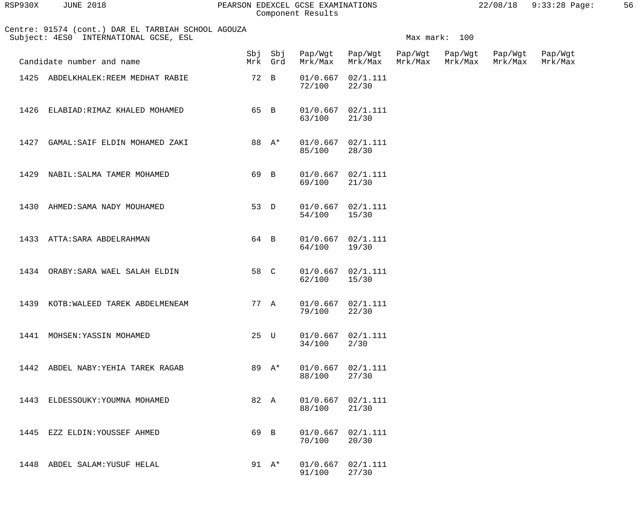| RSP930X | <b>JUNE 2018</b> | PEARSON EDEXCEL GCSE EXAMINATIONS | 22/08/18 | 9:33:28 Page | 56. |
|---------|------------------|-----------------------------------|----------|--------------|-----|
|         |                  | Component Results                 |          |              |     |

|      | Centre: 91574 (cont.) DAR EL TARBIAH SCHOOL AGOUZA<br>Subject: 4ES0 INTERNATIONAL GCSE, ESL |      |                    |         |                                |                    | Max mark: 100      |                    |                    |
|------|---------------------------------------------------------------------------------------------|------|--------------------|---------|--------------------------------|--------------------|--------------------|--------------------|--------------------|
|      | Candidate number and name                                                                   |      | Sbj Sbj<br>Mrk Grd | Mrk/Max | Pap/Wgt Pap/Wgt<br>Mrk/Max     | Pap/Wgt<br>Mrk/Max | Pap/Wgt<br>Mrk/Max | Pap/Wgt<br>Mrk/Max | Pap/Wgt<br>Mrk/Max |
|      | 1425 ABDELKHALEK: REEM MEDHAT RABIE                                                         |      | 72 B               | 72/100  | $01/0.667$ $02/1.111$<br>22/30 |                    |                    |                    |                    |
| 1426 | ELABIAD:RIMAZ KHALED MOHAMED                                                                | 65 B |                    | 63/100  | $01/0.667$ $02/1.111$<br>21/30 |                    |                    |                    |                    |
| 1427 | GAMAL:SAIF ELDIN MOHAMED ZAKI                                                               |      | 88 A*              | 85/100  | $01/0.667$ $02/1.111$<br>28/30 |                    |                    |                    |                    |
| 1429 | NABIL:SALMA TAMER MOHAMED                                                                   | 69 B |                    | 69/100  | $01/0.667$ $02/1.111$<br>21/30 |                    |                    |                    |                    |
| 1430 | AHMED: SAMA NADY MOUHAMED                                                                   |      | 53 D               | 54/100  | $01/0.667$ $02/1.111$<br>15/30 |                    |                    |                    |                    |
|      | 1433 ATTA: SARA ABDELRAHMAN                                                                 | 64 B |                    | 64/100  | $01/0.667$ $02/1.111$<br>19/30 |                    |                    |                    |                    |
|      | 1434 ORABY: SARA WAEL SALAH ELDIN                                                           | 58 C |                    | 62/100  | $01/0.667$ $02/1.111$<br>15/30 |                    |                    |                    |                    |
|      | 1439 KOTB: WALEED TAREK ABDELMENEAM                                                         |      | 77 A               | 79/100  | $01/0.667$ $02/1.111$<br>22/30 |                    |                    |                    |                    |
|      | 1441 MOHSEN: YASSIN MOHAMED                                                                 |      | 25 U               | 34/100  | $01/0.667$ $02/1.111$<br>2/30  |                    |                    |                    |                    |
|      | 1442 ABDEL NABY: YEHIA TAREK RAGAB                                                          |      | 89 A*              | 88/100  | $01/0.667$ $02/1.111$<br>27/30 |                    |                    |                    |                    |
|      | 1443 ELDESSOUKY: YOUMNA MOHAMED                                                             |      | 82 A               | 88/100  | $01/0.667$ $02/1.111$<br>21/30 |                    |                    |                    |                    |
|      | 1445 EZZ ELDIN: YOUSSEF AHMED                                                               | 69 B |                    | 70/100  | $01/0.667$ $02/1.111$<br>20/30 |                    |                    |                    |                    |
|      | 1448 ABDEL SALAM: YUSUF HELAL                                                               |      | 91 $A^*$           | 91/100  | $01/0.667$ $02/1.111$<br>27/30 |                    |                    |                    |                    |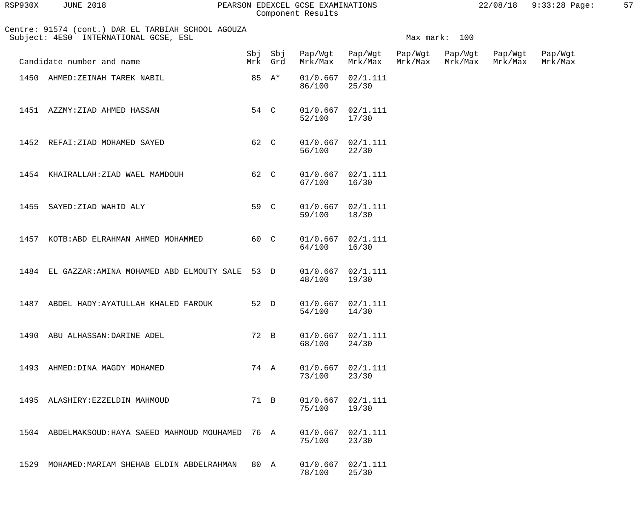| RSP930X | <b>JUNE 2018</b> | PEARSON EDEXCEL GCSE EXAMINATIONS | 22/08/18 9:33:28 Page: |  |
|---------|------------------|-----------------------------------|------------------------|--|
|         |                  | Component Results                 |                        |  |

| RSP930X | <b>JUNE 2018</b> |  |
|---------|------------------|--|
|         |                  |  |

Component Result

| Centre: 91574 (cont.) DAR EL TARBIAH SCHOOL AGOUZA<br>Subject: 4ES0 INTERNATIONAL GCSE, ESL |      |          |                    |                                            |                    | Max mark: 100      |                    |                    |
|---------------------------------------------------------------------------------------------|------|----------|--------------------|--------------------------------------------|--------------------|--------------------|--------------------|--------------------|
| Candidate number and name                                                                   |      | Mrk Grd  |                    | Sbj Sbj Pap/Wgt Pap/Wgt<br>Mrk/Max Mrk/Max | Pap/Wgt<br>Mrk/Max | Pap/Wgt<br>Mrk/Max | Pap/Wgt<br>Mrk/Max | Pap/Wgt<br>Mrk/Max |
| 1450 AHMED: ZEINAH TAREK NABIL                                                              |      | 85 $A^*$ | 86/100             | $01/0.667$ $02/1.111$<br>25/30             |                    |                    |                    |                    |
| 1451 AZZMY: ZIAD AHMED HASSAN                                                               | 54 C |          | 52/100 17/30       | $01/0.667$ $02/1.111$                      |                    |                    |                    |                    |
| 1452 REFAI: ZIAD MOHAMED SAYED                                                              | 62 C |          | 56/100             | $01/0.667$ $02/1.111$<br>22/30             |                    |                    |                    |                    |
| 1454 KHAIRALLAH: ZIAD WAEL MAMDOUH                                                          | 62 C |          | 67/100 16/30       | $01/0.667$ $02/1.111$                      |                    |                    |                    |                    |
| 1455 SAYED: ZIAD WAHID ALY                                                                  | 59 C |          | 59/100 18/30       | $01/0.667$ $02/1.111$                      |                    |                    |                    |                    |
| 1457 KOTB: ABD ELRAHMAN AHMED MOHAMMED                                                      | 60 C |          | 64/100 16/30       | $01/0.667$ $02/1.111$                      |                    |                    |                    |                    |
| 1484 EL GAZZAR: AMINA MOHAMED ABD ELMOUTY SALE 53 D                                         |      |          | 48/100 19/30       | $01/0.667$ $02/1.111$                      |                    |                    |                    |                    |
| 1487 ABDEL HADY: AYATULLAH KHALED FAROUK                                                    | 52 D |          | 54/100             | $01/0.667$ $02/1.111$<br>14/30             |                    |                    |                    |                    |
| 1490<br>ABU ALHASSAN: DARINE ADEL                                                           | 72 B |          | 01/0.667<br>68/100 | 02/1.111<br>24/30                          |                    |                    |                    |                    |
| 1493<br>AHMED: DINA MAGDY MOHAMED                                                           | 74 A |          | 01/0.667<br>73/100 | 02/1.111<br>23/30                          |                    |                    |                    |                    |
| 1495<br>ALASHIRY: EZZELDIN MAHMOUD                                                          | 71 B |          | 01/0.667<br>75/100 | 02/1.111<br>19/30                          |                    |                    |                    |                    |
| ABDELMAKSOUD: HAYA SAEED MAHMOUD MOUHAMED<br>1504                                           | 76 A |          | 01/0.667<br>75/100 | 02/1.111<br>23/30                          |                    |                    |                    |                    |
| MOHAMED: MARIAM SHEHAB ELDIN ABDELRAHMAN<br>1529                                            | 80 A |          | 01/0.667<br>78/100 | 02/1.111<br>25/30                          |                    |                    |                    |                    |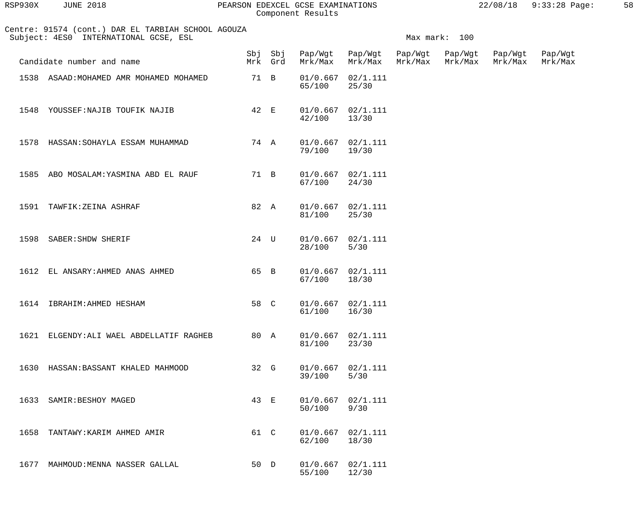| RSP930X | 2018<br>JUNE | PEARSON EDEXCEL GCSE EXAMINATIONS | 22/08/18 | 58 |
|---------|--------------|-----------------------------------|----------|----|
|         |              | Component Results                 |          |    |

| Centre: 91574 (cont.) DAR EL TARBIAH SCHOOL AGOUZA |  |  |  |  |
|----------------------------------------------------|--|--|--|--|
| Subject: 4ES0 INTERNATIONAL GCSE, ESL              |  |  |  |  |

|      | Subject: 4ES0 INTERNATIONAL GCSE, ESL    |      |         |                                    |                                 |         | Max mark: 100              |                    |                    |
|------|------------------------------------------|------|---------|------------------------------------|---------------------------------|---------|----------------------------|--------------------|--------------------|
|      | Candidate number and name                |      | Mrk Grd | Sbj Sbj Pap/Wgt Pap/Wgt<br>Mrk/Max | Mrk/Max                         | Mrk/Max | Pap/Wgt Pap/Wgt<br>Mrk/Max | Pap/Wgt<br>Mrk/Max | Pap/Wgt<br>Mrk/Max |
|      | 1538 ASAAD: MOHAMED AMR MOHAMED MOHAMED  | 71 B |         | 65/100                             | $01/0.667$ $02/1.111$<br>25/30  |         |                            |                    |                    |
|      | 1548 YOUSSEF: NAJIB TOUFIK NAJIB         | 42 E |         | 42/100 13/30                       | $01/0.667$ $02/1.111$           |         |                            |                    |                    |
|      | 1578 HASSAN: SOHAYLA ESSAM MUHAMMAD      |      | 74 A    | 79/100 19/30                       | $01/0.667$ $02/1.111$           |         |                            |                    |                    |
| 1585 | ABO MOSALAM: YASMINA ABD EL RAUF         |      | 71 B    | 67/100                             | $01/0.667$ $02/1.111$<br>24/30  |         |                            |                    |                    |
| 1591 | TAWFIK: ZEINA ASHRAF                     |      | 82 A    | 81/100                             | $01/0.667$ $02/1.111$<br>25/30  |         |                            |                    |                    |
|      | 1598 SABER: SHDW SHERIF                  | 24 U |         | 28/100                             | $01/0.667$ $02/1.111$<br>$5/30$ |         |                            |                    |                    |
|      | 1612 EL ANSARY: AHMED ANAS AHMED         | 65 B |         | 67/100 18/30                       | $01/0.667$ $02/1.111$           |         |                            |                    |                    |
|      | 1614 IBRAHIM: AHMED HESHAM               | 58 C |         | 61/100 16/30                       | $01/0.667$ $02/1.111$           |         |                            |                    |                    |
|      | 1621 ELGENDY: ALI WAEL ABDELLATIF RAGHEB |      | 80 A    | 81/100                             | $01/0.667$ $02/1.111$<br>23/30  |         |                            |                    |                    |
|      | 1630 HASSAN: BASSANT KHALED MAHMOOD      | 32 G |         | 39/100                             | $01/0.667$ $02/1.111$<br>$5/30$ |         |                            |                    |                    |
|      | 1633 SAMIR: BESHOY MAGED                 | 43 E |         | 50/100                             | $01/0.667$ $02/1.111$<br>9/30   |         |                            |                    |                    |
|      | 1658 TANTAWY: KARIM AHMED AMIR           | 61 C |         | 62/100                             | $01/0.667$ $02/1.111$<br>18/30  |         |                            |                    |                    |
|      | 1677 MAHMOUD: MENNA NASSER GALLAL        | 50 D |         | 55/100                             | $01/0.667$ $02/1.111$<br>12/30  |         |                            |                    |                    |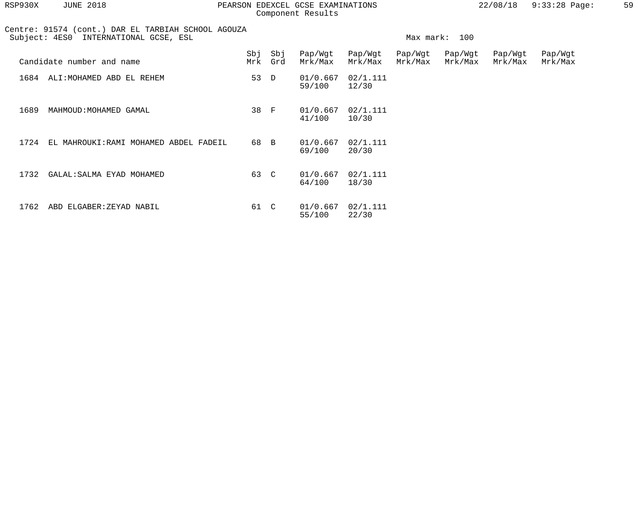| RSP930X | <b>JUNE 2018</b>                                                                            |      |                | PEARSON EDEXCEL GCSE EXAMINATIONS<br>Component Results |                    |                    |                    | 22/08/18           | $9:33:28$ Page:    | 59 |
|---------|---------------------------------------------------------------------------------------------|------|----------------|--------------------------------------------------------|--------------------|--------------------|--------------------|--------------------|--------------------|----|
|         | Centre: 91574 (cont.) DAR EL TARBIAH SCHOOL AGOUZA<br>Subject: 4ES0 INTERNATIONAL GCSE, ESL |      |                |                                                        |                    |                    | Max mark: 100      |                    |                    |    |
|         | Candidate number and name                                                                   | Mrk  | Sbj Sbj<br>Grd | Pap/Wgt<br>Mrk/Max                                     | Pap/Wgt<br>Mrk/Max | Pap/Wgt<br>Mrk/Max | Pap/Wgt<br>Mrk/Max | Pap/Wgt<br>Mrk/Max | Pap/Wgt<br>Mrk/Max |    |
| 1684    | ALI: MOHAMED ABD EL REHEM                                                                   | 53 D |                | 01/0.667<br>59/100                                     | 02/1.111<br>12/30  |                    |                    |                    |                    |    |
| 1689    | MAHMOUD: MOHAMED GAMAL                                                                      | 38 F |                | 01/0.667<br>41/100                                     | 02/1.111<br>10/30  |                    |                    |                    |                    |    |
| 1724    | EL MAHROUKI: RAMI MOHAMED ABDEL FADEIL                                                      | 68 B |                | 01/0.667<br>69/100                                     | 02/1.111<br>20/30  |                    |                    |                    |                    |    |
| 1732    | GALAL: SALMA EYAD MOHAMED                                                                   | 63 C |                | 01/0.667<br>64/100                                     | 02/1.111<br>18/30  |                    |                    |                    |                    |    |
| 1762    | ABD ELGABER: ZEYAD NABIL                                                                    | 61   | $\mathbf C$    | 01/0.667<br>55/100                                     | 02/1.111<br>22/30  |                    |                    |                    |                    |    |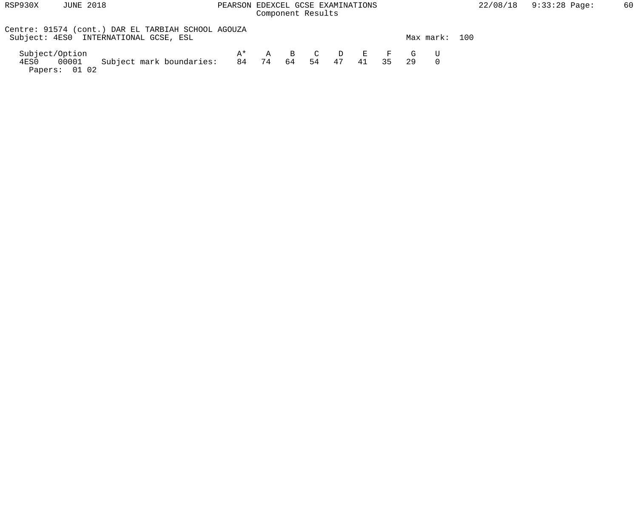## RSP930X JUNE 2018 PEARSON EDEXCEL GCSE EXAMINATIONS 22/08/18 9:33:28 Page: 60 Component Results

| Centre: 91574 (cont.) DAR EL TARBIAH SCHOOL AGOUZA<br>Subject: 4ES0 INTERNATIONAL GCSE, ESL |     |          |  |          |  |                 | Max mark: | 100 |
|---------------------------------------------------------------------------------------------|-----|----------|--|----------|--|-----------------|-----------|-----|
| Subject/Option                                                                              | ∆ ∗ |          |  |          |  | A B C D E F G U |           |     |
| Subject mark boundaries:<br>00001<br>4ES0<br>Papers: 01 02                                  | 84  | 74 64 54 |  | 47 41 35 |  |                 |           |     |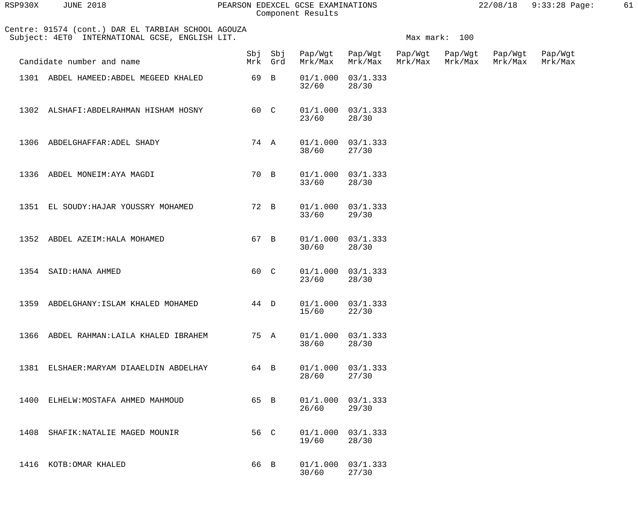| RSP930X | <b>JUNE 2018</b> |  |
|---------|------------------|--|
|         |                  |  |

## PEARSON EDEXCEL GCSE EXAMINATIONS 22/08/18 9:33:28 Page: 61 Component Results

|      | Centre: 91574 (cont.) DAR EL TARBIAH SCHOOL AGOUZA<br>Subject: 4ET0 INTERNATIONAL GCSE, ENGLISH LIT. |      |         |                         |                                |                    | Max mark: 100      |                    |                    |
|------|------------------------------------------------------------------------------------------------------|------|---------|-------------------------|--------------------------------|--------------------|--------------------|--------------------|--------------------|
|      | Candidate number and name                                                                            |      | Mrk Grd | Sbj Sbj Pap/Wgt Pap/Wgt | Mrk/Max Mrk/Max                | Pap/Wgt<br>Mrk/Max | Pap/Wgt<br>Mrk/Max | Pap/Wgt<br>Mrk/Max | Pap/Wgt<br>Mrk/Max |
|      | 1301 ABDEL HAMEED: ABDEL MEGEED KHALED                                                               | 69 B |         | 32/60                   | $01/1.000$ $03/1.333$<br>28/30 |                    |                    |                    |                    |
|      | 1302 ALSHAFI: ABDELRAHMAN HISHAM HOSNY                                                               |      | 60 C    | 23/60                   | $01/1.000$ $03/1.333$<br>28/30 |                    |                    |                    |                    |
|      | 1306 ABDELGHAFFAR: ADEL SHADY                                                                        |      | 74 A    | 38/60                   | $01/1.000$ $03/1.333$<br>27/30 |                    |                    |                    |                    |
|      | 1336 ABDEL MONEIM: AYA MAGDI                                                                         |      | 70 B    | 33/60                   | $01/1.000$ $03/1.333$<br>28/30 |                    |                    |                    |                    |
|      | 1351 EL SOUDY: HAJAR YOUSSRY MOHAMED                                                                 |      | 72 B    | 33/60                   | $01/1.000$ $03/1.333$<br>29/30 |                    |                    |                    |                    |
|      | 1352 ABDEL AZEIM: HALA MOHAMED                                                                       | 67 B |         | 30/60                   | $01/1.000$ $03/1.333$<br>28/30 |                    |                    |                    |                    |
|      | 1354 SAID: HANA AHMED                                                                                | 60 C |         | 23/60                   | $01/1.000$ $03/1.333$<br>28/30 |                    |                    |                    |                    |
|      | 1359 ABDELGHANY: ISLAM KHALED MOHAMED                                                                | 44 D |         | 15/60                   | $01/1.000$ $03/1.333$<br>22/30 |                    |                    |                    |                    |
| 1366 | ABDEL RAHMAN: LAILA KHALED IBRAHEM                                                                   |      | 75 A    | 01/1.000<br>38/60       | 03/1.333<br>28/30              |                    |                    |                    |                    |
| 1381 | ELSHAER: MARYAM DIAAELDIN ABDELHAY                                                                   | 64 B |         | 01/1.000<br>28/60       | 03/1.333<br>27/30              |                    |                    |                    |                    |
| 1400 | ELHELW: MOSTAFA AHMED MAHMOUD                                                                        | 65 B |         | 01/1.000<br>26/60       | 03/1.333<br>29/30              |                    |                    |                    |                    |
| 1408 | SHAFIK: NATALIE MAGED MOUNIR                                                                         | 56 C |         | 01/1.000<br>19/60       | 03/1.333<br>28/30              |                    |                    |                    |                    |
| 1416 | KOTB: OMAR KHALED                                                                                    | 66 B |         | 01/1.000<br>30/60       | 03/1.333<br>27/30              |                    |                    |                    |                    |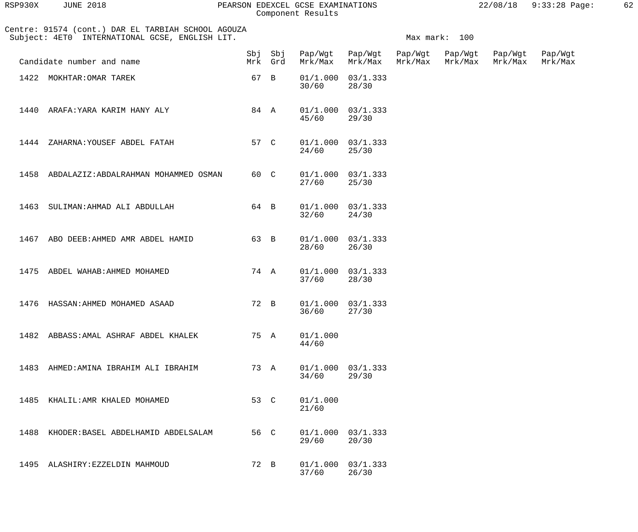| RSP930X | <b>JUNE 2018</b> |  |
|---------|------------------|--|
|         |                  |  |

## PEARSON EDEXCEL GCSE EXAMINATIONS 22/08/18 9:33:28 Page: 62 Component Results

| 22/08/18 | $9:33:28$ Page: |  |
|----------|-----------------|--|
|          |                 |  |

|      | Centre: 91574 (cont.) DAR EL TARBIAH SCHOOL AGOUZA<br>Subject: 4ET0 INTERNATIONAL GCSE, ENGLISH LIT. |      |                    |                                 |                                 | Max mark: 100 |                    |                    |
|------|------------------------------------------------------------------------------------------------------|------|--------------------|---------------------------------|---------------------------------|---------------|--------------------|--------------------|
|      | Candidate number and name                                                                            |      | Sbj Sbj<br>Mrk Grd | Pap/Wgt Pap/Wgt Pap/Wgt Pap/Wgt | Mrk/Max Mrk/Max Mrk/Max Mrk/Max |               | Pap/Wgt<br>Mrk/Max | Pap/Wgt<br>Mrk/Max |
|      | 1422 MOKHTAR: OMAR TAREK                                                                             | 67 B |                    | 30/60                           | $01/1.000$ $03/1.333$<br>28/30  |               |                    |                    |
|      | 1440 ARAFA: YARA KARIM HANY ALY                                                                      | 84 A |                    | 45/60                           | $01/1.000$ $03/1.333$<br>29/30  |               |                    |                    |
| 1444 | ZAHARNA: YOUSEF ABDEL FATAH                                                                          | 57 C |                    | 24/60                           | $01/1.000$ $03/1.333$<br>25/30  |               |                    |                    |
| 1458 | ABDALAZIZ: ABDALRAHMAN MOHAMMED OSMAN                                                                | 60 C |                    | 27/60                           | $01/1.000$ $03/1.333$<br>25/30  |               |                    |                    |
| 1463 | SULIMAN: AHMAD ALI ABDULLAH                                                                          | 64 B |                    | 32/60                           | $01/1.000$ $03/1.333$<br>24/30  |               |                    |                    |
| 1467 | ABO DEEB: AHMED AMR ABDEL HAMID                                                                      | 63 B |                    | 28/60                           | $01/1.000$ $03/1.333$<br>26/30  |               |                    |                    |
| 1475 | ABDEL WAHAB: AHMED MOHAMED                                                                           | 74 A |                    | 37/60                           | $01/1.000$ $03/1.333$<br>28/30  |               |                    |                    |
| 1476 | HASSAN: AHMED MOHAMED ASAAD                                                                          | 72 B |                    | 36/60                           | $01/1.000$ $03/1.333$<br>27/30  |               |                    |                    |
|      | 1482 ABBASS: AMAL ASHRAF ABDEL KHALEK                                                                | 75 A |                    | 01/1.000<br>44/60               |                                 |               |                    |                    |
| 1483 | AHMED:AMINA IBRAHIM ALI IBRAHIM                                                                      | 73 A |                    | 01/1.000<br>34/60               | 03/1.333<br>29/30               |               |                    |                    |
| 1485 | KHALIL:AMR KHALED MOHAMED                                                                            | 53 C |                    | 01/1.000<br>21/60               |                                 |               |                    |                    |
| 1488 | KHODER: BASEL ABDELHAMID ABDELSALAM                                                                  | 56 C |                    | 01/1.000<br>29/60               | 03/1.333<br>20/30               |               |                    |                    |
|      | 1495 ALASHIRY: EZZELDIN MAHMOUD                                                                      | 72 B |                    | 01/1.000<br>37/60               | 03/1.333<br>26/30               |               |                    |                    |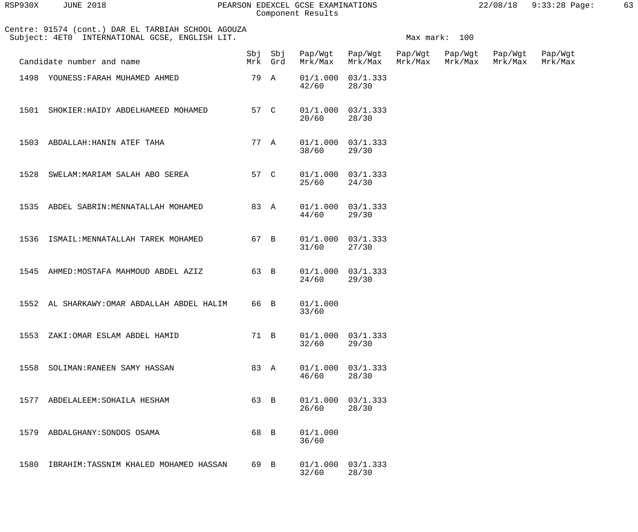| RSP930X | <b>JUNE 2018</b> |  |
|---------|------------------|--|
|         |                  |  |

## PEARSON EDEXCEL GCSE EXAMINATIONS 22/08/18 9:33:28 Page: 63 Component Results

| 22/08/18 | $9:33:28$ Page: |  |
|----------|-----------------|--|

| Centre: 91574 (cont.) DAR EL TARBIAH SCHOOL AGOUZA<br>Subject: 4ET0 INTERNATIONAL GCSE, ENGLISH LIT. |      |                |                                 |                                | Max mark: 100      |                    |                    |
|------------------------------------------------------------------------------------------------------|------|----------------|---------------------------------|--------------------------------|--------------------|--------------------|--------------------|
| Candidate number and name                                                                            |      | Mrk Grd        | Sbj Sbj Pap/Wgt Pap/Wgt Pap/Wgt | Mrk/Max Mrk/Max Mrk/Max        | Pap/Wgt<br>Mrk/Max | Pap/Wgt<br>Mrk/Max | Pap/Wgt<br>Mrk/Max |
| 1498 YOUNESS: FARAH MUHAMED AHMED                                                                    | 79 A |                | 42/60                           | $01/1.000$ $03/1.333$<br>28/30 |                    |                    |                    |
| 1501 SHOKIER: HAIDY ABDELHAMEED MOHAMED                                                              | 57 C |                | 20/60                           | $01/1.000$ $03/1.333$<br>28/30 |                    |                    |                    |
| 1503 ABDALLAH: HANIN ATEF TAHA                                                                       | 77 A |                | 38/60                           | $01/1.000$ $03/1.333$<br>29/30 |                    |                    |                    |
| 1528 SWELAM: MARIAM SALAH ABO SEREA                                                                  |      | 57 C           | 25/60                           | $01/1.000$ $03/1.333$<br>24/30 |                    |                    |                    |
| 1535 ABDEL SABRIN: MENNATALLAH MOHAMED                                                               |      | 83 A           | 44/60                           | $01/1.000$ $03/1.333$<br>29/30 |                    |                    |                    |
| 1536 ISMAIL: MENNATALLAH TAREK MOHAMED                                                               | 67 B |                | 31/60                           | $01/1.000$ $03/1.333$<br>27/30 |                    |                    |                    |
| 1545 AHMED: MOSTAFA MAHMOUD ABDEL AZIZ                                                               | 63 B |                | 24/60                           | $01/1.000$ $03/1.333$<br>29/30 |                    |                    |                    |
| 1552 AL SHARKAWY: OMAR ABDALLAH ABDEL HALIM                                                          | 66 B |                | 01/1.000<br>33/60               |                                |                    |                    |                    |
| 1553<br>ZAKI: OMAR ESLAM ABDEL HAMID                                                                 | 71 B |                | 01/1.000<br>32/60               | 03/1.333<br>29/30              |                    |                    |                    |
| 1558<br>SOLIMAN: RANEEN SAMY HASSAN                                                                  | 83 A |                | 01/1.000<br>46/60               | 03/1.333<br>28/30              |                    |                    |                    |
| 1577<br>ABDELALEEM: SOHAILA HESHAM                                                                   | 63   | $\overline{B}$ | 01/1.000<br>26/60               | 03/1.333<br>28/30              |                    |                    |                    |
| 1579<br>ABDALGHANY: SONDOS OSAMA                                                                     | 68   | $\overline{B}$ | 01/1.000<br>36/60               |                                |                    |                    |                    |
| 1580<br>IBRAHIM: TASSNIM KHALED MOHAMED HASSAN                                                       | 69 B |                | 01/1.000<br>32/60               | 03/1.333<br>28/30              |                    |                    |                    |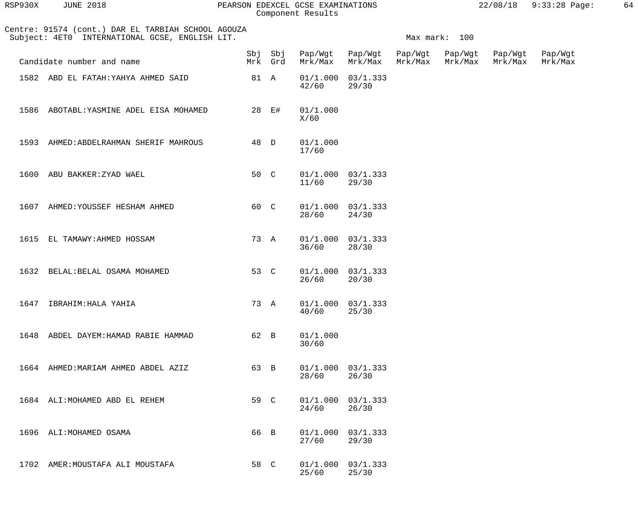| RSP930X | <b>JUNE 2018</b>                                                                                     |                    | PEARSON EDEXCEL GCSE EXAMINATIONS<br>Component Results |                                |                    |                    | 22/08/18           | 9:33:28 Page:      | 64 |
|---------|------------------------------------------------------------------------------------------------------|--------------------|--------------------------------------------------------|--------------------------------|--------------------|--------------------|--------------------|--------------------|----|
|         | Centre: 91574 (cont.) DAR EL TARBIAH SCHOOL AGOUZA<br>Subject: 4ET0 INTERNATIONAL GCSE, ENGLISH LIT. |                    |                                                        |                                |                    | Max mark: 100      |                    |                    |    |
|         | Candidate number and name                                                                            | Sbj Sbj<br>Mrk Grd | Pap/Wgt<br>Mrk/Max                                     | Pap/Wgt<br>Mrk/Max             | Pap/Wgt<br>Mrk/Max | Pap/Wgt<br>Mrk/Max | Pap/Wgt<br>Mrk/Max | Pap/Wgt<br>Mrk/Max |    |
|         | 1582 ABD EL FATAH: YAHYA AHMED SAID                                                                  | 81 A               | 42/60                                                  | $01/1.000$ $03/1.333$<br>29/30 |                    |                    |                    |                    |    |
| 1586    | ABOTABL: YASMINE ADEL EISA MOHAMED                                                                   | 28 E#              | 01/1.000<br>X/60                                       |                                |                    |                    |                    |                    |    |
| 1593    | AHMED: ABDELRAHMAN SHERIF MAHROUS                                                                    | 48 D               | 01/1.000<br>17/60                                      |                                |                    |                    |                    |                    |    |
| 1600    | ABU BAKKER: ZYAD WAEL                                                                                | 50 C               | 11/60                                                  | $01/1.000$ $03/1.333$<br>29/30 |                    |                    |                    |                    |    |
|         | 1607 AHMED: YOUSSEF HESHAM AHMED                                                                     | 60 C               | 28/60                                                  | $01/1.000$ $03/1.333$<br>24/30 |                    |                    |                    |                    |    |
| 1615    | EL TAMAWY: AHMED HOSSAM                                                                              | 73 A               | 36/60                                                  | $01/1.000$ $03/1.333$<br>28/30 |                    |                    |                    |                    |    |
| 1632    | BELAL: BELAL OSAMA MOHAMED                                                                           | 53 C               | 26/60                                                  | $01/1.000$ $03/1.333$<br>20/30 |                    |                    |                    |                    |    |
|         | 1647 IBRAHIM: HALA YAHIA                                                                             |                    | 73 A 01/1.000 03/1.333<br>40/60                        | 25/30                          |                    |                    |                    |                    |    |
|         | 1648 ABDEL DAYEM: HAMAD RABIE HAMMAD                                                                 | 62 B               | 01/1.000<br>30/60                                      |                                |                    |                    |                    |                    |    |
|         | 1664 AHMED: MARIAM AHMED ABDEL AZIZ                                                                  | 63 B               | 28/60                                                  | $01/1.000$ $03/1.333$<br>26/30 |                    |                    |                    |                    |    |
|         | 1684 ALI: MOHAMED ABD EL REHEM                                                                       | 59 C               | 24/60                                                  | $01/1.000$ $03/1.333$<br>26/30 |                    |                    |                    |                    |    |
|         | 1696 ALI: MOHAMED OSAMA                                                                              | 66 B               | 27/60                                                  | $01/1.000$ $03/1.333$<br>29/30 |                    |                    |                    |                    |    |
|         | 1702 AMER: MOUSTAFA ALI MOUSTAFA                                                                     | 58 C               | 25/60                                                  | $01/1.000$ $03/1.333$<br>25/30 |                    |                    |                    |                    |    |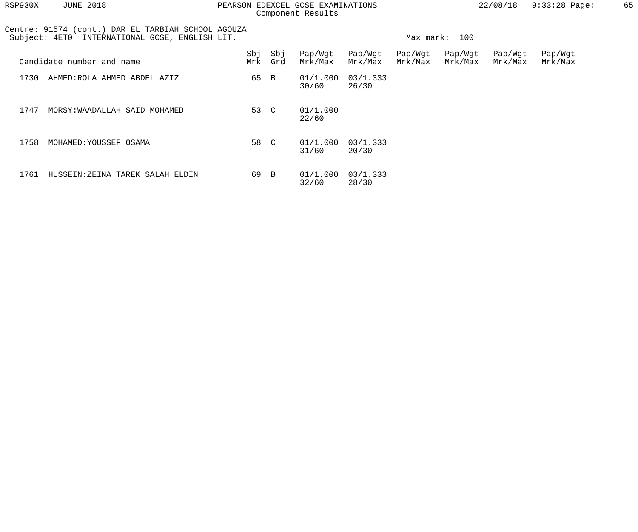| RSP930X       | <b>JUNE 2018</b>                                                                       |      |                | PEARSON EDEXCEL GCSE EXAMINATIONS<br>Component Results |                    |                    |                    | 22/08/18           | $9:33:28$ Page:    | 65 |
|---------------|----------------------------------------------------------------------------------------|------|----------------|--------------------------------------------------------|--------------------|--------------------|--------------------|--------------------|--------------------|----|
| Subject: 4ET0 | Centre: 91574 (cont.) DAR EL TARBIAH SCHOOL AGOUZA<br>INTERNATIONAL GCSE, ENGLISH LIT. |      |                |                                                        |                    | Max mark:          | 100                |                    |                    |    |
|               | Candidate number and name                                                              | Mrk  | Sbj Sbj<br>Grd | Pap/Wgt<br>Mrk/Max                                     | Pap/Wgt<br>Mrk/Max | Pap/Wgt<br>Mrk/Max | Pap/Wgt<br>Mrk/Max | Pap/Wgt<br>Mrk/Max | Pap/Wgt<br>Mrk/Max |    |
| 1730          | AHMED:ROLA AHMED ABDEL AZIZ                                                            | 65 B |                | 01/1.000<br>30/60                                      | 03/1.333<br>26/30  |                    |                    |                    |                    |    |
| 1747          | MORSY: WAADALLAH SAID MOHAMED                                                          | 53 C |                | 01/1.000<br>22/60                                      |                    |                    |                    |                    |                    |    |
| 1758          | MOHAMED: YOUSSEF OSAMA                                                                 | 58   | $\mathcal{C}$  | 01/1.000<br>31/60                                      | 03/1.333<br>20/30  |                    |                    |                    |                    |    |
| 1761          | HUSSEIN: ZEINA TAREK SALAH ELDIN                                                       | 69 B |                | 01/1.000<br>32/60                                      | 03/1.333<br>28/30  |                    |                    |                    |                    |    |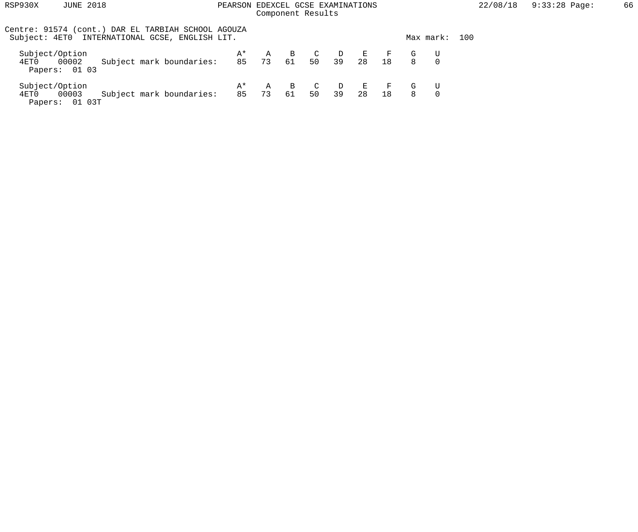| RSP930X                                           | <b>JUNE 2018</b>                                                                                     | PEARSON EDEXCEL GCSE EXAMINATIONS |            | Component Results            |                      |              |                    |                    |        |           | 22/08/18 | $9:33:28$ Page: | 66 |
|---------------------------------------------------|------------------------------------------------------------------------------------------------------|-----------------------------------|------------|------------------------------|----------------------|--------------|--------------------|--------------------|--------|-----------|----------|-----------------|----|
|                                                   | Centre: 91574 (cont.) DAR EL TARBIAH SCHOOL AGOUZA<br>Subject: 4ET0 INTERNATIONAL GCSE, ENGLISH LIT. |                                   |            |                              |                      |              |                    |                    |        | Max mark: | 100      |                 |    |
| Subject/Option<br>00002<br>4ET0<br>Papers: 01 03  | Subject mark boundaries:                                                                             | A*                                | A<br>85 73 | $\overline{B}$<br>$\cdot$ 61 | $\overline{C}$<br>50 | $\Box$<br>39 | $\mathbf{E}$<br>28 | $\mathbf{F}$<br>18 | G<br>8 |           |          |                 |    |
| Subject/Option<br>00003<br>4ET0<br>Papers: 01 03T | Subject mark boundaries:                                                                             | A*<br>85                          | A<br>73    | $\mathbf{B}$<br>61           | $\overline{C}$<br>50 | D<br>39      | 一回。<br>28          | 18                 | G<br>8 | $\Omega$  |          |                 |    |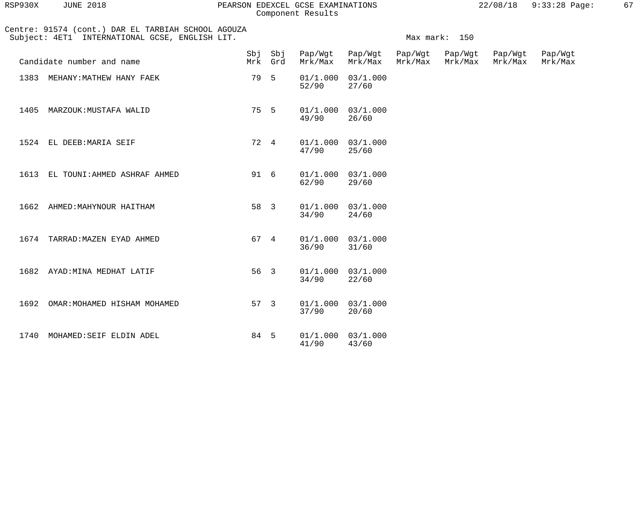| RSP930X | <b>JUNE 2018</b> |  |
|---------|------------------|--|
|         |                  |  |

#### RSP930X JUNE 2018 PEARSON EDEXCEL GCSE EXAMINATIONS 22/08/18 9:33:28 Page: 67 Component Results

|  | 22/08/18 | $9:33:28$ Page: |  |
|--|----------|-----------------|--|
|  |          |                 |  |

|      | Centre: 91574 (cont.) DAR EL TARBIAH SCHOOL AGOUZA<br>Subject: 4ET1 INTERNATIONAL GCSE, ENGLISH LIT. | Max mark: 150 |                    |         |                                |                    |                    |                    |                    |
|------|------------------------------------------------------------------------------------------------------|---------------|--------------------|---------|--------------------------------|--------------------|--------------------|--------------------|--------------------|
|      | Candidate number and name                                                                            |               | Sbj Sbj<br>Mrk Grd | Mrk/Max | Pap/Wgt Pap/Wgt<br>Mrk/Max     | Pap/Wgt<br>Mrk/Max | Pap/Wgt<br>Mrk/Max | Pap/Wgt<br>Mrk/Max | Pap/Wgt<br>Mrk/Max |
|      | 1383 MEHANY: MATHEW HANY FAEK                                                                        | 79 5          |                    | $52/90$ | $01/1.000$ $03/1.000$<br>27/60 |                    |                    |                    |                    |
| 1405 | MARZOUK:MUSTAFA WALID                                                                                | 75 5          |                    | 49/90   | $01/1.000$ $03/1.000$<br>26/60 |                    |                    |                    |                    |
|      | 1524 EL DEEB: MARIA SEIF                                                                             | 72 4          |                    | 47/90   | $01/1.000$ $03/1.000$<br>25/60 |                    |                    |                    |                    |
|      | 1613 EL TOUNI: AHMED ASHRAF AHMED                                                                    | 91 6          |                    | 62/90   | 01/1.000 03/1.000<br>29/60     |                    |                    |                    |                    |
|      | 1662 AHMED: MAHYNOUR HAITHAM                                                                         | 58 3          |                    | $34/90$ | $01/1.000$ $03/1.000$<br>24/60 |                    |                    |                    |                    |
|      | 1674 TARRAD: MAZEN EYAD AHMED                                                                        | 67 4          |                    | 36/90   | $01/1.000$ $03/1.000$<br>31/60 |                    |                    |                    |                    |
|      | 1682 AYAD: MINA MEDHAT LATIF                                                                         | 56 3          |                    | 34/90   | 01/1.000 03/1.000<br>22/60     |                    |                    |                    |                    |
|      | 1692 OMAR: MOHAMED HISHAM MOHAMED                                                                    | 57 3          |                    | 37/90   | $01/1.000$ $03/1.000$<br>20/60 |                    |                    |                    |                    |
| 1740 | MOHAMED: SEIF ELDIN ADEL                                                                             | 84 5          |                    | 41/90   | 01/1.000 03/1.000<br>43/60     |                    |                    |                    |                    |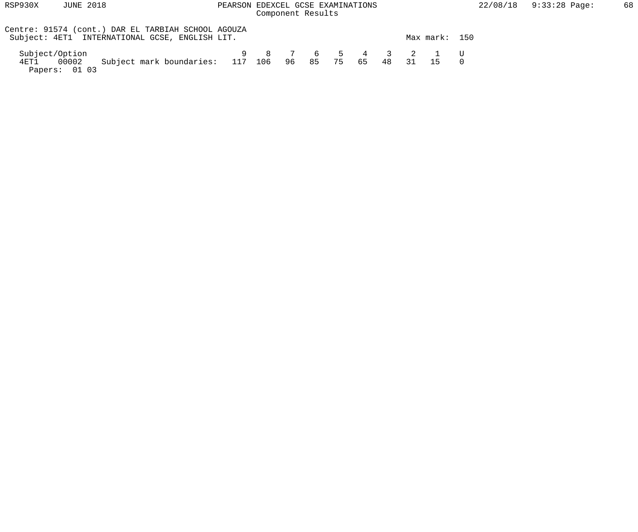Papers: 01 03

# Component Results

| Centre: 91574 (cont.) DAR EL TARBIAH SCHOOL AGOUZA<br>Subject: 4ET1 INTERNATIONAL GCSE, ENGLISH LIT. |  |  |      |    |    |                  | Max mark: 150                |  |
|------------------------------------------------------------------------------------------------------|--|--|------|----|----|------------------|------------------------------|--|
| Subject/Option<br>Subject mark boundaries: 117 106 96 85<br>00002<br>4ET1                            |  |  | - 75 | 65 | 48 | $\sim$ 31 $\sim$ | 9 8 7 6 5 4 3 2 1 U<br>$-15$ |  |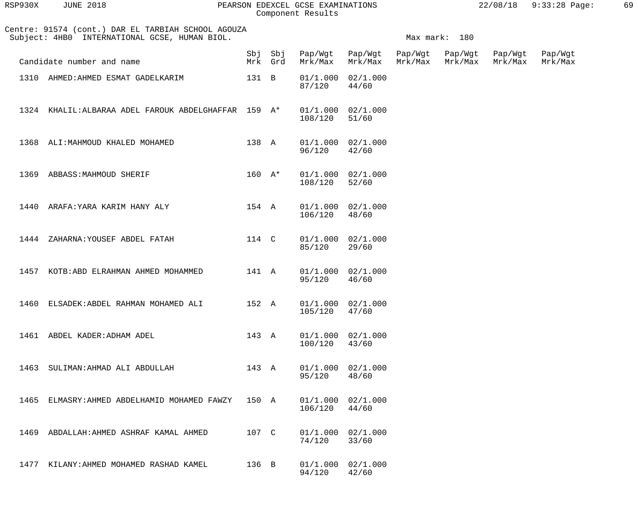| RSP930X | <b>JUNE 2018</b>                                                                                    |          |                    | PEARSON EDEXCEL GCSE EXAMINATIONS<br>Component Results |                                |         |                    | 22/08/18           | 9:33:28 Page:      | 69 |
|---------|-----------------------------------------------------------------------------------------------------|----------|--------------------|--------------------------------------------------------|--------------------------------|---------|--------------------|--------------------|--------------------|----|
|         | Centre: 91574 (cont.) DAR EL TARBIAH SCHOOL AGOUZA<br>Subject: 4HB0 INTERNATIONAL GCSE, HUMAN BIOL. |          |                    |                                                        |                                |         | Max mark: 180      |                    |                    |    |
|         | Candidate number and name                                                                           |          | Sbj Sbj<br>Mrk Grd | Pap/Wgt<br>Mrk/Max                                     | Pap/Wgt Pap/Wgt<br>Mrk/Max     | Mrk/Max | Pap/Wgt<br>Mrk/Max | Pap/Wgt<br>Mrk/Max | Pap/Wgt<br>Mrk/Max |    |
|         | 1310 AHMED: AHMED ESMAT GADELKARIM                                                                  | 131 B    |                    | 01/1.000<br>87/120                                     | 02/1.000<br>44/60              |         |                    |                    |                    |    |
|         | 1324 KHALIL: ALBARAA ADEL FAROUK ABDELGHAFFAR 159 A*                                                |          |                    | 01/1.000<br>108/120                                    | 02/1.000<br>51/60              |         |                    |                    |                    |    |
|         | 1368 ALI: MAHMOUD KHALED MOHAMED                                                                    | 138 A    |                    | 96/120                                                 | $01/1.000$ $02/1.000$<br>42/60 |         |                    |                    |                    |    |
|         | 1369 ABBASS: MAHMOUD SHERIF                                                                         | $160 A*$ |                    | 108/120                                                | $01/1.000$ $02/1.000$<br>52/60 |         |                    |                    |                    |    |
|         | 1440 ARAFA: YARA KARIM HANY ALY                                                                     | 154 A    |                    | 106/120                                                | $01/1.000$ $02/1.000$<br>48/60 |         |                    |                    |                    |    |
|         | 1444 ZAHARNA: YOUSEF ABDEL FATAH                                                                    | 114 C    |                    | 85/120                                                 | $01/1.000$ $02/1.000$<br>29/60 |         |                    |                    |                    |    |
|         | 1457 KOTB: ABD ELRAHMAN AHMED MOHAMMED                                                              | 141 A    |                    | 95/120                                                 | $01/1.000$ $02/1.000$<br>46/60 |         |                    |                    |                    |    |
| 1460    | ELSADEK: ABDEL RAHMAN MOHAMED ALI                                                                   | 152 A    |                    | 01/1.000<br>105/120                                    | 02/1.000<br>47/60              |         |                    |                    |                    |    |
| 1461    | ABDEL KADER: ADHAM ADEL                                                                             | 143 A    |                    | 01/1.000<br>100/120                                    | 02/1.000<br>43/60              |         |                    |                    |                    |    |
| 1463    | SULIMAN: AHMAD ALI ABDULLAH                                                                         | 143 A    |                    | 01/1.000<br>95/120                                     | 02/1.000<br>48/60              |         |                    |                    |                    |    |
| 1465    | ELMASRY: AHMED ABDELHAMID MOHAMED FAWZY                                                             | 150 A    |                    | 01/1.000<br>106/120                                    | 02/1.000<br>44/60              |         |                    |                    |                    |    |
| 1469    | ABDALLAH: AHMED ASHRAF KAMAL AHMED                                                                  | 107 C    |                    | 01/1.000<br>74/120                                     | 02/1.000<br>33/60              |         |                    |                    |                    |    |
| 1477    | KILANY: AHMED MOHAMED RASHAD KAMEL                                                                  | 136 B    |                    | 01/1.000<br>94/120                                     | 02/1.000<br>42/60              |         |                    |                    |                    |    |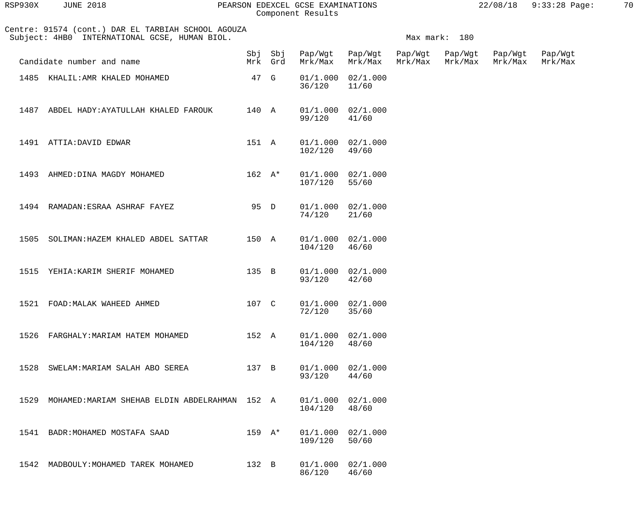| RSP930X | <b>JUNE 2018</b> | PEARSON EDEXCEL GCSE EXAMINATIONS | 22/08/18 9:33:28 Page: | 70 |
|---------|------------------|-----------------------------------|------------------------|----|
|         |                  | Component Results                 |                        |    |

| RSP930X | <b>JUNE 2018</b> |  |
|---------|------------------|--|
|         |                  |  |

|      | Centre: 91574 (cont.) DAR EL TARBIAH SCHOOL AGOUZA<br>Subject: 4HB0 INTERNATIONAL GCSE, HUMAN BIOL. |                  | Max mark: 180      |         |                                |                    |                    |                    |                    |  |
|------|-----------------------------------------------------------------------------------------------------|------------------|--------------------|---------|--------------------------------|--------------------|--------------------|--------------------|--------------------|--|
|      | Candidate number and name                                                                           |                  | Sbj Sbj<br>Mrk Grd | Mrk/Max | Pap/Wgt Pap/Wgt<br>Mrk/Max     | Pap/Wgt<br>Mrk/Max | Pap/Wgt<br>Mrk/Max | Pap/Wgt<br>Mrk/Max | Pap/Wgt<br>Mrk/Max |  |
|      | 1485 KHALIL: AMR KHALED MOHAMED                                                                     | 47 G             |                    | 36/120  | $01/1.000$ $02/1.000$<br>11/60 |                    |                    |                    |                    |  |
| 1487 | ABDEL HADY: AYATULLAH KHALED FAROUK                                                                 | 140 A            |                    | 99/120  | 01/1.000 02/1.000<br>41/60     |                    |                    |                    |                    |  |
|      | 1491 ATTIA: DAVID EDWAR                                                                             | 151 A            |                    | 102/120 | 01/1.000 02/1.000<br>49/60     |                    |                    |                    |                    |  |
| 1493 | AHMED: DINA MAGDY MOHAMED                                                                           | $162 \text{ A*}$ |                    | 107/120 | 01/1.000 02/1.000<br>55/60     |                    |                    |                    |                    |  |
|      | 1494 RAMADAN: ESRAA ASHRAF FAYEZ                                                                    | 95 D             |                    | 74/120  | 01/1.000 02/1.000<br>21/60     |                    |                    |                    |                    |  |
|      | 1505 SOLIMAN: HAZEM KHALED ABDEL SATTAR                                                             | 150 A            |                    | 104/120 | 01/1.000 02/1.000<br>46/60     |                    |                    |                    |                    |  |
| 1515 | YEHIA: KARIM SHERIF MOHAMED                                                                         | 135 B            |                    | 93/120  | 01/1.000 02/1.000<br>42/60     |                    |                    |                    |                    |  |
|      | 1521 FOAD: MALAK WAHEED AHMED                                                                       | 107 C            |                    | 72/120  | $01/1.000$ $02/1.000$<br>35/60 |                    |                    |                    |                    |  |
|      | 1526 FARGHALY: MARIAM HATEM MOHAMED                                                                 | 152 A            |                    | 104/120 | 01/1.000 02/1.000<br>48/60     |                    |                    |                    |                    |  |
|      | 1528 SWELAM: MARIAM SALAH ABO SEREA                                                                 | 137 B            |                    | 93/120  | 01/1.000 02/1.000<br>44/60     |                    |                    |                    |                    |  |
|      | 1529 MOHAMED: MARIAM SHEHAB ELDIN ABDELRAHMAN 152 A                                                 |                  |                    | 104/120 | 01/1.000 02/1.000<br>48/60     |                    |                    |                    |                    |  |
|      | 1541 BADR: MOHAMED MOSTAFA SAAD                                                                     | $159$ A*         |                    | 109/120 | 01/1.000 02/1.000<br>50/60     |                    |                    |                    |                    |  |
|      | 1542 MADBOULY: MOHAMED TAREK MOHAMED                                                                | 132 B            |                    | 86/120  | 01/1.000 02/1.000<br>46/60     |                    |                    |                    |                    |  |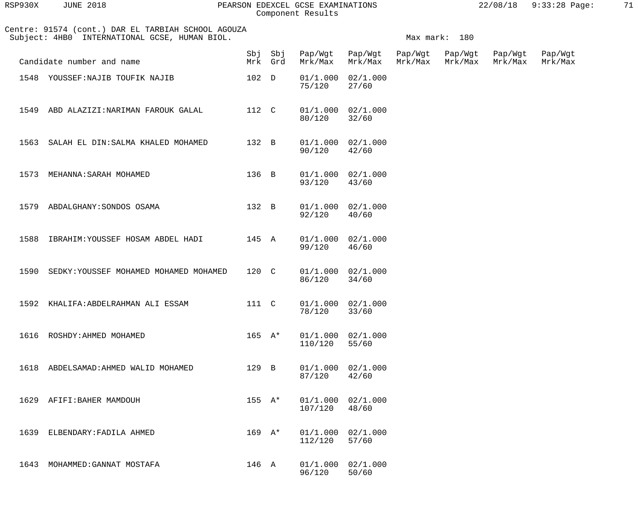| RSP930X | JUNE 2018 |  |
|---------|-----------|--|
|         |           |  |

#### RSP930X JUNE 2018 PEARSON EDEXCEL GCSE EXAMINATIONS 22/08/18 9:33:28 Page: 71 Component Results

|      | Centre: 91574 (cont.) DAR EL TARBIAH SCHOOL AGOUZA<br>Subject: 4HB0 INTERNATIONAL GCSE, HUMAN BIOL. |             |          |                                    |                                |                    | Max mark: 180      |                    |                    |  |  |  |
|------|-----------------------------------------------------------------------------------------------------|-------------|----------|------------------------------------|--------------------------------|--------------------|--------------------|--------------------|--------------------|--|--|--|
|      | Candidate number and name                                                                           |             | Mrk Grd  | Sbj Sbj Pap/Wgt Pap/Wgt<br>Mrk/Max | Mrk/Max                        | Pap/Wgt<br>Mrk/Max | Pap/Wgt<br>Mrk/Max | Pap/Wgt<br>Mrk/Max | Pap/Wgt<br>Mrk/Max |  |  |  |
|      | 1548 YOUSSEF: NAJIB TOUFIK NAJIB                                                                    | 102 D       |          | 75/120                             | 01/1.000 02/1.000<br>27/60     |                    |                    |                    |                    |  |  |  |
|      | 1549 ABD ALAZIZI: NARIMAN FAROUK GALAL                                                              | 112 C       |          | 80/120                             | 01/1.000 02/1.000<br>32/60     |                    |                    |                    |                    |  |  |  |
|      | 1563 SALAH EL DIN: SALMA KHALED MOHAMED                                                             | 132 B       |          | 90/120                             | 01/1.000 02/1.000<br>42/60     |                    |                    |                    |                    |  |  |  |
|      | 1573 MEHANNA: SARAH MOHAMED                                                                         | 136 B       |          | 93/120                             | 01/1.000 02/1.000<br>43/60     |                    |                    |                    |                    |  |  |  |
|      | 1579 ABDALGHANY: SONDOS OSAMA                                                                       | 132 B       |          | 92/120                             | 01/1.000 02/1.000<br>40/60     |                    |                    |                    |                    |  |  |  |
| 1588 | IBRAHIM:YOUSSEF HOSAM ABDEL HADI                                                                    | 145 A       |          | 99/120                             | 01/1.000 02/1.000<br>46/60     |                    |                    |                    |                    |  |  |  |
|      | 1590 SEDKY: YOUSSEF MOHAMED MOHAMED MOHAMED                                                         | 120 C       |          | 86/120                             | 01/1.000 02/1.000<br>34/60     |                    |                    |                    |                    |  |  |  |
|      | 1592 KHALIFA: ABDELRAHMAN ALI ESSAM                                                                 | 111 C       |          | 78/120                             | 01/1.000 02/1.000<br>33/60     |                    |                    |                    |                    |  |  |  |
|      | 1616 ROSHDY: AHMED MOHAMED                                                                          |             | $165$ A* | 110/120                            | 01/1.000 02/1.000<br>55/60     |                    |                    |                    |                    |  |  |  |
| 1618 | ABDELSAMAD:AHMED WALID MOHAMED                                                                      | 129 B       |          | 87/120                             | 01/1.000 02/1.000<br>42/60     |                    |                    |                    |                    |  |  |  |
| 1629 | AFIFI:BAHER MAMDOUH                                                                                 | $155 \tA*$  |          | 107/120                            | $01/1.000$ $02/1.000$<br>48/60 |                    |                    |                    |                    |  |  |  |
| 1639 | ELBENDARY: FADILA AHMED                                                                             | $169$ $A^*$ |          | 112/120                            | 01/1.000 02/1.000<br>57/60     |                    |                    |                    |                    |  |  |  |
|      | 1643 MOHAMMED: GANNAT MOSTAFA                                                                       | 146 A       |          | 96/120                             | 01/1.000 02/1.000<br>50/60     |                    |                    |                    |                    |  |  |  |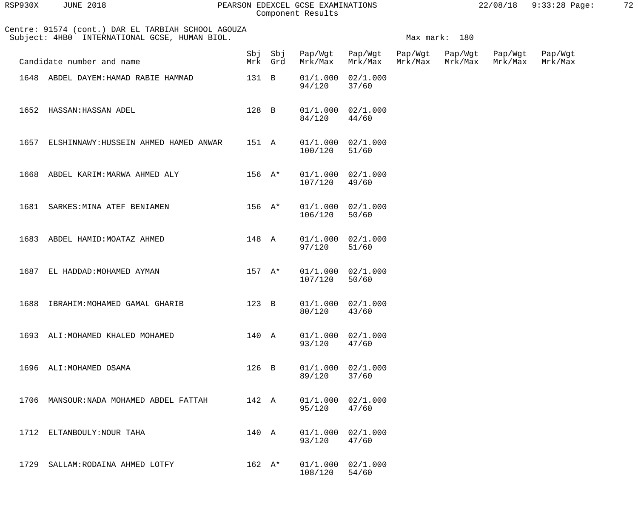| RSP930X | <b>JUNE 2018</b> |  |
|---------|------------------|--|
|         |                  |  |

#### RSP930X JUNE 2018 PEARSON EDEXCEL GCSE EXAMINATIONS 22/08/18 9:33:28 Page: 72 Component Results

| Centre: 91574 (cont.) DAR EL TARBIAH SCHOOL AGOUZA<br>Subject: 4HB0 INTERNATIONAL GCSE, HUMAN BIOL. |                                            |                  |          |                         | Max mark: 180                  |                    |                    |                    |                    |  |  |  |
|-----------------------------------------------------------------------------------------------------|--------------------------------------------|------------------|----------|-------------------------|--------------------------------|--------------------|--------------------|--------------------|--------------------|--|--|--|
|                                                                                                     | Candidate number and name                  |                  | Mrk Grd  | Sbj Sbj Pap/Wgt Pap/Wgt | Mrk/Max Mrk/Max                | Pap/Wgt<br>Mrk/Max | Pap/Wgt<br>Mrk/Max | Pap/Wgt<br>Mrk/Max | Pap/Wgt<br>Mrk/Max |  |  |  |
|                                                                                                     | 1648 ABDEL DAYEM: HAMAD RABIE HAMMAD       |                  | 131 B    | 94/120                  | $01/1.000$ $02/1.000$<br>37/60 |                    |                    |                    |                    |  |  |  |
|                                                                                                     | 1652 HASSAN: HASSAN ADEL                   |                  | 128 B    | 84/120                  | 01/1.000 02/1.000<br>44/60     |                    |                    |                    |                    |  |  |  |
|                                                                                                     | 1657 ELSHINNAWY: HUSSEIN AHMED HAMED ANWAR |                  | 151 A    | 100/120                 | $01/1.000$ $02/1.000$<br>51/60 |                    |                    |                    |                    |  |  |  |
|                                                                                                     | 1668 ABDEL KARIM: MARWA AHMED ALY          |                  | 156 A*   | 107/120                 | 01/1.000 02/1.000<br>49/60     |                    |                    |                    |                    |  |  |  |
|                                                                                                     | 1681 SARKES: MINA ATEF BENIAMEN            |                  | 156 A*   | 106/120                 | 01/1.000 02/1.000<br>50/60     |                    |                    |                    |                    |  |  |  |
|                                                                                                     | 1683 ABDEL HAMID: MOATAZ AHMED             |                  | 148 A    | 97/120                  | 01/1.000 02/1.000<br>51/60     |                    |                    |                    |                    |  |  |  |
|                                                                                                     | 1687 EL HADDAD: MOHAMED AYMAN              |                  | $157$ A* | 107/120                 | 01/1.000 02/1.000<br>50/60     |                    |                    |                    |                    |  |  |  |
|                                                                                                     | 1688 IBRAHIM: MOHAMED GAMAL GHARIB         |                  | 123 B    | 80/120                  | 01/1.000 02/1.000<br>43/60     |                    |                    |                    |                    |  |  |  |
|                                                                                                     | 1693 ALI: MOHAMED KHALED MOHAMED           | 140 A            |          | 93/120                  | 01/1.000 02/1.000<br>47/60     |                    |                    |                    |                    |  |  |  |
| 1696                                                                                                | ALI:MOHAMED OSAMA                          | $126$ B          |          | 01/1.000<br>89/120      | 02/1.000<br>37/60              |                    |                    |                    |                    |  |  |  |
| 1706                                                                                                | MANSOUR: NADA MOHAMED ABDEL FATTAH         | 142 A            |          | 01/1.000<br>95/120      | 02/1.000<br>47/60              |                    |                    |                    |                    |  |  |  |
| 1712                                                                                                | ELTANBOULY: NOUR TAHA                      | 140 A            |          | 01/1.000<br>93/120      | 02/1.000<br>47/60              |                    |                    |                    |                    |  |  |  |
| 1729                                                                                                | SALLAM: RODAINA AHMED LOTFY                | $162 \text{ A*}$ |          | 01/1.000<br>108/120     | 02/1.000<br>54/60              |                    |                    |                    |                    |  |  |  |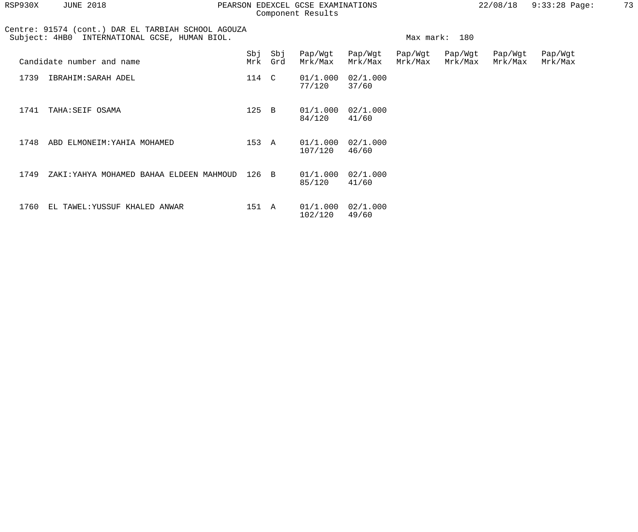| RSP930X | <b>JUNE 2018</b><br>22/08/18<br>PEARSON EDEXCEL GCSE EXAMINATIONS<br>Component Results                 |                  |                |                     |                    |                    |                    |                    |                    | 73 |
|---------|--------------------------------------------------------------------------------------------------------|------------------|----------------|---------------------|--------------------|--------------------|--------------------|--------------------|--------------------|----|
|         | Centre: 91574 (cont.) DAR EL TARBIAH SCHOOL AGOUZA<br>INTERNATIONAL GCSE, HUMAN BIOL.<br>Subject: 4HB0 | Max mark:<br>180 |                |                     |                    |                    |                    |                    |                    |    |
|         | Candidate number and name                                                                              | Mrk              | Sbj Sbj<br>Grd | Pap/Wgt<br>Mrk/Max  | Pap/Wgt<br>Mrk/Max | Pap/Wgt<br>Mrk/Max | Pap/Wgt<br>Mrk/Max | Pap/Wgt<br>Mrk/Max | Pap/Wgt<br>Mrk/Max |    |
| 1739    | IBRAHIM: SARAH ADEL                                                                                    | 114 C            |                | 01/1.000<br>77/120  | 02/1.000<br>37/60  |                    |                    |                    |                    |    |
| 1741    | TAHA: SEIF OSAMA                                                                                       | $125$ B          |                | 01/1.000<br>84/120  | 02/1.000<br>41/60  |                    |                    |                    |                    |    |
| 1748    | ABD ELMONEIM: YAHIA MOHAMED                                                                            | 153 A            |                | 01/1.000<br>107/120 | 02/1.000<br>46/60  |                    |                    |                    |                    |    |
| 1749    | ZAKI: YAHYA MOHAMED BAHAA ELDEEN MAHMOUD                                                               | 126 B            |                | 01/1.000<br>85/120  | 02/1.000<br>41/60  |                    |                    |                    |                    |    |
| 1760    | EL TAWEL: YUSSUF KHALED ANWAR                                                                          | 151 A            |                | 01/1.000<br>102/120 | 02/1.000<br>49/60  |                    |                    |                    |                    |    |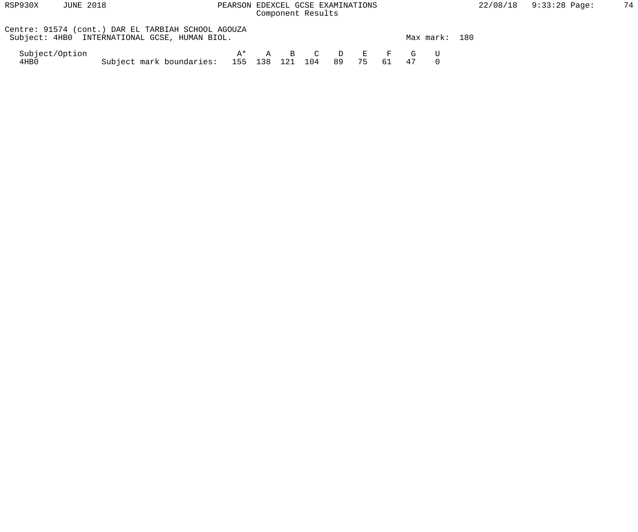| RSP930X                | <b>JUNE 2018</b>                              | PEARSON EDEXCEL GCSE EXAMINATIONS                  | Component Results                    |  |          |  |    |               | 22/08/18 |
|------------------------|-----------------------------------------------|----------------------------------------------------|--------------------------------------|--|----------|--|----|---------------|----------|
|                        | Subject: 4HB0 INTERNATIONAL GCSE, HUMAN BIOL. | Centre: 91574 (cont.) DAR EL TARBIAH SCHOOL AGOUZA |                                      |  |          |  |    | Max mark: 180 |          |
| Subject/Option<br>4HB0 |                                               | Subject mark boundaries: 155 138 121 104           | $\mathbf{A}^{\star}$ a B C D E F G U |  | 89 75 61 |  | 47 |               |          |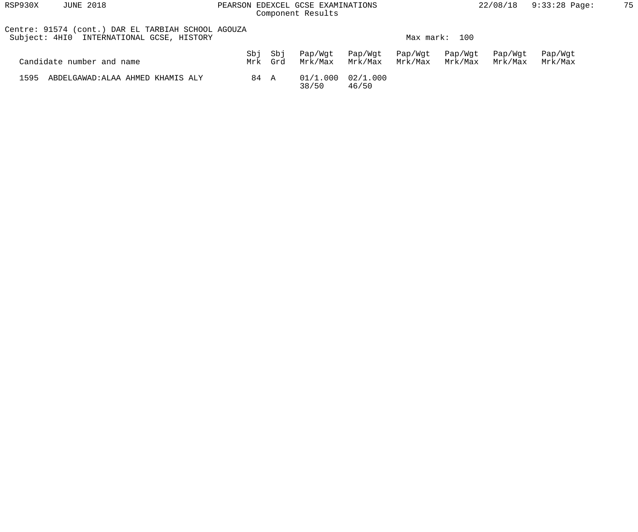| RSP930X<br><b>JUNE 2018</b>                                                                     |            |            | PEARSON EDEXCEL GCSE EXAMINATIONS<br>Component Results |                    |                    |                    | 22/08/18           | $9:33:28$ Page:    | 75 |
|-------------------------------------------------------------------------------------------------|------------|------------|--------------------------------------------------------|--------------------|--------------------|--------------------|--------------------|--------------------|----|
| Centre: 91574 (cont.) DAR EL TARBIAH SCHOOL AGOUZA<br>Subject: 4HIO INTERNATIONAL GCSE, HISTORY |            |            |                                                        |                    |                    | Max mark: 100      |                    |                    |    |
| Candidate number and name                                                                       | Sbj<br>Mrk | Sbj<br>Grd | Pap/Wgt<br>Mrk/Max                                     | Pap/Wgt<br>Mrk/Max | Pap/Wgt<br>Mrk/Max | Pap/Wgt<br>Mrk/Max | Pap/Wgt<br>Mrk/Max | Pap/Wgt<br>Mrk/Max |    |
| 1595<br>ABDELGAWAD: ALAA AHMED KHAMIS ALY                                                       | 84 A       |            | 01/1.000<br>38/50                                      | 02/1.000<br>46/50  |                    |                    |                    |                    |    |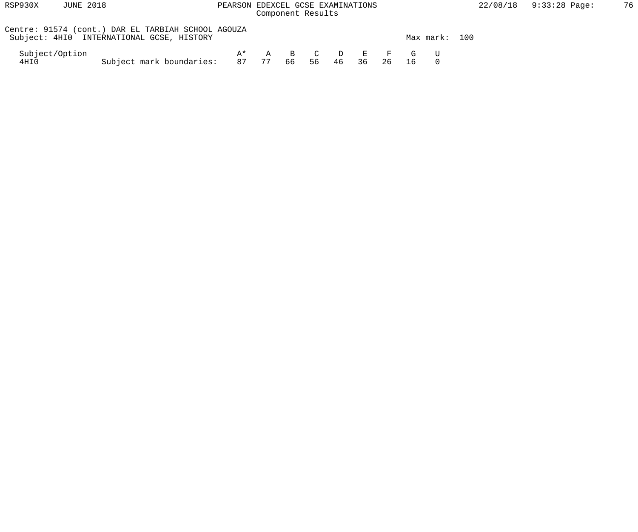| RSP930X                | <b>JUNE 2018</b>                                                                                | PEARSON EDEXCEL GCSE EXAMINATIONS             | Component Results |    |    |    |    |    |                 |               | 22/08/18 |
|------------------------|-------------------------------------------------------------------------------------------------|-----------------------------------------------|-------------------|----|----|----|----|----|-----------------|---------------|----------|
|                        | Centre: 91574 (cont.) DAR EL TARBIAH SCHOOL AGOUZA<br>Subject: 4HIO INTERNATIONAL GCSE, HISTORY |                                               |                   |    |    |    |    |    |                 | Max mark: 100 |          |
| Subject/Option<br>4HI0 |                                                                                                 | $A^{\star}$<br>Subject mark boundaries: 87 77 |                   | 66 | 56 | 46 | 36 | 26 | A B C D E F G U |               |          |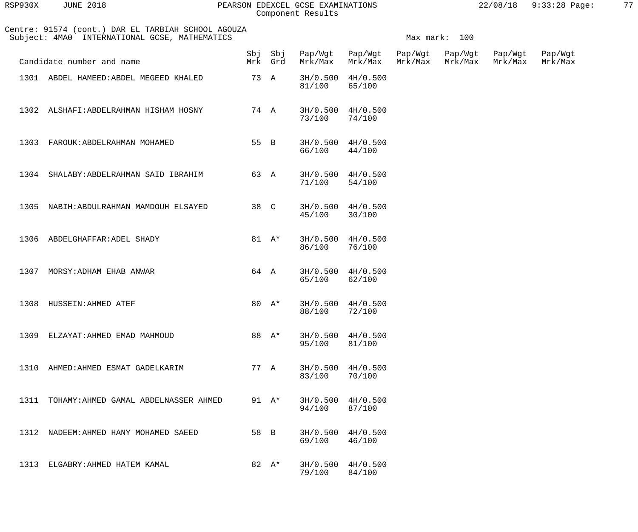| RSP930X | <b>JUNE 2018</b> |  |
|---------|------------------|--|
|         |                  |  |

# PEARSON EDEXCEL GCSE EXAMINATIONS 22/08/18 9:33:28 Page: 77 Component Results

| Centre: 91574 (cont.) DAR EL TARBIAH SCHOOL AGOUZA<br>Subject: 4MA0 INTERNATIONAL GCSE, MATHEMATICS |      |          |                             |                                 |         | Max mark: 100              |                    |                    |
|-----------------------------------------------------------------------------------------------------|------|----------|-----------------------------|---------------------------------|---------|----------------------------|--------------------|--------------------|
| Candidate number and name                                                                           |      | Mrk Grd  | Sbj Sbj Pap/Wgt Pap/Wgt     | Mrk/Max Mrk/Max                 | Mrk/Max | Pap/Wgt Pap/Wgt<br>Mrk/Max | Pap/Wgt<br>Mrk/Max | Pap/Wgt<br>Mrk/Max |
| 1301 ABDEL HAMEED: ABDEL MEGEED KHALED                                                              | 73 A |          | 81/100                      | 3H/0.500 4H/0.500<br>65/100     |         |                            |                    |                    |
| 1302 ALSHAFI: ABDELRAHMAN HISHAM HOSNY                                                              |      | 74 A     | 73/100 74/100               | $3H/0.500$ 4H/0.500             |         |                            |                    |                    |
| 1303 FAROUK: ABDELRAHMAN MOHAMED                                                                    |      | 55 B     | 66/100 44/100               | $3H/0.500$ $4H/0.500$           |         |                            |                    |                    |
| 1304 SHALABY: ABDELRAHMAN SAID IBRAHIM                                                              |      | 63 A     | 71/100                      | 3H/0.500 4H/0.500<br>54/100     |         |                            |                    |                    |
| 1305 NABIH: ABDULRAHMAN MAMDOUH ELSAYED                                                             |      | 38 C     | 45/100                      | $3H/0.500$ $4H/0.500$<br>30/100 |         |                            |                    |                    |
| 1306 ABDELGHAFFAR: ADEL SHADY                                                                       |      | 81 $A^*$ | 3H/0.500 4H/0.500<br>86/100 | 76/100                          |         |                            |                    |                    |
| 1307 MORSY: ADHAM EHAB ANWAR                                                                        |      | 64 A     | 65/100                      | 3H/0.500 4H/0.500<br>62/100     |         |                            |                    |                    |
| 1308 HUSSEIN: AHMED ATEF                                                                            |      | 80 $A^*$ | 88/100                      | 3H/0.500 4H/0.500<br>72/100     |         |                            |                    |                    |
| 1309 ELZAYAT: AHMED EMAD MAHMOUD                                                                    |      | 88 A*    | 3H/0.500<br>95/100          | 4H/0.500<br>81/100              |         |                            |                    |                    |
| 1310<br>AHMED: AHMED ESMAT GADELKARIM                                                               |      | 77 A     | 3H/0.500<br>83/100          | 4H/0.500<br>70/100              |         |                            |                    |                    |
| 1311<br>TOHAMY: AHMED GAMAL ABDELNASSER AHMED                                                       |      | 91 $A^*$ | 3H/0.500<br>94/100          | 4H/0.500<br>87/100              |         |                            |                    |                    |
| 1312<br>NADEEM: AHMED HANY MOHAMED SAEED                                                            | 58 B |          | 3H/0.500<br>69/100          | 4H/0.500<br>46/100              |         |                            |                    |                    |
| 1313<br>ELGABRY: AHMED HATEM KAMAL                                                                  |      | 82 $A^*$ | 3H/0.500<br>79/100          | 4H/0.500<br>84/100              |         |                            |                    |                    |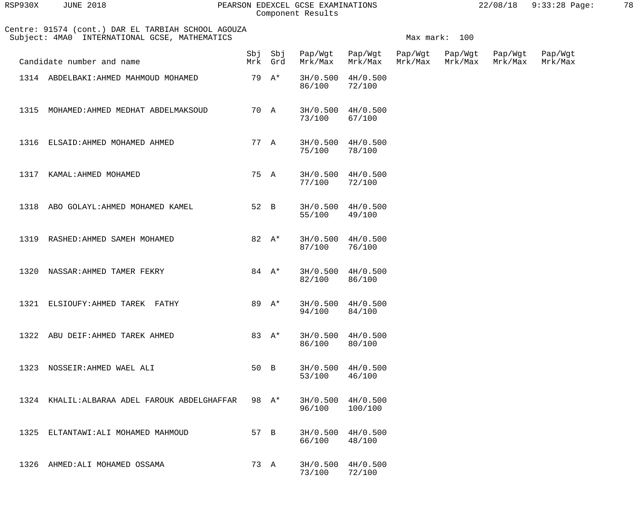| RSP930X | <b>JUNE 2018</b> |  |
|---------|------------------|--|
|         |                  |  |

### RSP930X JUNE 2018 PEARSON EDEXCEL GCSE EXAMINATIONS 22/08/18 9:33:28 Page: 78 Component Results

|      | Centre: 91574 (cont.) DAR EL TARBIAH SCHOOL AGOUZA<br>Subject: 4MA0 INTERNATIONAL GCSE, MATHEMATICS |      |                    |         |                              |                    | Max mark: 100      |                    |                    |
|------|-----------------------------------------------------------------------------------------------------|------|--------------------|---------|------------------------------|--------------------|--------------------|--------------------|--------------------|
|      | Candidate number and name                                                                           |      | Sbj Sbj<br>Mrk Grd | Mrk/Max | Pap/Wgt Pap/Wgt<br>Mrk/Max   | Pap/Wgt<br>Mrk/Max | Pap/Wgt<br>Mrk/Max | Pap/Wgt<br>Mrk/Max | Pap/Wgt<br>Mrk/Max |
|      | 1314 ABDELBAKI: AHMED MAHMOUD MOHAMED                                                               |      | 79 A*              | 86/100  | 3H/0.500 4H/0.500<br>72/100  |                    |                    |                    |                    |
| 1315 | MOHAMED: AHMED MEDHAT ABDELMAKSOUD                                                                  | 70 A |                    | 73/100  | 3H/0.500 4H/0.500<br>67/100  |                    |                    |                    |                    |
| 1316 | ELSAID: AHMED MOHAMED AHMED                                                                         | 77 A |                    | 75/100  | 3H/0.500 4H/0.500<br>78/100  |                    |                    |                    |                    |
| 1317 | KAMAL:AHMED MOHAMED                                                                                 | 75 A |                    | 77/100  | 3H/0.500 4H/0.500<br>72/100  |                    |                    |                    |                    |
| 1318 | ABO GOLAYL: AHMED MOHAMED KAMEL                                                                     | 52 B |                    | 55/100  | 3H/0.500 4H/0.500<br>49/100  |                    |                    |                    |                    |
|      | 1319 RASHED: AHMED SAMEH MOHAMED                                                                    |      | 82 A*              | 87/100  | 3H/0.500 4H/0.500<br>76/100  |                    |                    |                    |                    |
| 1320 | NASSAR: AHMED TAMER FEKRY                                                                           |      | 84 $A^*$           | 82/100  | 3H/0.500 4H/0.500<br>86/100  |                    |                    |                    |                    |
|      | 1321 ELSIOUFY: AHMED TAREK FATHY                                                                    |      | 89 A*              | 94/100  | 3H/0.500 4H/0.500<br>84/100  |                    |                    |                    |                    |
|      | 1322 ABU DEIF: AHMED TAREK AHMED                                                                    |      | 83 A*              | 86/100  | 3H/0.500 4H/0.500<br>80/100  |                    |                    |                    |                    |
|      | 1323 NOSSEIR: AHMED WAEL ALI                                                                        | 50 B |                    | 53/100  | 3H/0.500 4H/0.500<br>46/100  |                    |                    |                    |                    |
|      | 1324 KHALIL: ALBARAA ADEL FAROUK ABDELGHAFFAR                                                       |      | 98 A*              | 96/100  | 3H/0.500 4H/0.500<br>100/100 |                    |                    |                    |                    |
|      | 1325 ELTANTAWI: ALI MOHAMED MAHMOUD                                                                 | 57 B |                    | 66/100  | 3H/0.500 4H/0.500<br>48/100  |                    |                    |                    |                    |
|      | 1326 AHMED: ALI MOHAMED OSSAMA                                                                      | 73 A |                    | 73/100  | 3H/0.500 4H/0.500<br>72/100  |                    |                    |                    |                    |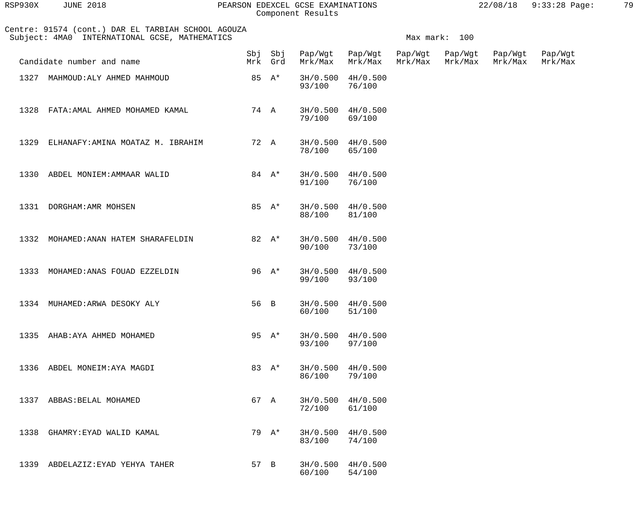| RSP930X | <b>JUNE 2018</b> |  |
|---------|------------------|--|
|         |                  |  |

### RSP930X JUNE 2018 PEARSON EDEXCEL GCSE EXAMINATIONS 22/08/18 9:33:28 Page: 79 Component Results

|      | Centre: 91574 (cont.) DAR EL TARBIAH SCHOOL AGOUZA<br>Subject: 4MA0 INTERNATIONAL GCSE, MATHEMATICS |      |                    |         |                             |                    | Max mark: 100      |                    |                    |
|------|-----------------------------------------------------------------------------------------------------|------|--------------------|---------|-----------------------------|--------------------|--------------------|--------------------|--------------------|
|      | Candidate number and name                                                                           |      | Sbj Sbj<br>Mrk Grd | Mrk/Max | Pap/Wgt Pap/Wgt<br>Mrk/Max  | Pap/Wgt<br>Mrk/Max | Pap/Wgt<br>Mrk/Max | Pap/Wgt<br>Mrk/Max | Pap/Wgt<br>Mrk/Max |
|      | 1327 MAHMOUD: ALY AHMED MAHMOUD                                                                     |      | 85 A*              | 93/100  | 3H/0.500 4H/0.500<br>76/100 |                    |                    |                    |                    |
| 1328 | FATA:AMAL AHMED MOHAMED KAMAL                                                                       |      | 74 A               | 79/100  | 3H/0.500 4H/0.500<br>69/100 |                    |                    |                    |                    |
| 1329 | ELHANAFY: AMINA MOATAZ M. IBRAHIM                                                                   |      | 72 A               | 78/100  | 3H/0.500 4H/0.500<br>65/100 |                    |                    |                    |                    |
| 1330 | ABDEL MONIEM: AMMAAR WALID                                                                          |      | 84 $A^*$           | 91/100  | 3H/0.500 4H/0.500<br>76/100 |                    |                    |                    |                    |
|      | 1331 DORGHAM: AMR MOHSEN                                                                            |      | 85 $A^*$           | 88/100  | 3H/0.500 4H/0.500<br>81/100 |                    |                    |                    |                    |
|      | 1332 MOHAMED: ANAN HATEM SHARAFELDIN                                                                |      | 82 $A^*$           | 90/100  | 3H/0.500 4H/0.500<br>73/100 |                    |                    |                    |                    |
|      | 1333 MOHAMED: ANAS FOUAD EZZELDIN                                                                   |      | 96 $A^*$           | 99/100  | 3H/0.500 4H/0.500<br>93/100 |                    |                    |                    |                    |
|      | 1334 MUHAMED: ARWA DESOKY ALY                                                                       | 56 B |                    | 60/100  | 3H/0.500 4H/0.500<br>51/100 |                    |                    |                    |                    |
|      | 1335 AHAB: AYA AHMED MOHAMED                                                                        |      | 95 $A^*$           | 93/100  | 3H/0.500 4H/0.500<br>97/100 |                    |                    |                    |                    |
|      | 1336 ABDEL MONEIM: AYA MAGDI                                                                        |      | 83 A*              | 86/100  | 3H/0.500 4H/0.500<br>79/100 |                    |                    |                    |                    |
|      | 1337 ABBAS: BELAL MOHAMED                                                                           |      | 67 A               | 72/100  | 3H/0.500 4H/0.500<br>61/100 |                    |                    |                    |                    |
|      | 1338 GHAMRY: EYAD WALID KAMAL                                                                       |      | 79 A*              | 83/100  | 3H/0.500 4H/0.500<br>74/100 |                    |                    |                    |                    |
|      | 1339 ABDELAZIZ: EYAD YEHYA TAHER                                                                    | 57 B |                    | 60/100  | 3H/0.500 4H/0.500<br>54/100 |                    |                    |                    |                    |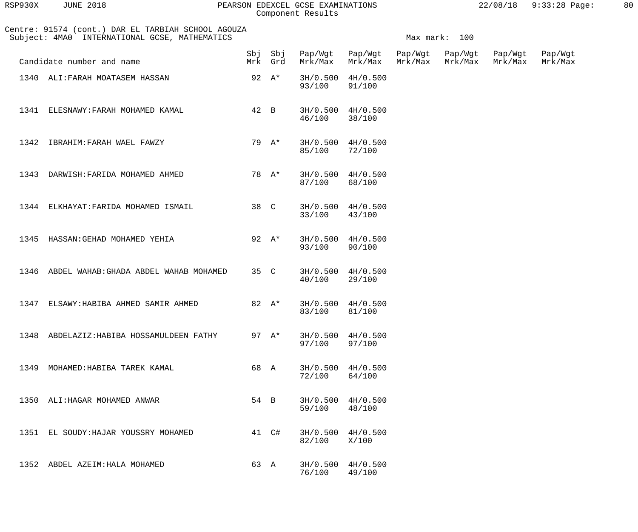| RSP930X | JUNE 2018 |  |
|---------|-----------|--|
|         |           |  |

# PEARSON EDEXCEL GCSE EXAMINATIONS 22/08/18 9:33:28 Page: 80 Component Results

|      | Centre: 91574 (cont.) DAR EL TARBIAH SCHOOL AGOUZA<br>Subject: 4MA0 INTERNATIONAL GCSE, MATHEMATICS | Max mark: 100 |          |                         |                                 |         |                            |                    |                    |  |
|------|-----------------------------------------------------------------------------------------------------|---------------|----------|-------------------------|---------------------------------|---------|----------------------------|--------------------|--------------------|--|
|      | Candidate number and name                                                                           |               | Mrk Grd  | Sbj Sbj Pap/Wgt Pap/Wgt | Mrk/Max Mrk/Max                 | Mrk/Max | Pap/Wgt Pap/Wgt<br>Mrk/Max | Pap/Wgt<br>Mrk/Max | Pap/Wgt<br>Mrk/Max |  |
|      | 1340 ALI: FARAH MOATASEM HASSAN                                                                     | 92 $A^*$      |          | 93/100                  | 3H/0.500 4H/0.500<br>91/100     |         |                            |                    |                    |  |
|      | 1341 ELESNAWY: FARAH MOHAMED KAMAL                                                                  | 42 B          |          | 46/100 38/100           | $3H/0.500$ 4H/0.500             |         |                            |                    |                    |  |
|      | 1342 IBRAHIM: FARAH WAEL FAWZY                                                                      |               | 79 A*    | 85/100 72/100           | $3H/0.500$ 4H/0.500             |         |                            |                    |                    |  |
|      | 1343 DARWISH: FARIDA MOHAMED AHMED                                                                  |               | 78 A*    | 87/100                  | $3H/0.500$ $4H/0.500$<br>68/100 |         |                            |                    |                    |  |
|      | 1344 ELKHAYAT: FARIDA MOHAMED ISMAIL                                                                |               | 38 C     | 33/100 43/100           | $3H/0.500$ 4H/0.500             |         |                            |                    |                    |  |
|      | 1345 HASSAN: GEHAD MOHAMED YEHIA                                                                    |               | 92 $A^*$ | 93/100 90/100           | 3H/0.500 4H/0.500               |         |                            |                    |                    |  |
|      | 1346 ABDEL WAHAB: GHADA ABDEL WAHAB MOHAMED                                                         |               | 35 C     | 40/100                  | 3H/0.500 4H/0.500<br>29/100     |         |                            |                    |                    |  |
|      | 1347 ELSAWY: HABIBA AHMED SAMIR AHMED                                                               |               | 82 A*    | 83/100                  | 3H/0.500 4H/0.500<br>81/100     |         |                            |                    |                    |  |
|      | 1348 ABDELAZIZ: HABIBA HOSSAMULDEEN FATHY                                                           |               | 97 $A^*$ | 97/100                  | $3H/0.500$ $4H/0.500$<br>97/100 |         |                            |                    |                    |  |
| 1349 | MOHAMED: HABIBA TAREK KAMAL                                                                         | 68 A          |          | 72/100                  | 3H/0.500 4H/0.500<br>64/100     |         |                            |                    |                    |  |
|      | 1350 ALI: HAGAR MOHAMED ANWAR                                                                       | 54 B          |          | 59/100                  | 3H/0.500 4H/0.500<br>48/100     |         |                            |                    |                    |  |
| 1351 | EL SOUDY: HAJAR YOUSSRY MOHAMED                                                                     |               | 41 C#    | 3H/0.500<br>82/100      | 4H/0.500<br>X/100               |         |                            |                    |                    |  |
|      | 1352 ABDEL AZEIM: HALA MOHAMED                                                                      | 63 A          |          | 3H/0.500<br>76/100      | 4H/0.500<br>49/100              |         |                            |                    |                    |  |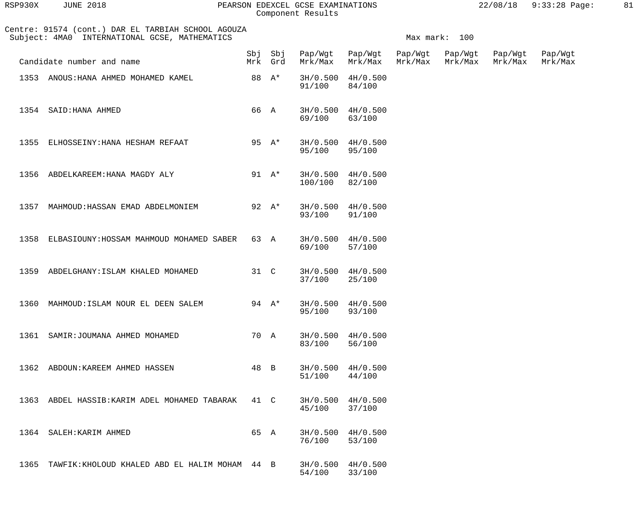| RSP930X | <b>JUNE 2018</b> |  |
|---------|------------------|--|
|         |                  |  |

### RSP930X JUNE 2018 PEARSON EDEXCEL GCSE EXAMINATIONS 22/08/18 9:33:28 Page: 81 Component Results

|      | Centre: 91574 (cont.) DAR EL TARBIAH SCHOOL AGOUZA<br>Subject: 4MA0 INTERNATIONAL GCSE, MATHEMATICS |      |                    |         |                             |                    | Max mark: 100      |                    |                    |
|------|-----------------------------------------------------------------------------------------------------|------|--------------------|---------|-----------------------------|--------------------|--------------------|--------------------|--------------------|
|      | Candidate number and name                                                                           |      | Sbj Sbj<br>Mrk Grd | Mrk/Max | Pap/Wgt Pap/Wgt<br>Mrk/Max  | Pap/Wgt<br>Mrk/Max | Pap/Wgt<br>Mrk/Max | Pap/Wgt<br>Mrk/Max | Pap/Wgt<br>Mrk/Max |
|      | 1353 ANOUS: HANA AHMED MOHAMED KAMEL                                                                |      | 88 A*              | 91/100  | 3H/0.500 4H/0.500<br>84/100 |                    |                    |                    |                    |
|      | 1354 SAID: HANA AHMED                                                                               | 66 A |                    | 69/100  | 3H/0.500 4H/0.500<br>63/100 |                    |                    |                    |                    |
| 1355 | ELHOSSEINY: HANA HESHAM REFAAT                                                                      |      | 95 $A^*$           | 95/100  | 3H/0.500 4H/0.500<br>95/100 |                    |                    |                    |                    |
| 1356 | ABDELKAREEM: HANA MAGDY ALY                                                                         |      | 91 $A^*$           | 100/100 | 3H/0.500 4H/0.500<br>82/100 |                    |                    |                    |                    |
| 1357 | MAHMOUD: HASSAN EMAD ABDELMONIEM                                                                    |      | 92 $A^*$           | 93/100  | 3H/0.500 4H/0.500<br>91/100 |                    |                    |                    |                    |
| 1358 | ELBASIOUNY: HOSSAM MAHMOUD MOHAMED SABER                                                            | 63 A |                    | 69/100  | 3H/0.500 4H/0.500<br>57/100 |                    |                    |                    |                    |
| 1359 | ABDELGHANY: ISLAM KHALED MOHAMED                                                                    | 31 C |                    | 37/100  | 3H/0.500 4H/0.500<br>25/100 |                    |                    |                    |                    |
| 1360 | MAHMOUD: ISLAM NOUR EL DEEN SALEM                                                                   |      | 94 $A^*$           | 95/100  | 3H/0.500 4H/0.500<br>93/100 |                    |                    |                    |                    |
|      | 1361 SAMIR: JOUMANA AHMED MOHAMED                                                                   | 70 A |                    | 83/100  | 3H/0.500 4H/0.500<br>56/100 |                    |                    |                    |                    |
|      | 1362 ABDOUN: KAREEM AHMED HASSEN                                                                    | 48 B |                    | 51/100  | 3H/0.500 4H/0.500<br>44/100 |                    |                    |                    |                    |
|      | 1363 ABDEL HASSIB: KARIM ADEL MOHAMED TABARAK                                                       | 41 C |                    | 45/100  | 3H/0.500 4H/0.500<br>37/100 |                    |                    |                    |                    |
|      | 1364 SALEH: KARIM AHMED                                                                             | 65 A |                    | 76/100  | 3H/0.500 4H/0.500<br>53/100 |                    |                    |                    |                    |
|      | 1365 TAWFIK: KHOLOUD KHALED ABD EL HALIM MOHAM 44 B                                                 |      |                    | 54/100  | 3H/0.500 4H/0.500<br>33/100 |                    |                    |                    |                    |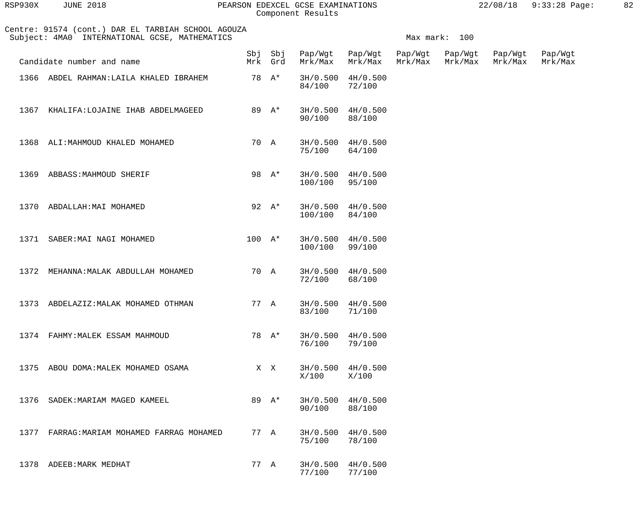| RSP930X | <b>JUNE 2018</b> |  |
|---------|------------------|--|
|         |                  |  |

# PEARSON EDEXCEL GCSE EXAMINATIONS 22/08/18 9:33:28 Page: 82 Component Results

|      | Centre: 91574 (cont.) DAR EL TARBIAH SCHOOL AGOUZA<br>Subject: 4MA0 INTERNATIONAL GCSE, MATHEMATICS |          |                    |         | Max mark: 100               |                    |                    |                    |                    |  |  |
|------|-----------------------------------------------------------------------------------------------------|----------|--------------------|---------|-----------------------------|--------------------|--------------------|--------------------|--------------------|--|--|
|      | Candidate number and name                                                                           |          | Sbj Sbj<br>Mrk Grd | Mrk/Max | Pap/Wgt Pap/Wgt<br>Mrk/Max  | Pap/Wgt<br>Mrk/Max | Pap/Wgt<br>Mrk/Max | Pap/Wgt<br>Mrk/Max | Pap/Wgt<br>Mrk/Max |  |  |
|      | 1366 ABDEL RAHMAN: LAILA KHALED IBRAHEM                                                             |          | 78 A*              | 84/100  | 3H/0.500 4H/0.500<br>72/100 |                    |                    |                    |                    |  |  |
| 1367 | KHALIFA: LOJAINE IHAB ABDELMAGEED                                                                   |          | 89 A*              | 90/100  | 3H/0.500 4H/0.500<br>88/100 |                    |                    |                    |                    |  |  |
|      | 1368 ALI: MAHMOUD KHALED MOHAMED                                                                    | 70 A     |                    | 75/100  | 3H/0.500 4H/0.500<br>64/100 |                    |                    |                    |                    |  |  |
| 1369 | ABBASS: MAHMOUD SHERIF                                                                              |          | 98 A*              | 100/100 | 3H/0.500 4H/0.500<br>95/100 |                    |                    |                    |                    |  |  |
| 1370 | ABDALLAH: MAI MOHAMED                                                                               |          | 92 $A^*$           | 100/100 | 3H/0.500 4H/0.500<br>84/100 |                    |                    |                    |                    |  |  |
|      | 1371 SABER: MAI NAGI MOHAMED                                                                        | $100 A*$ |                    | 100/100 | 3H/0.500 4H/0.500<br>99/100 |                    |                    |                    |                    |  |  |
| 1372 | MEHANNA: MALAK ABDULLAH MOHAMED                                                                     | 70 A     |                    | 72/100  | 3H/0.500 4H/0.500<br>68/100 |                    |                    |                    |                    |  |  |
|      | 1373 ABDELAZIZ: MALAK MOHAMED OTHMAN                                                                | 77 A     |                    | 83/100  | 3H/0.500 4H/0.500<br>71/100 |                    |                    |                    |                    |  |  |
|      | 1374 FAHMY: MALEK ESSAM MAHMOUD                                                                     |          | 78 A*              | 76/100  | 3H/0.500 4H/0.500<br>79/100 |                    |                    |                    |                    |  |  |
|      | 1375 ABOU DOMA: MALEK MOHAMED OSAMA                                                                 |          | X X                | X/100   | 3H/0.500 4H/0.500<br>X/100  |                    |                    |                    |                    |  |  |
|      | 1376 SADEK: MARIAM MAGED KAMEEL                                                                     |          | 89 $A^*$           | 90/100  | 3H/0.500 4H/0.500<br>88/100 |                    |                    |                    |                    |  |  |
|      | 1377 FARRAG: MARIAM MOHAMED FARRAG MOHAMED                                                          | 77 A     |                    | 75/100  | 3H/0.500 4H/0.500<br>78/100 |                    |                    |                    |                    |  |  |
|      | 1378 ADEEB: MARK MEDHAT                                                                             | 77 A     |                    | 77/100  | 3H/0.500 4H/0.500<br>77/100 |                    |                    |                    |                    |  |  |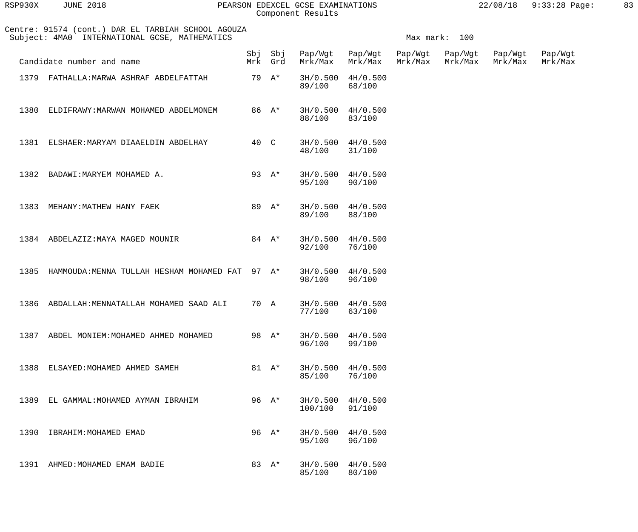| RSP930X | <b>JUNE 2018</b> |  |
|---------|------------------|--|
|         |                  |  |

### RSP930X JUNE 2018 PEARSON EDEXCEL GCSE EXAMINATIONS 22/08/18 9:33:28 Page: 83 Component Results

|      | Centre: 91574 (cont.) DAR EL TARBIAH SCHOOL AGOUZA<br>Subject: 4MA0 INTERNATIONAL GCSE, MATHEMATICS |      |          |                                    | Max mark: 100               |                    |                    |                    |                    |  |  |
|------|-----------------------------------------------------------------------------------------------------|------|----------|------------------------------------|-----------------------------|--------------------|--------------------|--------------------|--------------------|--|--|
|      | Candidate number and name                                                                           |      | Mrk Grd  | Sbj Sbj Pap/Wgt Pap/Wgt<br>Mrk/Max | Mrk/Max                     | Pap/Wgt<br>Mrk/Max | Pap/Wgt<br>Mrk/Max | Pap/Wgt<br>Mrk/Max | Pap/Wgt<br>Mrk/Max |  |  |
|      | 1379 FATHALLA: MARWA ASHRAF ABDELFATTAH                                                             |      | 79 A*    | 89/100                             | 3H/0.500 4H/0.500<br>68/100 |                    |                    |                    |                    |  |  |
| 1380 | ELDIFRAWY: MARWAN MOHAMED ABDELMONEM                                                                |      | 86 A*    | 88/100                             | 3H/0.500 4H/0.500<br>83/100 |                    |                    |                    |                    |  |  |
|      | 1381 ELSHAER: MARYAM DIAAELDIN ABDELHAY                                                             | 40 C |          | 48/100                             | 3H/0.500 4H/0.500<br>31/100 |                    |                    |                    |                    |  |  |
|      | 1382 BADAWI: MARYEM MOHAMED A.                                                                      |      | 93 $A^*$ | 95/100                             | 3H/0.500 4H/0.500<br>90/100 |                    |                    |                    |                    |  |  |
| 1383 | MEHANY: MATHEW HANY FAEK                                                                            |      | 89 A*    | 89/100                             | 3H/0.500 4H/0.500<br>88/100 |                    |                    |                    |                    |  |  |
|      | 1384 ABDELAZIZ: MAYA MAGED MOUNIR                                                                   |      | 84 $A^*$ | 92/100                             | 3H/0.500 4H/0.500<br>76/100 |                    |                    |                    |                    |  |  |
| 1385 | HAMMOUDA: MENNA TULLAH HESHAM MOHAMED FAT 97 A*                                                     |      |          | 98/100                             | 3H/0.500 4H/0.500<br>96/100 |                    |                    |                    |                    |  |  |
|      | 1386 ABDALLAH: MENNATALLAH MOHAMED SAAD ALI                                                         | 70 A |          | 77/100                             | 3H/0.500 4H/0.500<br>63/100 |                    |                    |                    |                    |  |  |
|      | 1387 ABDEL MONIEM: MOHAMED AHMED MOHAMED                                                            |      | 98 A*    | 96/100                             | 3H/0.500 4H/0.500<br>99/100 |                    |                    |                    |                    |  |  |
|      | 1388 ELSAYED: MOHAMED AHMED SAMEH                                                                   |      | 81 $A^*$ | 85/100                             | 3H/0.500 4H/0.500<br>76/100 |                    |                    |                    |                    |  |  |
|      | 1389 EL GAMMAL: MOHAMED AYMAN IBRAHIM                                                               |      | 96 A*    | 100/100                            | 3H/0.500 4H/0.500<br>91/100 |                    |                    |                    |                    |  |  |
| 1390 | IBRAHIM: MOHAMED EMAD                                                                               |      | 96 A*    | 95/100                             | 3H/0.500 4H/0.500<br>96/100 |                    |                    |                    |                    |  |  |
|      | 1391 AHMED: MOHAMED EMAM BADIE                                                                      |      | 83 A*    | 85/100                             | 3H/0.500 4H/0.500<br>80/100 |                    |                    |                    |                    |  |  |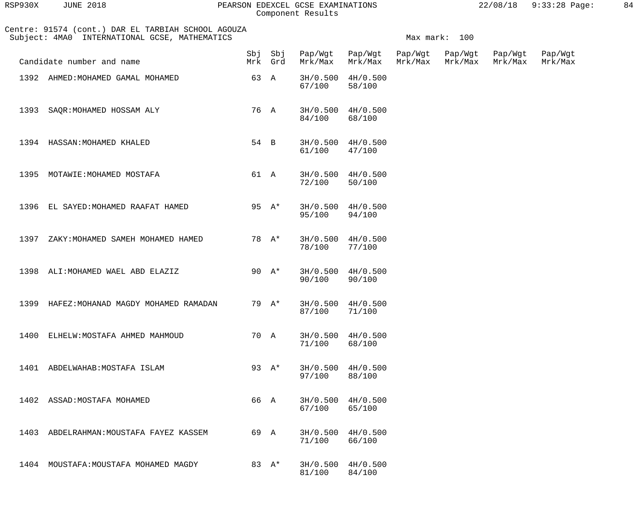| RSP930X | <b>JUNE 2018</b> |  |
|---------|------------------|--|
|         |                  |  |

# PEARSON EDEXCEL GCSE EXAMINATIONS 22/08/18 9:33:28 Page: 84 Component Results

| 22/08/18 | $9:33:28$ Page: |  |
|----------|-----------------|--|
|          |                 |  |

| Centre: 91574 (cont.) DAR EL TARBIAH SCHOOL AGOUZA<br>Subject: 4MA0 INTERNATIONAL GCSE, MATHEMATICS |      | Max mark: 100 |                         |                                 |                    |                    |                    |                    |
|-----------------------------------------------------------------------------------------------------|------|---------------|-------------------------|---------------------------------|--------------------|--------------------|--------------------|--------------------|
| Candidate number and name                                                                           |      | Mrk Grd       | Sbj Sbj Pap/Wgt Pap/Wgt | Mrk/Max Mrk/Max                 | Pap/Wgt<br>Mrk/Max | Pap/Wgt<br>Mrk/Max | Pap/Wgt<br>Mrk/Max | Pap/Wgt<br>Mrk/Max |
| 1392 AHMED: MOHAMED GAMAL MOHAMED                                                                   |      | 63 A          | 67/100                  | 3H/0.500 4H/0.500<br>58/100     |                    |                    |                    |                    |
| 1393 SAQR: MOHAMED HOSSAM ALY                                                                       |      | 76 A          | 84/100                  | 3H/0.500 4H/0.500<br>68/100     |                    |                    |                    |                    |
| 1394 HASSAN: MOHAMED KHALED                                                                         |      | 54 B          | 61/100 47/100           | $3H/0.500$ 4H/0.500             |                    |                    |                    |                    |
| 1395 MOTAWIE: MOHAMED MOSTAFA                                                                       |      | 61 A          | 72/100                  | 3H/0.500 4H/0.500<br>50/100     |                    |                    |                    |                    |
| 1396 EL SAYED: MOHAMED RAAFAT HAMED                                                                 |      | 95 $A^*$      | 95/100                  | 3H/0.500 4H/0.500<br>94/100     |                    |                    |                    |                    |
| ZAKY:MOHAMED SAMEH MOHAMED HAMED<br>1397                                                            |      | 78 A*         | 78/100                  | 3H/0.500 4H/0.500<br>77/100     |                    |                    |                    |                    |
| 1398 ALI: MOHAMED WAEL ABD ELAZIZ                                                                   |      | 90 $A^*$      | 90/100                  | 3H/0.500 4H/0.500<br>90/100     |                    |                    |                    |                    |
| 1399 HAFEZ: MOHANAD MAGDY MOHAMED RAMADAN                                                           |      | 79 A*         | 87/100                  | 3H/0.500 4H/0.500<br>71/100     |                    |                    |                    |                    |
| 1400<br>ELHELW: MOSTAFA AHMED MAHMOUD                                                               |      | 70 A          | 71/100                  | $3H/0.500$ $4H/0.500$<br>68/100 |                    |                    |                    |                    |
| 1401<br>ABDELWAHAB: MOSTAFA ISLAM                                                                   |      | 93 $A^*$      | 3H/0.500<br>97/100      | 4H/0.500<br>88/100              |                    |                    |                    |                    |
| 1402<br>ASSAD:MOSTAFA MOHAMED                                                                       | 66 A |               | 3H/0.500<br>67/100      | 4H/0.500<br>65/100              |                    |                    |                    |                    |
| 1403<br>ABDELRAHMAN: MOUSTAFA FAYEZ KASSEM                                                          | 69 A |               | 3H/0.500<br>71/100      | 4H/0.500<br>66/100              |                    |                    |                    |                    |
| 1404<br>MOUSTAFA: MOUSTAFA MOHAMED MAGDY                                                            |      | 83 A*         | 3H/0.500<br>81/100      | 4H/0.500<br>84/100              |                    |                    |                    |                    |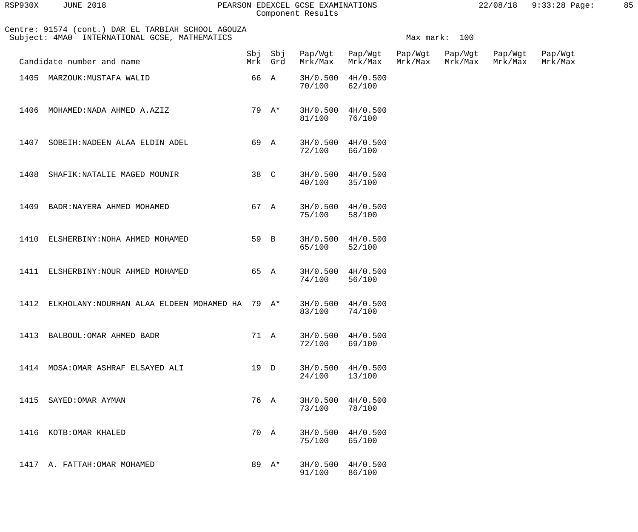| RSP930X | <b>JUNE 2018</b> |  |
|---------|------------------|--|
|         |                  |  |

### RSP930X JUNE 2018 PEARSON EDEXCEL GCSE EXAMINATIONS 22/08/18 9:33:28 Page: 85 Component Results

| Centre: 91574 (cont.) DAR EL TARBIAH SCHOOL AGOUZA<br>Subject: 4MA0 INTERNATIONAL GCSE, MATHEMATICS |                                                      |      |         | Max mark: 100           |                             |         |                            |                    |                    |  |  |
|-----------------------------------------------------------------------------------------------------|------------------------------------------------------|------|---------|-------------------------|-----------------------------|---------|----------------------------|--------------------|--------------------|--|--|
|                                                                                                     | Candidate number and name                            |      | Mrk Grd | Sbj Sbj Pap/Wgt Pap/Wgt | Mrk/Max Mrk/Max             | Mrk/Max | Pap/Wgt Pap/Wgt<br>Mrk/Max | Pap/Wgt<br>Mrk/Max | Pap/Wgt<br>Mrk/Max |  |  |
|                                                                                                     | 1405 MARZOUK: MUSTAFA WALID                          |      | 66 A    | 70/100                  | 3H/0.500 4H/0.500<br>62/100 |         |                            |                    |                    |  |  |
| 1406                                                                                                | MOHAMED: NADA AHMED A.AZIZ                           |      | 79 A*   | 81/100                  | 3H/0.500 4H/0.500<br>76/100 |         |                            |                    |                    |  |  |
| 1407                                                                                                | SOBEIH: NADEEN ALAA ELDIN ADEL                       | 69 A |         | 72/100                  | 3H/0.500 4H/0.500<br>66/100 |         |                            |                    |                    |  |  |
|                                                                                                     | 1408 SHAFIK: NATALIE MAGED MOUNIR                    | 38 C |         | 40/100                  | 3H/0.500 4H/0.500<br>35/100 |         |                            |                    |                    |  |  |
|                                                                                                     | 1409 BADR: NAYERA AHMED MOHAMED                      | 67 A |         | 75/100                  | 3H/0.500 4H/0.500<br>58/100 |         |                            |                    |                    |  |  |
| 1410                                                                                                | ELSHERBINY: NOHA AHMED MOHAMED                       | 59 B |         | 65/100                  | 3H/0.500 4H/0.500<br>52/100 |         |                            |                    |                    |  |  |
|                                                                                                     | 1411 ELSHERBINY: NOUR AHMED MOHAMED                  | 65 A |         | 74/100                  | 3H/0.500 4H/0.500<br>56/100 |         |                            |                    |                    |  |  |
|                                                                                                     | 1412 ELKHOLANY: NOURHAN ALAA ELDEEN MOHAMED HA 79 A* |      |         | 83/100                  | 3H/0.500 4H/0.500<br>74/100 |         |                            |                    |                    |  |  |
|                                                                                                     | 1413 BALBOUL: OMAR AHMED BADR                        | 71 A |         | 72/100                  | 3H/0.500 4H/0.500<br>69/100 |         |                            |                    |                    |  |  |
|                                                                                                     | 1414 MOSA: OMAR ASHRAF ELSAYED ALI                   | 19 D |         | 24/100                  | 3H/0.500 4H/0.500<br>13/100 |         |                            |                    |                    |  |  |
|                                                                                                     | 1415 SAYED: OMAR AYMAN                               | 76 A |         | 73/100                  | 3H/0.500 4H/0.500<br>78/100 |         |                            |                    |                    |  |  |
|                                                                                                     | 1416 KOTB: OMAR KHALED                               | 70 A |         | 75/100                  | 3H/0.500 4H/0.500<br>65/100 |         |                            |                    |                    |  |  |
|                                                                                                     | 1417 A. FATTAH: OMAR MOHAMED                         |      | 89 A*   | 91/100                  | 3H/0.500 4H/0.500<br>86/100 |         |                            |                    |                    |  |  |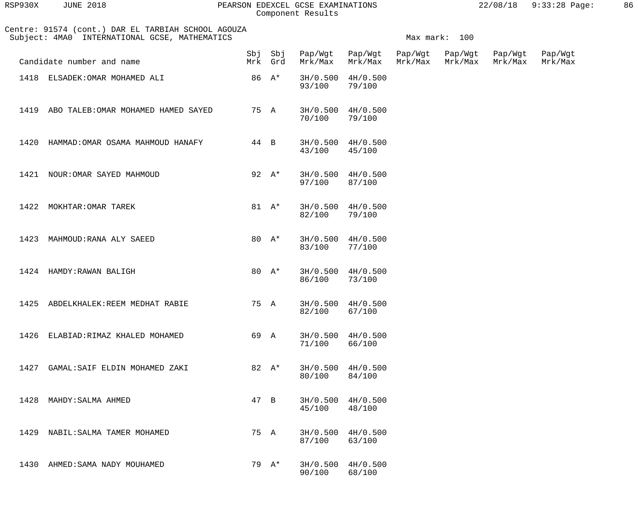| RSP930X | <b>JUNE 2018</b> |  |
|---------|------------------|--|
|         |                  |  |

### RSP930X JUNE 2018 PEARSON EDEXCEL GCSE EXAMINATIONS 22/08/18 9:33:28 Page: 86 Component Results

|      | Centre: 91574 (cont.) DAR EL TARBIAH SCHOOL AGOUZA<br>Subject: 4MA0 INTERNATIONAL GCSE, MATHEMATICS |      |                    |         |                             |                    | Max mark: 100      |                    |                    |
|------|-----------------------------------------------------------------------------------------------------|------|--------------------|---------|-----------------------------|--------------------|--------------------|--------------------|--------------------|
|      | Candidate number and name                                                                           |      | Sbj Sbj<br>Mrk Grd | Mrk/Max | Pap/Wgt Pap/Wgt<br>Mrk/Max  | Pap/Wgt<br>Mrk/Max | Pap/Wgt<br>Mrk/Max | Pap/Wgt<br>Mrk/Max | Pap/Wgt<br>Mrk/Max |
|      | 1418 ELSADEK: OMAR MOHAMED ALI                                                                      |      | 86 A*              | 93/100  | 3H/0.500 4H/0.500<br>79/100 |                    |                    |                    |                    |
| 1419 | ABO TALEB: OMAR MOHAMED HAMED SAYED                                                                 | 75 A |                    | 70/100  | 3H/0.500 4H/0.500<br>79/100 |                    |                    |                    |                    |
| 1420 | HAMMAD: OMAR OSAMA MAHMOUD HANAFY                                                                   | 44 B |                    | 43/100  | 3H/0.500 4H/0.500<br>45/100 |                    |                    |                    |                    |
|      | 1421 NOUR: OMAR SAYED MAHMOUD                                                                       |      | 92 $A^*$           | 97/100  | 3H/0.500 4H/0.500<br>87/100 |                    |                    |                    |                    |
| 1422 | MOKHTAR: OMAR TAREK                                                                                 |      | 81 $A^*$           | 82/100  | 3H/0.500 4H/0.500<br>79/100 |                    |                    |                    |                    |
| 1423 | MAHMOUD: RANA ALY SAEED                                                                             |      | 80 $A^*$           | 83/100  | 3H/0.500 4H/0.500<br>77/100 |                    |                    |                    |                    |
|      | 1424 HAMDY: RAWAN BALIGH                                                                            |      | 80 $A^*$           | 86/100  | 3H/0.500 4H/0.500<br>73/100 |                    |                    |                    |                    |
| 1425 | ABDELKHALEK:REEM MEDHAT RABIE                                                                       |      | 75 A               | 82/100  | 3H/0.500 4H/0.500<br>67/100 |                    |                    |                    |                    |
|      | 1426 ELABIAD: RIMAZ KHALED MOHAMED                                                                  |      | 69 A               | 71/100  | 3H/0.500 4H/0.500<br>66/100 |                    |                    |                    |                    |
|      | 1427 GAMAL: SAIF ELDIN MOHAMED ZAKI                                                                 |      | 82 $A^*$           | 80/100  | 3H/0.500 4H/0.500<br>84/100 |                    |                    |                    |                    |
|      | 1428 MAHDY: SALMA AHMED                                                                             |      | 47 B               | 45/100  | 3H/0.500 4H/0.500<br>48/100 |                    |                    |                    |                    |
|      | 1429 NABIL: SALMA TAMER MOHAMED                                                                     |      | 75 A               | 87/100  | 3H/0.500 4H/0.500<br>63/100 |                    |                    |                    |                    |
|      | 1430 AHMED: SAMA NADY MOUHAMED                                                                      |      | 79 A*              | 90/100  | 3H/0.500 4H/0.500<br>68/100 |                    |                    |                    |                    |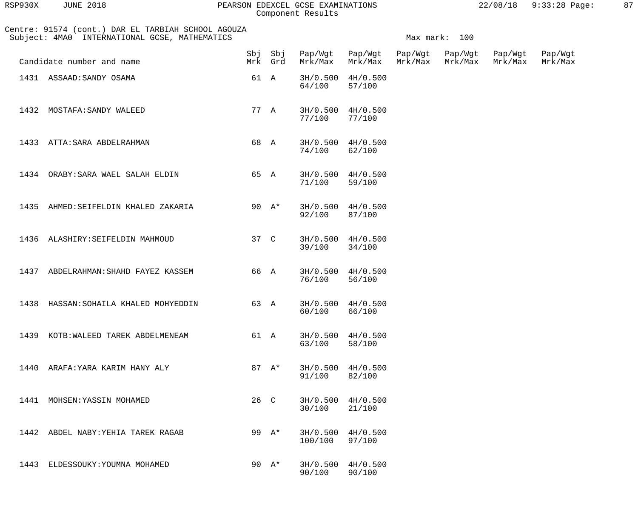| RSP930X | <b>JUNE 2018</b> |  |
|---------|------------------|--|
|         |                  |  |

#### RSP930X JUNE 2018 PEARSON EDEXCEL GCSE EXAMINATIONS 22/08/18 9:33:28 Page: 87 Component Results

|      | Centre: 91574 (cont.) DAR EL TARBIAH SCHOOL AGOUZA<br>Subject: 4MA0 INTERNATIONAL GCSE, MATHEMATICS |      |                    |         |                             |                    |                    |                    |                    |
|------|-----------------------------------------------------------------------------------------------------|------|--------------------|---------|-----------------------------|--------------------|--------------------|--------------------|--------------------|
|      | Candidate number and name                                                                           |      | Sbj Sbj<br>Mrk Grd | Mrk/Max | Pap/Wgt Pap/Wgt<br>Mrk/Max  | Pap/Wgt<br>Mrk/Max | Pap/Wgt<br>Mrk/Max | Pap/Wgt<br>Mrk/Max | Pap/Wgt<br>Mrk/Max |
|      | 1431 ASSAAD: SANDY OSAMA                                                                            |      | 61 A               | 64/100  | 3H/0.500 4H/0.500<br>57/100 |                    |                    |                    |                    |
|      | 1432 MOSTAFA: SANDY WALEED                                                                          |      | 77 A               | 77/100  | 3H/0.500 4H/0.500<br>77/100 |                    |                    |                    |                    |
|      | 1433 ATTA: SARA ABDELRAHMAN                                                                         |      | 68 A               | 74/100  | 3H/0.500 4H/0.500<br>62/100 |                    |                    |                    |                    |
|      | 1434 ORABY: SARA WAEL SALAH ELDIN                                                                   |      | 65 A               | 71/100  | 3H/0.500 4H/0.500<br>59/100 |                    |                    |                    |                    |
|      | 1435 AHMED: SEIFELDIN KHALED ZAKARIA                                                                |      | 90 $A^*$           | 92/100  | 3H/0.500 4H/0.500<br>87/100 |                    |                    |                    |                    |
|      | 1436 ALASHIRY: SEIFELDIN MAHMOUD                                                                    | 37 C |                    | 39/100  | 3H/0.500 4H/0.500<br>34/100 |                    |                    |                    |                    |
| 1437 | ABDELRAHMAN: SHAHD FAYEZ KASSEM                                                                     |      | 66 A               | 76/100  | 3H/0.500 4H/0.500<br>56/100 |                    |                    |                    |                    |
|      | 1438 HASSAN: SOHAILA KHALED MOHYEDDIN                                                               | 63 A |                    | 60/100  | 3H/0.500 4H/0.500<br>66/100 |                    |                    |                    |                    |
|      | 1439 KOTB: WALEED TAREK ABDELMENEAM                                                                 |      | 61 A               | 63/100  | 3H/0.500 4H/0.500<br>58/100 |                    |                    |                    |                    |
|      | 1440 ARAFA: YARA KARIM HANY ALY                                                                     |      | 87 $A^*$           | 91/100  | 3H/0.500 4H/0.500<br>82/100 |                    |                    |                    |                    |
|      | 1441 MOHSEN: YASSIN MOHAMED                                                                         |      | 26 C               | 30/100  | 3H/0.500 4H/0.500<br>21/100 |                    |                    |                    |                    |
|      | 1442 ABDEL NABY: YEHIA TAREK RAGAB                                                                  |      | 99 A*              | 100/100 | 3H/0.500 4H/0.500<br>97/100 |                    |                    |                    |                    |
|      | 1443 ELDESSOUKY: YOUMNA MOHAMED                                                                     |      | 90 $A^*$           | 90/100  | 3H/0.500 4H/0.500<br>90/100 |                    |                    |                    |                    |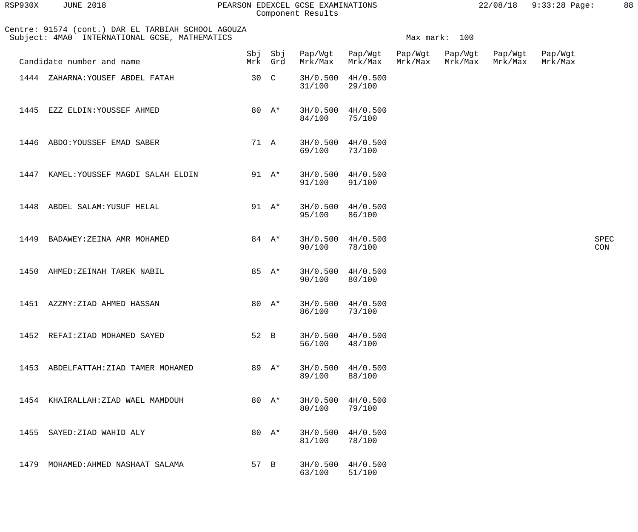| RSP930X | <b>JUNE 2018</b><br>PEARSON                                                                         |      |                | EDEXCEL GCSE EXAMINATIONS<br>Component Results |                    |                    |                    | 22/08/18           | $9:33:28$ P        |
|---------|-----------------------------------------------------------------------------------------------------|------|----------------|------------------------------------------------|--------------------|--------------------|--------------------|--------------------|--------------------|
|         | Centre: 91574 (cont.) DAR EL TARBIAH SCHOOL AGOUZA<br>Subject: 4MA0 INTERNATIONAL GCSE, MATHEMATICS |      |                |                                                |                    | Max mark:          | 100                |                    |                    |
|         | Candidate number and name                                                                           | Mrk  | Sbj Sbj<br>Grd | Pap/Wgt<br>Mrk/Max                             | Pap/Wgt<br>Mrk/Max | Pap/Wgt<br>Mrk/Max | Pap/Wgt<br>Mrk/Max | Pap/Wgt<br>Mrk/Max | Pap/Wgt<br>Mrk/Max |
| 1444    | ZAHARNA: YOUSEF ABDEL FATAH                                                                         | 30 C |                | 3H/0.500<br>31/100                             | 4H/0.500<br>29/100 |                    |                    |                    |                    |
| 1445    | EZZ ELDIN: YOUSSEF AHMED                                                                            | 80   | A*             | 3H/0.500<br>84/100                             | 4H/0.500<br>75/100 |                    |                    |                    |                    |
| 1446    | ABDO: YOUSSEF EMAD SABER                                                                            | 71   | A              | 3H/0.500<br>69/100                             | 4H/0.500<br>73/100 |                    |                    |                    |                    |

 1447 KAMEL:YOUSSEF MAGDI SALAH ELDIN 91 A\* 3H/0.500 4H/0.500 91/100 91/100 1448 ABDEL SALAM:YUSUF HELAL 91 A\* 3H/0.500 4H/0.500<br>95/100 95/100 95/100 86/100

1449 BADAWEY:ZEINA AMR MOHAMED 84 A\* 3H/0.500 4H/0.500<br>90/100 78/100 98000 SPEC 90/100 78/100 CON 1450 AHMED:ZEINAH TAREK NABIL 85 A\* 3H/0.500 4H/0.500<br>90/100 80/100

90/100 80/100

1451 AZZMY:ZIAD AHMED HASSAN 80 A\* 3H/0.500 4H/0.500<br>86/100 73/100 86/100 73/100

1452 REFAI:ZIAD MOHAMED SAYED 52 B 3H/0.500 4H/0.500<br>56/100 48/100 56/100 48/100 1453 ABDELFATTAH:ZIAD TAMER MOHAMED 89 A\* 3H/0.500 4H/0.500 89/100 88/100 1454 KHAIRALLAH:ZIAD WAEL MAMDOUH 80 A\* 3H/0.500 4H/0.500<br>80/100 79/100 80/100 1455 SAYED:ZIAD WAHID ALY 60 A\* 3H/0.500 4H/0.500 31/100 31/100 81/100 78/100

1479 MOHAMED:AHMED NASHAAT SALAMA 57 B 3H/0.500 4H/0.500<br>51/100 51/100 63/100 51/100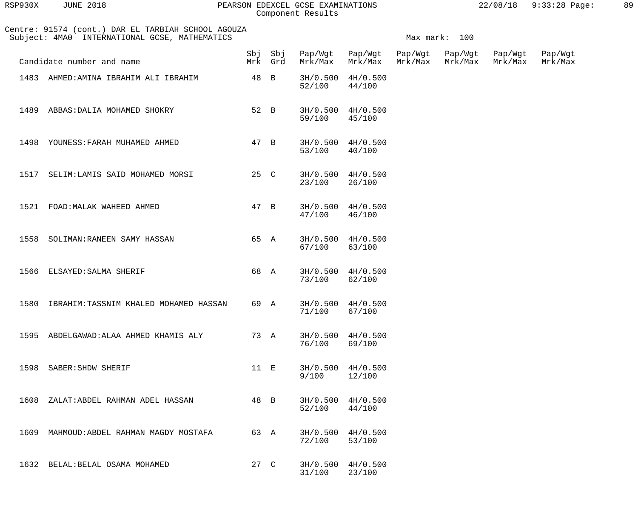| RSP930X | <b>JUNE 2018</b> |  |
|---------|------------------|--|
|         |                  |  |

#### RSP930X JUNE 2018 PEARSON EDEXCEL GCSE EXAMINATIONS 22/08/18 9:33:28 Page: 89 Component Results

|      | Centre: 91574 (cont.) DAR EL TARBIAH SCHOOL AGOUZA<br>Subject: 4MA0 INTERNATIONAL GCSE, MATHEMATICS |      | Max mark: 100 |                         |                             |         |                            |                    |                    |
|------|-----------------------------------------------------------------------------------------------------|------|---------------|-------------------------|-----------------------------|---------|----------------------------|--------------------|--------------------|
|      | Candidate number and name                                                                           |      | Mrk Grd       | Sbj Sbj Pap/Wgt Pap/Wgt | Mrk/Max Mrk/Max             | Mrk/Max | Pap/Wgt Pap/Wgt<br>Mrk/Max | Pap/Wgt<br>Mrk/Max | Pap/Wgt<br>Mrk/Max |
|      | 1483 AHMED: AMINA IBRAHIM ALI IBRAHIM                                                               | 48 B |               | 52/100                  | 3H/0.500 4H/0.500<br>44/100 |         |                            |                    |                    |
|      | 1489 ABBAS: DALIA MOHAMED SHOKRY                                                                    | 52 B |               | 59/100                  | 3H/0.500 4H/0.500<br>45/100 |         |                            |                    |                    |
| 1498 | YOUNESS: FARAH MUHAMED AHMED                                                                        | 47 B |               | 53/100                  | 3H/0.500 4H/0.500<br>40/100 |         |                            |                    |                    |
| 1517 | SELIM:LAMIS SAID MOHAMED MORSI                                                                      | 25 C |               | 23/100                  | 3H/0.500 4H/0.500<br>26/100 |         |                            |                    |                    |
| 1521 | FOAD: MALAK WAHEED AHMED                                                                            |      | 47 B          | 47/100                  | 3H/0.500 4H/0.500<br>46/100 |         |                            |                    |                    |
|      | 1558 SOLIMAN: RANEEN SAMY HASSAN                                                                    |      | 65 A          | 67/100                  | 3H/0.500 4H/0.500<br>63/100 |         |                            |                    |                    |
|      | 1566 ELSAYED: SALMA SHERIF                                                                          |      | 68 A          | 73/100                  | 3H/0.500 4H/0.500<br>62/100 |         |                            |                    |                    |
| 1580 | IBRAHIM:TASSNIM KHALED MOHAMED HASSAN                                                               | 69 A |               | 71/100                  | 3H/0.500 4H/0.500<br>67/100 |         |                            |                    |                    |
|      | 1595 ABDELGAWAD: ALAA AHMED KHAMIS ALY                                                              |      | 73 A          | 76/100                  | 3H/0.500 4H/0.500<br>69/100 |         |                            |                    |                    |
|      | 1598 SABER: SHDW SHERIF                                                                             | 11 E |               | 9/100                   | 3H/0.500 4H/0.500<br>12/100 |         |                            |                    |                    |
| 1608 | ZALAT:ABDEL RAHMAN ADEL HASSAN                                                                      | 48 B |               | 52/100                  | 3H/0.500 4H/0.500<br>44/100 |         |                            |                    |                    |
|      | 1609 MAHMOUD: ABDEL RAHMAN MAGDY MOSTAFA                                                            |      | 63 A          | 72/100                  | 3H/0.500 4H/0.500<br>53/100 |         |                            |                    |                    |
|      | 1632 BELAL: BELAL OSAMA MOHAMED                                                                     | 27 C |               | 31/100                  | 3H/0.500 4H/0.500<br>23/100 |         |                            |                    |                    |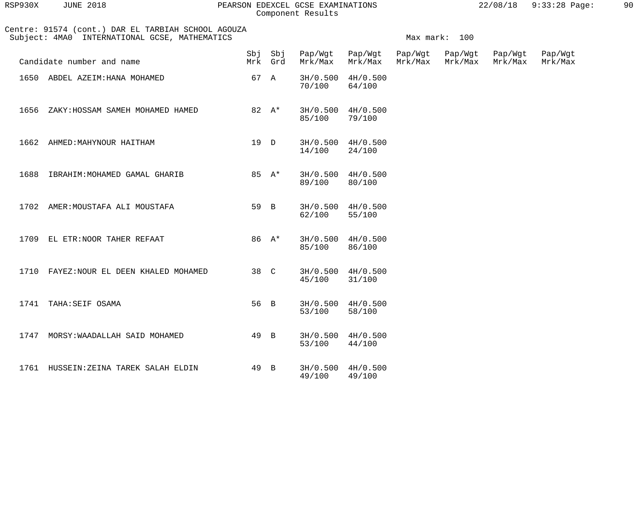| RSP930X | <b>JUNE 2018</b> |  |
|---------|------------------|--|
|         |                  |  |

# PEARSON EDEXCEL GCSE EXAMINATIONS 22/08/18 9:33:28 Page: 90 Component Results

| 22/08/18 | $9:33:28$ Page: |  |
|----------|-----------------|--|
|          |                 |  |

|      | Centre: 91574 (cont.) DAR EL TARBIAH SCHOOL AGOUZA<br>Subject: 4MA0 INTERNATIONAL GCSE, MATHEMATICS |      |         |                         | Max mark: 100                   |         |                            |                    |                    |  |  |
|------|-----------------------------------------------------------------------------------------------------|------|---------|-------------------------|---------------------------------|---------|----------------------------|--------------------|--------------------|--|--|
|      | Candidate number and name                                                                           |      | Mrk Grd | Sbj Sbj Pap/Wgt Pap/Wgt | Mrk/Max Mrk/Max                 | Mrk/Max | Pap/Wgt Pap/Wgt<br>Mrk/Max | Pap/Wgt<br>Mrk/Max | Pap/Wgt<br>Mrk/Max |  |  |
|      | 1650 ABDEL AZEIM: HANA MOHAMED                                                                      |      | 67 A    | 70/100                  | 3H/0.500 4H/0.500<br>64/100     |         |                            |                    |                    |  |  |
|      | $82 \quad A^*$<br>1656 ZAKY: HOSSAM SAMEH MOHAMED HAMED                                             |      |         | 85/100 79/100           | $3H/0.500$ $4H/0.500$           |         |                            |                    |                    |  |  |
|      | 1662 AHMED: MAHYNOUR HAITHAM                                                                        |      | 19 D    | 14/100                  | $3H/0.500$ $4H/0.500$<br>24/100 |         |                            |                    |                    |  |  |
|      | 1688 IBRAHIM: MOHAMED GAMAL GHARIB                                                                  |      | 85 A*   | 89/100                  | $3H/0.500$ $4H/0.500$<br>80/100 |         |                            |                    |                    |  |  |
|      | 1702 AMER: MOUSTAFA ALI MOUSTAFA                                                                    |      | 59 B    | 62/100                  | $3H/0.500$ $4H/0.500$<br>55/100 |         |                            |                    |                    |  |  |
|      | 1709 EL ETR: NOOR TAHER REFAAT                                                                      |      | 86 A*   | 85/100                  | 3H/0.500 4H/0.500<br>86/100     |         |                            |                    |                    |  |  |
|      | 1710 FAYEZ: NOUR EL DEEN KHALED MOHAMED                                                             |      | 38 C    | 45/100                  | 3H/0.500 4H/0.500<br>31/100     |         |                            |                    |                    |  |  |
|      | 1741 TAHA: SEIF OSAMA                                                                               |      | 56 B    | 53/100                  | $3H/0.500$ 4H/0.500<br>58/100   |         |                            |                    |                    |  |  |
| 1747 | MORSY: WAADALLAH SAID MOHAMED                                                                       | 49 B |         | 3H/0.500<br>53/100      | 4H/0.500<br>44/100              |         |                            |                    |                    |  |  |
| 1761 | HUSSEIN: ZEINA TAREK SALAH ELDIN                                                                    | 49 B |         | 3H/0.500<br>49/100      | 4H/0.500<br>49/100              |         |                            |                    |                    |  |  |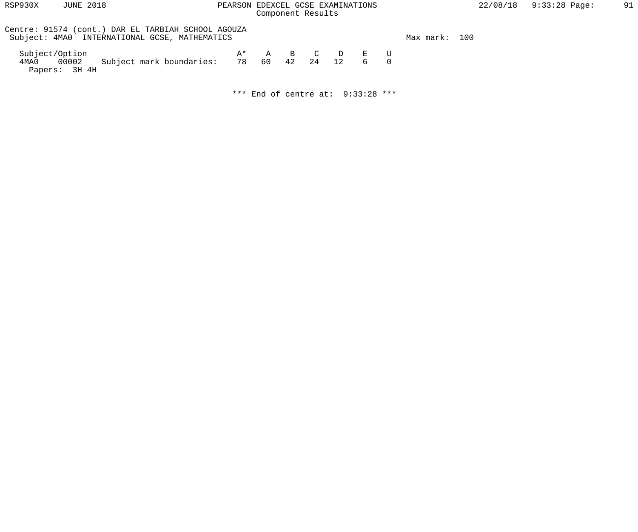| RSP930X | <b>JUNE 2018</b> |  |
|---------|------------------|--|
|         |                  |  |

# PEARSON EDEXCEL GCSE EXAMINATIONS  $22/08/18$  9:33:28 Page: 91 Component Results

| Centre: 91574 (cont.) DAR EL TARBIAH SCHOOL AGOUZA<br>Subject: 4MA0 INTERNATIONAL GCSE, MATHEMATICS |    |  |             |     | Max mark: 100 |  |
|-----------------------------------------------------------------------------------------------------|----|--|-------------|-----|---------------|--|
| Subject/Option<br>4MA0 00002 Subject mark boundaries: 78 60 42 24 12<br>Papers: 3H 4H               | A* |  | A B C D E U | 6 0 |               |  |

\*\*\* End of centre at: 9:33:28 \*\*\*